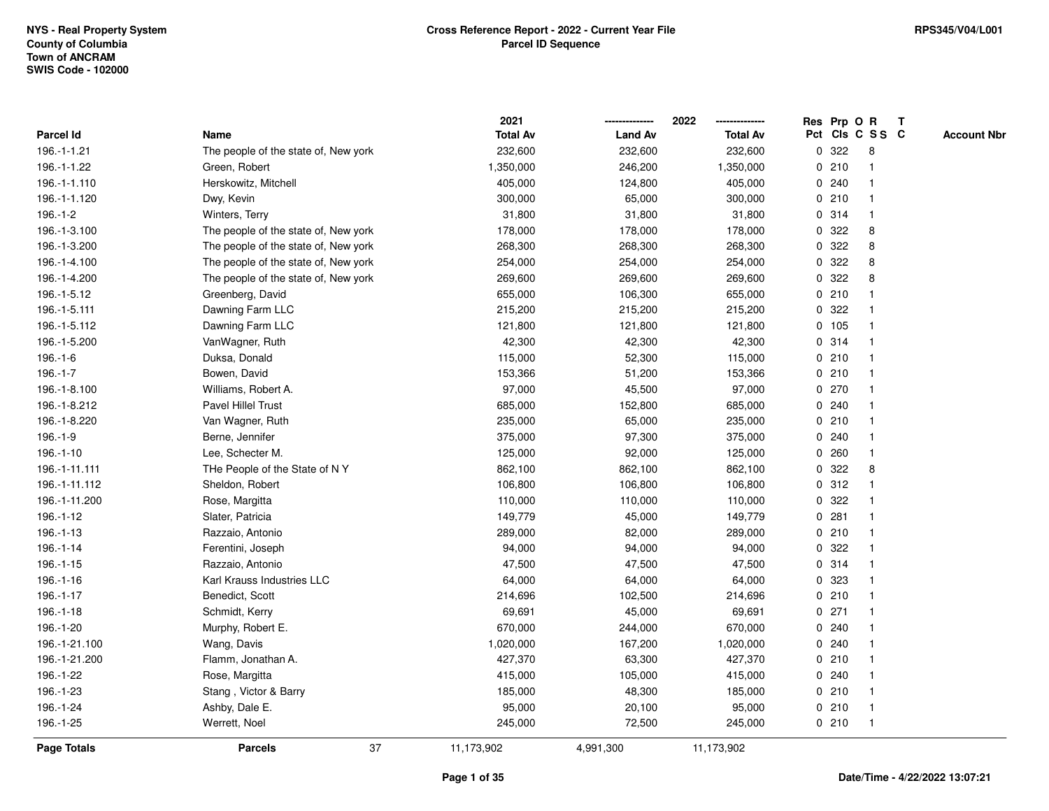|               |                                      | 2021            |                | 2022            |   |       | Res Prp O R     | T |                    |
|---------------|--------------------------------------|-----------------|----------------|-----------------|---|-------|-----------------|---|--------------------|
| Parcel Id     | Name                                 | <b>Total Av</b> | <b>Land Av</b> | <b>Total Av</b> |   |       | Pct Cls C S S C |   | <b>Account Nbr</b> |
| 196.-1-1.21   | The people of the state of, New york | 232,600         | 232,600        | 232,600         | 0 | 322   | 8               |   |                    |
| 196.-1-1.22   | Green, Robert                        | 1,350,000       | 246,200        | 1,350,000       |   | 0210  | -1              |   |                    |
| 196.-1-1.110  | Herskowitz, Mitchell                 | 405,000         | 124,800        | 405,000         |   | 0.240 | 1               |   |                    |
| 196.-1-1.120  | Dwy, Kevin                           | 300,000         | 65,000         | 300,000         |   | 0210  |                 |   |                    |
| $196.-1-2$    | Winters, Terry                       | 31,800          | 31,800         | 31,800          |   | 0 314 | $\mathbf{1}$    |   |                    |
| 196.-1-3.100  | The people of the state of, New york | 178,000         | 178,000        | 178,000         |   | 0.322 | 8               |   |                    |
| 196.-1-3.200  | The people of the state of, New york | 268,300         | 268,300        | 268,300         |   | 0.322 | 8               |   |                    |
| 196.-1-4.100  | The people of the state of, New york | 254,000         | 254,000        | 254,000         | 0 | 322   | 8               |   |                    |
| 196.-1-4.200  | The people of the state of, New york | 269,600         | 269,600        | 269,600         | 0 | 322   | 8               |   |                    |
| 196.-1-5.12   | Greenberg, David                     | 655,000         | 106,300        | 655,000         |   | 0210  |                 |   |                    |
| 196.-1-5.111  | Dawning Farm LLC                     | 215,200         | 215,200        | 215,200         |   | 0.322 |                 |   |                    |
| 196.-1-5.112  | Dawning Farm LLC                     | 121,800         | 121,800        | 121,800         |   | 0 105 |                 |   |                    |
| 196.-1-5.200  | VanWagner, Ruth                      | 42,300          | 42,300         | 42,300          |   | 0.314 |                 |   |                    |
| $196.-1-6$    | Duksa, Donald                        | 115,000         | 52,300         | 115,000         |   | 0210  | $\mathbf{1}$    |   |                    |
| 196.-1-7      | Bowen, David                         | 153,366         | 51,200         | 153,366         | 0 | 210   | -1              |   |                    |
| 196.-1-8.100  | Williams, Robert A.                  | 97,000          | 45,500         | 97,000          |   | 0270  |                 |   |                    |
| 196.-1-8.212  | Pavel Hillel Trust                   | 685,000         | 152,800        | 685,000         |   | 0.240 | 1               |   |                    |
| 196.-1-8.220  | Van Wagner, Ruth                     | 235,000         | 65,000         | 235,000         |   | 0210  |                 |   |                    |
| 196.-1-9      | Berne, Jennifer                      | 375,000         | 97,300         | 375,000         |   | 0.240 |                 |   |                    |
| 196.-1-10     | Lee, Schecter M.                     | 125,000         | 92,000         | 125,000         |   | 0.260 |                 |   |                    |
| 196.-1-11.111 | THe People of the State of NY        | 862,100         | 862,100        | 862,100         | 0 | 322   | 8               |   |                    |
| 196.-1-11.112 | Sheldon, Robert                      | 106,800         | 106,800        | 106,800         | 0 | 312   | $\mathbf{1}$    |   |                    |
| 196.-1-11.200 | Rose, Margitta                       | 110,000         | 110,000        | 110,000         | 0 | 322   |                 |   |                    |
| 196.-1-12     | Slater, Patricia                     | 149,779         | 45,000         | 149,779         |   | 0.281 | 1               |   |                    |
| 196.-1-13     | Razzaio, Antonio                     | 289,000         | 82,000         | 289,000         |   | 0210  |                 |   |                    |
| 196.-1-14     | Ferentini, Joseph                    | 94,000          | 94,000         | 94,000          |   | 0 322 |                 |   |                    |
| 196.-1-15     | Razzaio, Antonio                     | 47,500          | 47,500         | 47,500          |   | 0.314 |                 |   |                    |
| 196.-1-16     | Karl Krauss Industries LLC           | 64,000          | 64,000         | 64,000          |   | 0 323 |                 |   |                    |
| 196.-1-17     | Benedict, Scott                      | 214,696         | 102,500        | 214,696         | 0 | 210   | $\mathbf{1}$    |   |                    |
| 196.-1-18     | Schmidt, Kerry                       | 69,691          | 45,000         | 69,691          | 0 | 271   |                 |   |                    |
| 196.-1-20     | Murphy, Robert E.                    | 670,000         | 244,000        | 670,000         |   | 0.240 | 1               |   |                    |
| 196.-1-21.100 | Wang, Davis                          | 1,020,000       | 167,200        | 1,020,000       |   | 0.240 |                 |   |                    |
| 196.-1-21.200 | Flamm, Jonathan A.                   | 427,370         | 63,300         | 427,370         |   | 0210  |                 |   |                    |
| 196.-1-22     | Rose, Margitta                       | 415,000         | 105,000        | 415,000         |   | 0.240 |                 |   |                    |
| 196.-1-23     | Stang, Victor & Barry                | 185,000         | 48,300         | 185,000         |   | 0210  | $\mathbf{1}$    |   |                    |
| 196.-1-24     | Ashby, Dale E.                       | 95,000          | 20,100         | 95,000          | 0 | 210   | $\mathbf{1}$    |   |                    |
| 196.-1-25     | Werrett, Noel                        | 245,000         | 72,500         | 245,000         |   | 0210  | $\overline{1}$  |   |                    |
| Page Totals   | 37<br><b>Parcels</b>                 | 11,173,902      | 4,991,300      | 11,173,902      |   |       |                 |   |                    |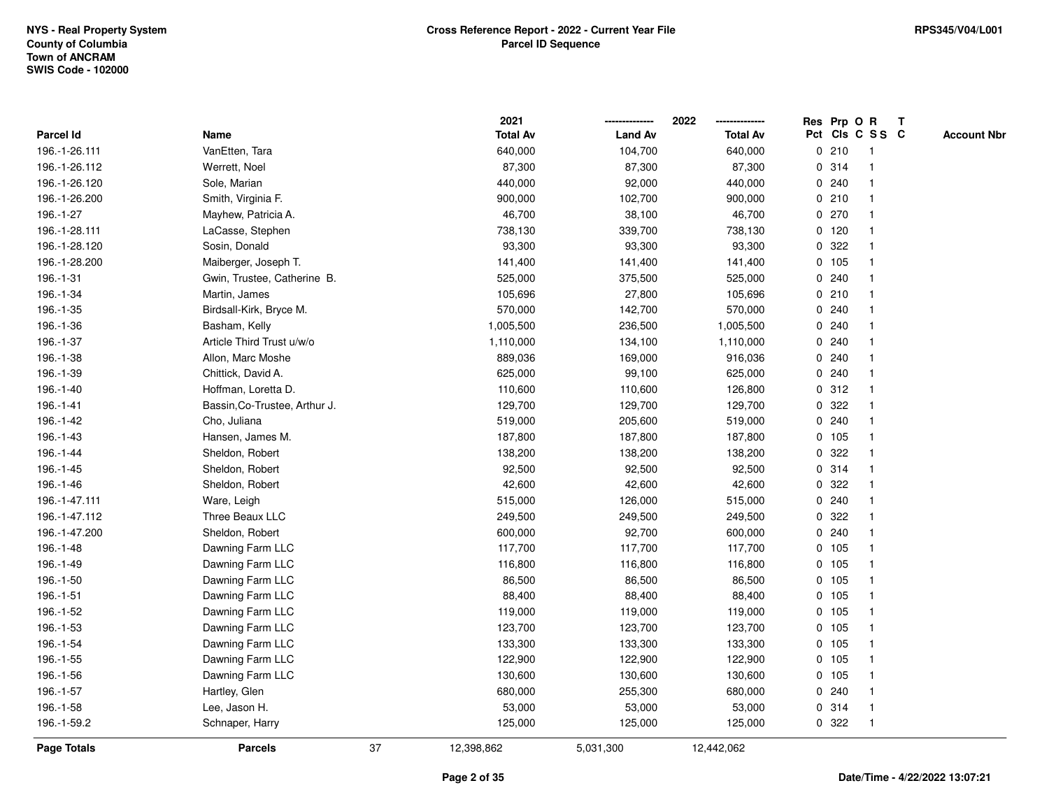|                    |                               |    | 2021            |                | 2022<br>-------------- |   | Res Prp O R |                 | T |                    |
|--------------------|-------------------------------|----|-----------------|----------------|------------------------|---|-------------|-----------------|---|--------------------|
| <b>Parcel Id</b>   | Name                          |    | <b>Total Av</b> | <b>Land Av</b> | <b>Total Av</b>        |   |             | Pct Cls C S S C |   | <b>Account Nbr</b> |
| 196.-1-26.111      | VanEtten, Tara                |    | 640,000         | 104,700        | 640,000                | 0 | 210         | -1              |   |                    |
| 196.-1-26.112      | Werrett, Noel                 |    | 87,300          | 87,300         | 87,300                 |   | 0 314       |                 |   |                    |
| 196.-1-26.120      | Sole, Marian                  |    | 440,000         | 92,000         | 440,000                | 0 | 240         |                 |   |                    |
| 196.-1-26.200      | Smith, Virginia F.            |    | 900,000         | 102,700        | 900,000                |   | 0210        | $\overline{1}$  |   |                    |
| 196.-1-27          | Mayhew, Patricia A.           |    | 46,700          | 38,100         | 46,700                 | 0 | 270         | $\mathbf 1$     |   |                    |
| 196.-1-28.111      | LaCasse, Stephen              |    | 738,130         | 339,700        | 738,130                |   | $0$ 120     | $\overline{1}$  |   |                    |
| 196.-1-28.120      | Sosin, Donald                 |    | 93,300          | 93,300         | 93,300                 |   | 0 322       |                 |   |                    |
| 196.-1-28.200      | Maiberger, Joseph T.          |    | 141,400         | 141,400        | 141,400                |   | 0 105       |                 |   |                    |
| 196.-1-31          | Gwin, Trustee, Catherine B.   |    | 525,000         | 375,500        | 525,000                | 0 | 240         |                 |   |                    |
| 196.-1-34          | Martin, James                 |    | 105,696         | 27,800         | 105,696                |   | 0210        |                 |   |                    |
| 196.-1-35          | Birdsall-Kirk, Bryce M.       |    | 570,000         | 142,700        | 570,000                | 0 | 240         |                 |   |                    |
| 196.-1-36          | Basham, Kelly                 |    | 1,005,500       | 236,500        | 1,005,500              | 0 | 240         | -1              |   |                    |
| 196.-1-37          | Article Third Trust u/w/o     |    | 1,110,000       | 134,100        | 1,110,000              |   | 0.240       | 1               |   |                    |
| 196.-1-38          | Allon, Marc Moshe             |    | 889,036         | 169,000        | 916,036                |   | 0.240       |                 |   |                    |
| 196.-1-39          | Chittick, David A.            |    | 625,000         | 99,100         | 625,000                |   | 0.240       |                 |   |                    |
| 196.-1-40          | Hoffman, Loretta D.           |    | 110,600         | 110,600        | 126,800                |   | 0.312       |                 |   |                    |
| 196.-1-41          | Bassin, Co-Trustee, Arthur J. |    | 129,700         | 129,700        | 129,700                | 0 | 322         |                 |   |                    |
| 196.-1-42          | Cho, Juliana                  |    | 519,000         | 205,600        | 519,000                | 0 | 240         | $\mathbf 1$     |   |                    |
| 196.-1-43          | Hansen, James M.              |    | 187,800         | 187,800        | 187,800                | 0 | 105         | $\overline{1}$  |   |                    |
| 196.-1-44          | Sheldon, Robert               |    | 138,200         | 138,200        | 138,200                |   | 0.322       |                 |   |                    |
| 196.-1-45          | Sheldon, Robert               |    | 92,500          | 92,500         | 92,500                 |   | 0.314       |                 |   |                    |
| 196.-1-46          | Sheldon, Robert               |    | 42,600          | 42,600         | 42,600                 | 0 | 322         |                 |   |                    |
| 196.-1-47.111      | Ware, Leigh                   |    | 515,000         | 126,000        | 515,000                |   | 0.240       |                 |   |                    |
| 196.-1-47.112      | Three Beaux LLC               |    | 249,500         | 249,500        | 249,500                | 0 | 322         |                 |   |                    |
| 196.-1-47.200      | Sheldon, Robert               |    | 600,000         | 92,700         | 600,000                | 0 | 240         | $\overline{1}$  |   |                    |
| 196.-1-48          | Dawning Farm LLC              |    | 117,700         | 117,700        | 117,700                |   | 0 105       | $\mathbf{1}$    |   |                    |
| 196.-1-49          | Dawning Farm LLC              |    | 116,800         | 116,800        | 116,800                |   | $0$ 105     |                 |   |                    |
| 196.-1-50          | Dawning Farm LLC              |    | 86,500          | 86,500         | 86,500                 |   | 0 105       |                 |   |                    |
| 196.-1-51          | Dawning Farm LLC              |    | 88,400          | 88,400         | 88,400                 |   | $0$ 105     |                 |   |                    |
| 196.-1-52          | Dawning Farm LLC              |    | 119,000         | 119,000        | 119,000                | 0 | 105         |                 |   |                    |
| 196.-1-53          | Dawning Farm LLC              |    | 123,700         | 123,700        | 123,700                | 0 | 105         | $\overline{1}$  |   |                    |
| 196.-1-54          | Dawning Farm LLC              |    | 133,300         | 133,300        | 133,300                | 0 | 105         | $\overline{1}$  |   |                    |
| 196.-1-55          | Dawning Farm LLC              |    | 122,900         | 122,900        | 122,900                |   | $0$ 105     | 1               |   |                    |
| 196.-1-56          | Dawning Farm LLC              |    | 130,600         | 130,600        | 130,600                |   | 0, 105      |                 |   |                    |
| 196.-1-57          | Hartley, Glen                 |    | 680,000         | 255,300        | 680,000                |   | 0.240       |                 |   |                    |
| 196.-1-58          | Lee, Jason H.                 |    | 53,000          | 53,000         | 53,000                 |   | 0.314       | $\overline{1}$  |   |                    |
| 196.-1-59.2        | Schnaper, Harry               |    | 125,000         | 125,000        | 125,000                | 0 | 322         | -1              |   |                    |
| <b>Page Totals</b> | <b>Parcels</b>                | 37 | 12,398,862      | 5,031,300      | 12,442,062             |   |             |                 |   |                    |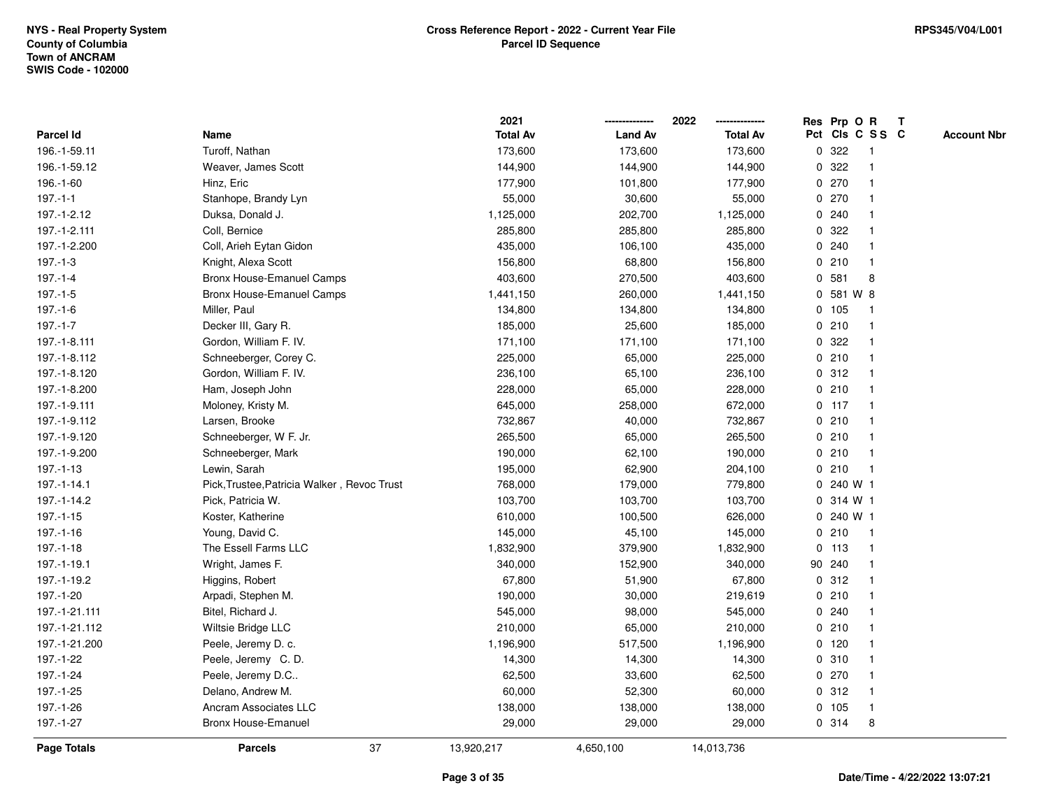|                    |                                             | 2021            |                | 2022            |   | Res Prp O R |                 | $\mathbf{T}$ |                    |
|--------------------|---------------------------------------------|-----------------|----------------|-----------------|---|-------------|-----------------|--------------|--------------------|
| Parcel Id          | Name                                        | <b>Total Av</b> | <b>Land Av</b> | <b>Total Av</b> |   |             | Pct Cls C S S C |              | <b>Account Nbr</b> |
| 196.-1-59.11       | Turoff, Nathan                              | 173,600         | 173,600        | 173,600         | 0 | 322         | -1              |              |                    |
| 196.-1-59.12       | Weaver, James Scott                         | 144,900         | 144,900        | 144,900         | 0 | 322         |                 |              |                    |
| 196.-1-60          | Hinz, Eric                                  | 177,900         | 101,800        | 177,900         |   | 0270        | $\mathbf{1}$    |              |                    |
| $197 - 1 - 1$      | Stanhope, Brandy Lyn                        | 55,000          | 30,600         | 55,000          |   | 0270        | $\mathbf{1}$    |              |                    |
| 197.-1-2.12        | Duksa, Donald J.                            | 1,125,000       | 202,700        | 1,125,000       |   | 0.240       | $\mathbf{1}$    |              |                    |
| 197.-1-2.111       | Coll, Bernice                               | 285,800         | 285,800        | 285,800         |   | 0.322       | $\mathbf{1}$    |              |                    |
| 197.-1-2.200       | Coll, Arieh Eytan Gidon                     | 435,000         | 106,100        | 435,000         |   | 0.240       | $\mathbf{1}$    |              |                    |
| $197 - 1 - 3$      | Knight, Alexa Scott                         | 156,800         | 68,800         | 156,800         |   | 0210        | $\mathbf{1}$    |              |                    |
| $197 - 1 - 4$      | Bronx House-Emanuel Camps                   | 403,600         | 270,500        | 403,600         | 0 | 581         | 8               |              |                    |
| $197.-1-5$         | Bronx House-Emanuel Camps                   | 1,441,150       | 260,000        | 1,441,150       | 0 | 581 W 8     |                 |              |                    |
| $197.-1-6$         | Miller, Paul                                | 134,800         | 134,800        | 134,800         |   | 0 105       | $\mathbf{1}$    |              |                    |
| $197.-1-7$         | Decker III, Gary R.                         | 185,000         | 25,600         | 185,000         |   | 0210        | $\mathbf{1}$    |              |                    |
| 197.-1-8.111       | Gordon, William F. IV.                      | 171,100         | 171,100        | 171,100         |   | 0.322       | $\mathbf{1}$    |              |                    |
| 197.-1-8.112       | Schneeberger, Corey C.                      | 225,000         | 65,000         | 225,000         |   | 0210        | $\mathbf 1$     |              |                    |
| 197.-1-8.120       | Gordon, William F. IV.                      | 236,100         | 65,100         | 236,100         |   | 0.312       |                 |              |                    |
| 197.-1-8.200       | Ham, Joseph John                            | 228,000         | 65,000         | 228,000         |   | 0210        | $\mathbf{1}$    |              |                    |
| 197.-1-9.111       | Moloney, Kristy M.                          | 645,000         | 258,000        | 672,000         |   | $0$ 117     | $\mathbf{1}$    |              |                    |
| 197.-1-9.112       | Larsen, Brooke                              | 732,867         | 40,000         | 732,867         |   | 0210        | $\mathbf{1}$    |              |                    |
| 197.-1-9.120       | Schneeberger, W F. Jr.                      | 265,500         | 65,000         | 265,500         |   | 0210        | $\mathbf{1}$    |              |                    |
| 197.-1-9.200       | Schneeberger, Mark                          | 190,000         | 62,100         | 190,000         |   | 0210        | $\mathbf{1}$    |              |                    |
| $197. - 1 - 13$    | Lewin, Sarah                                | 195,000         | 62,900         | 204,100         |   | 0210        | $\mathbf{1}$    |              |                    |
| 197.-1-14.1        | Pick, Trustee, Patricia Walker, Revoc Trust | 768,000         | 179,000        | 779,800         |   | 0 240 W 1   |                 |              |                    |
| 197.-1-14.2        | Pick, Patricia W.                           | 103,700         | 103,700        | 103,700         |   | 0 314 W 1   |                 |              |                    |
| $197. - 1 - 15$    | Koster, Katherine                           | 610,000         | 100,500        | 626,000         |   | 0 240 W 1   |                 |              |                    |
| 197.-1-16          | Young, David C.                             | 145,000         | 45,100         | 145,000         |   | 0210        | $\mathbf{1}$    |              |                    |
| $197. - 1 - 18$    | The Essell Farms LLC                        | 1,832,900       | 379,900        | 1,832,900       |   | 0, 113      | $\mathbf{1}$    |              |                    |
| 197.-1-19.1        | Wright, James F.                            | 340,000         | 152,900        | 340,000         |   | 90 240      | $\mathbf{1}$    |              |                    |
| 197.-1-19.2        | Higgins, Robert                             | 67,800          | 51,900         | 67,800          |   | 0.312       |                 |              |                    |
| 197.-1-20          | Arpadi, Stephen M.                          | 190,000         | 30,000         | 219,619         |   | 0210        | $\mathbf{1}$    |              |                    |
| 197.-1-21.111      | Bitel, Richard J.                           | 545,000         | 98,000         | 545,000         |   | 0.240       | $\mathbf{1}$    |              |                    |
| 197.-1-21.112      | Wiltsie Bridge LLC                          | 210,000         | 65,000         | 210,000         |   | 0210        | $\mathbf{1}$    |              |                    |
| 197.-1-21.200      | Peele, Jeremy D. c.                         | 1,196,900       | 517,500        | 1,196,900       |   | 0 120       | 1               |              |                    |
| 197.-1-22          | Peele, Jeremy C.D.                          | 14,300          | 14,300         | 14,300          |   | 0.310       | $\mathbf{1}$    |              |                    |
| 197.-1-24          | Peele, Jeremy D.C                           | 62,500          | 33,600         | 62,500          |   | 0270        | $\mathbf{1}$    |              |                    |
| 197.-1-25          | Delano, Andrew M.                           | 60,000          | 52,300         | 60,000          |   | 0.312       | $\mathbf 1$     |              |                    |
| 197.-1-26          | Ancram Associates LLC                       | 138,000         | 138,000        | 138,000         |   | 0 105       | $\mathbf{1}$    |              |                    |
| 197.-1-27          | <b>Bronx House-Emanuel</b>                  | 29,000          | 29,000         | 29,000          |   | 0.314       | 8               |              |                    |
| <b>Page Totals</b> | 37<br><b>Parcels</b>                        | 13,920,217      | 4,650,100      | 14,013,736      |   |             |                 |              |                    |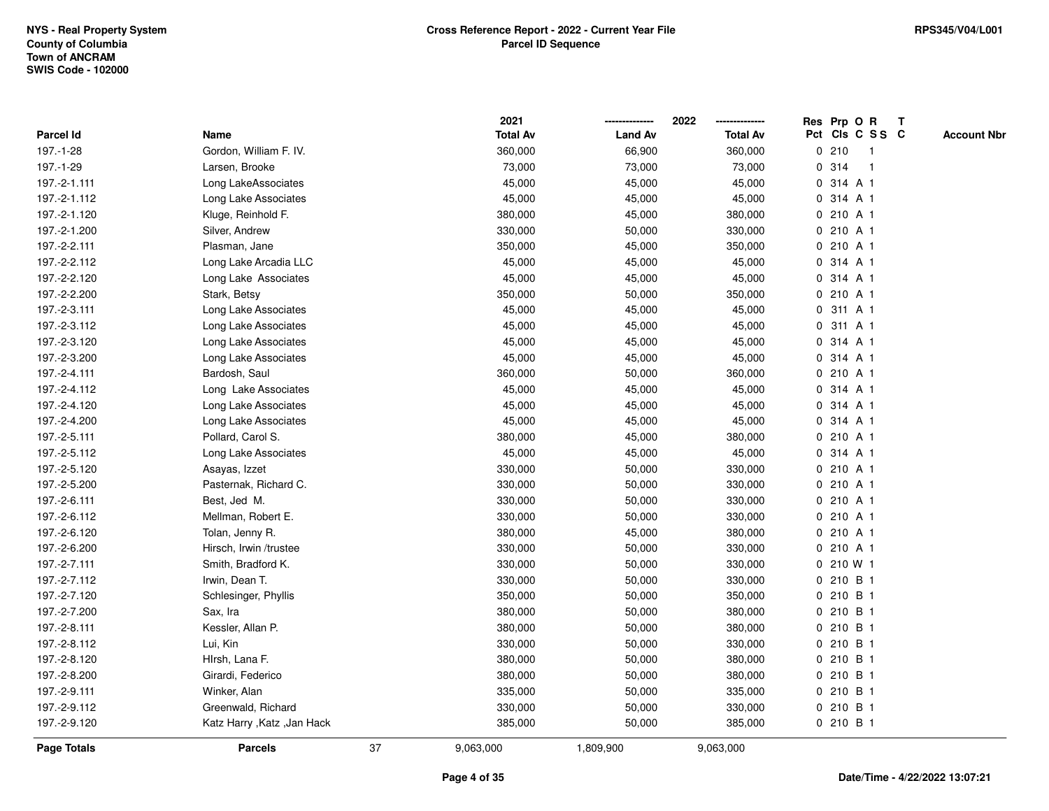|              |                              |    | 2021            |                | 2022            |             | Res Prp O R     | $\mathbf{T}$ |                    |
|--------------|------------------------------|----|-----------------|----------------|-----------------|-------------|-----------------|--------------|--------------------|
| Parcel Id    | Name                         |    | <b>Total Av</b> | <b>Land Av</b> | <b>Total Av</b> |             | Pct Cls C S S C |              | <b>Account Nbr</b> |
| 197.-1-28    | Gordon, William F. IV.       |    | 360,000         | 66,900         | 360,000         |             | 0210<br>-1      |              |                    |
| 197.-1-29    | Larsen, Brooke               |    | 73,000          | 73,000         | 73,000          | $\mathbf 0$ | 314             |              |                    |
| 197.-2-1.111 | Long LakeAssociates          |    | 45,000          | 45,000         | 45,000          | $\mathbf 0$ | 314 A 1         |              |                    |
| 197.-2-1.112 | Long Lake Associates         |    | 45,000          | 45,000         | 45,000          | 0           | 314 A 1         |              |                    |
| 197.-2-1.120 | Kluge, Reinhold F.           |    | 380,000         | 45,000         | 380,000         | 0           | 210 A 1         |              |                    |
| 197.-2-1.200 | Silver, Andrew               |    | 330,000         | 50,000         | 330,000         |             | 0 210 A 1       |              |                    |
| 197.-2-2.111 | Plasman, Jane                |    | 350,000         | 45,000         | 350,000         |             | 0 210 A 1       |              |                    |
| 197.-2-2.112 | Long Lake Arcadia LLC        |    | 45,000          | 45,000         | 45,000          |             | 0 314 A 1       |              |                    |
| 197.-2-2.120 | Long Lake Associates         |    | 45,000          | 45,000         | 45,000          |             | 0 314 A 1       |              |                    |
| 197.-2-2.200 | Stark, Betsy                 |    | 350,000         | 50,000         | 350,000         | 0           | 210 A 1         |              |                    |
| 197.-2-3.111 | Long Lake Associates         |    | 45,000          | 45,000         | 45,000          | 0           | 311 A 1         |              |                    |
| 197.-2-3.112 | Long Lake Associates         |    | 45,000          | 45,000         | 45,000          | $\mathbf 0$ | 311 A 1         |              |                    |
| 197.-2-3.120 | Long Lake Associates         |    | 45,000          | 45,000         | 45,000          |             | 0 314 A 1       |              |                    |
| 197.-2-3.200 | Long Lake Associates         |    | 45,000          | 45,000         | 45,000          |             | 0 314 A 1       |              |                    |
| 197.-2-4.111 | Bardosh, Saul                |    | 360,000         | 50,000         | 360,000         |             | 0 210 A 1       |              |                    |
| 197.-2-4.112 | Long Lake Associates         |    | 45,000          | 45,000         | 45,000          |             | 0 314 A 1       |              |                    |
| 197.-2-4.120 | Long Lake Associates         |    | 45,000          | 45,000         | 45,000          | 0           | 314 A 1         |              |                    |
| 197.-2-4.200 | Long Lake Associates         |    | 45,000          | 45,000         | 45,000          | 0           | 314 A 1         |              |                    |
| 197.-2-5.111 | Pollard, Carol S.            |    | 380,000         | 45,000         | 380,000         |             | 0210A1          |              |                    |
| 197.-2-5.112 | Long Lake Associates         |    | 45,000          | 45,000         | 45,000          |             | 0 314 A 1       |              |                    |
| 197.-2-5.120 | Asayas, Izzet                |    | 330,000         | 50,000         | 330,000         |             | 0 210 A 1       |              |                    |
| 197.-2-5.200 | Pasternak, Richard C.        |    | 330,000         | 50,000         | 330,000         |             | 0 210 A 1       |              |                    |
| 197.-2-6.111 | Best, Jed M.                 |    | 330,000         | 50,000         | 330,000         |             | 0 210 A 1       |              |                    |
| 197.-2-6.112 | Mellman, Robert E.           |    | 330,000         | 50,000         | 330,000         | $\mathbf 0$ | 210 A 1         |              |                    |
| 197.-2-6.120 | Tolan, Jenny R.              |    | 380,000         | 45,000         | 380,000         | 0           | 210 A 1         |              |                    |
| 197.-2-6.200 | Hirsch, Irwin /trustee       |    | 330,000         | 50,000         | 330,000         |             | 0 210 A 1       |              |                    |
| 197.-2-7.111 | Smith, Bradford K.           |    | 330,000         | 50,000         | 330,000         |             | 0 210 W 1       |              |                    |
| 197.-2-7.112 | Irwin, Dean T.               |    | 330,000         | 50,000         | 330,000         |             | 0 210 B 1       |              |                    |
| 197.-2-7.120 | Schlesinger, Phyllis         |    | 350,000         | 50,000         | 350,000         |             | 0 210 B 1       |              |                    |
| 197.-2-7.200 | Sax, Ira                     |    | 380,000         | 50,000         | 380,000         |             | 0 210 B 1       |              |                    |
| 197.-2-8.111 | Kessler, Allan P.            |    | 380,000         | 50,000         | 380,000         |             | 0 210 B 1       |              |                    |
| 197.-2-8.112 | Lui, Kin                     |    | 330,000         | 50,000         | 330,000         |             | 0 210 B 1       |              |                    |
| 197.-2-8.120 | Hirsh, Lana F.               |    | 380,000         | 50,000         | 380,000         |             | 0 210 B 1       |              |                    |
| 197.-2-8.200 | Girardi, Federico            |    | 380,000         | 50,000         | 380,000         |             | 0 210 B 1       |              |                    |
| 197.-2-9.111 | Winker, Alan                 |    | 335,000         | 50,000         | 335,000         |             | 0 210 B 1       |              |                    |
| 197.-2-9.112 | Greenwald, Richard           |    | 330,000         | 50,000         | 330,000         |             | 0 210 B 1       |              |                    |
| 197.-2-9.120 | Katz Harry , Katz , Jan Hack |    | 385,000         | 50,000         | 385,000         |             | 0 210 B 1       |              |                    |
| Page Totals  | <b>Parcels</b>               | 37 | 9,063,000       | 1,809,900      | 9,063,000       |             |                 |              |                    |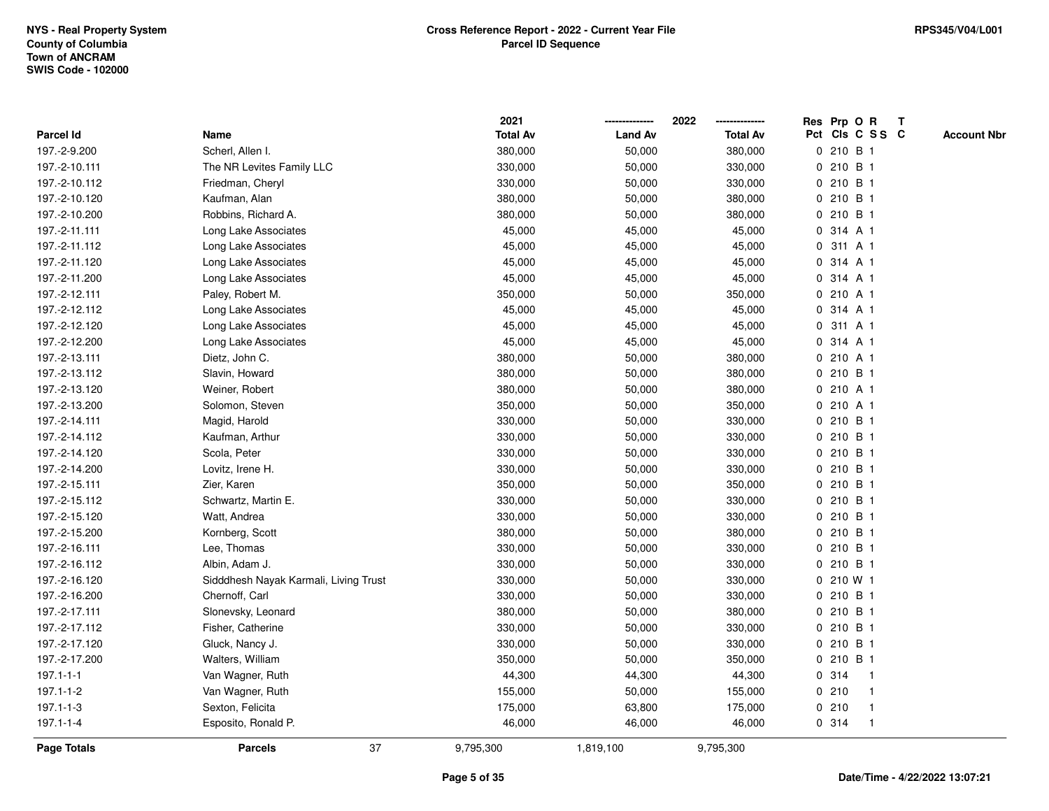|                 |                                       | 2021            |                | 2022            | Res Prp O R<br>$\mathbf{T}$           |
|-----------------|---------------------------------------|-----------------|----------------|-----------------|---------------------------------------|
| Parcel Id       | Name                                  | <b>Total Av</b> | <b>Land Av</b> | <b>Total Av</b> | Pct Cls C S S C<br><b>Account Nbr</b> |
| 197.-2-9.200    | Scherl, Allen I.                      | 380,000         | 50,000         | 380,000         | 0 210 B 1                             |
| 197.-2-10.111   | The NR Levites Family LLC             | 330,000         | 50,000         | 330,000         | 0 210 B 1                             |
| 197.-2-10.112   | Friedman, Cheryl                      | 330,000         | 50,000         | 330,000         | 0 210 B 1                             |
| 197.-2-10.120   | Kaufman, Alan                         | 380,000         | 50,000         | 380,000         | 210 B 1<br>0                          |
| 197.-2-10.200   | Robbins, Richard A.                   | 380,000         | 50,000         | 380,000         | 0 210 B 1                             |
| 197.-2-11.111   | Long Lake Associates                  | 45,000          | 45,000         | 45,000          | 0 314 A 1                             |
| 197.-2-11.112   | Long Lake Associates                  | 45,000          | 45,000         | 45,000          | 0 311 A 1                             |
| 197.-2-11.120   | Long Lake Associates                  | 45,000          | 45,000         | 45,000          | 0 314 A 1                             |
| 197.-2-11.200   | Long Lake Associates                  | 45,000          | 45,000         | 45,000          | 0 314 A 1                             |
| 197.-2-12.111   | Paley, Robert M.                      | 350,000         | 50,000         | 350,000         | 0 210 A 1                             |
| 197.-2-12.112   | Long Lake Associates                  | 45,000          | 45,000         | 45,000          | 314 A 1<br>0                          |
| 197.-2-12.120   | Long Lake Associates                  | 45,000          | 45,000         | 45,000          | 311 A 1<br>0                          |
| 197.-2-12.200   | Long Lake Associates                  | 45,000          | 45,000         | 45,000          | 0 314 A 1                             |
| 197.-2-13.111   | Dietz, John C.                        | 380,000         | 50,000         | 380,000         | 0210A1                                |
| 197.-2-13.112   | Slavin, Howard                        | 380,000         | 50,000         | 380,000         | 0 210 B 1                             |
| 197.-2-13.120   | Weiner, Robert                        | 380,000         | 50,000         | 380,000         | 0 210 A 1                             |
| 197.-2-13.200   | Solomon, Steven                       | 350,000         | 50,000         | 350,000         | 210 A 1<br>0                          |
| 197.-2-14.111   | Magid, Harold                         | 330,000         | 50,000         | 330,000         | 210 B 1<br>0                          |
| 197.-2-14.112   | Kaufman, Arthur                       | 330,000         | 50,000         | 330,000         | 0 210 B 1                             |
| 197.-2-14.120   | Scola, Peter                          | 330,000         | 50,000         | 330,000         | 0 210 B 1                             |
| 197.-2-14.200   | Lovitz, Irene H.                      | 330,000         | 50,000         | 330,000         | 0 210 B 1                             |
| 197.-2-15.111   | Zier, Karen                           | 350,000         | 50,000         | 350,000         | 0 210 B 1                             |
| 197.-2-15.112   | Schwartz, Martin E.                   | 330,000         | 50,000         | 330,000         | 0 210 B 1                             |
| 197.-2-15.120   | Watt, Andrea                          | 330,000         | 50,000         | 330,000         | 210 B 1<br>0                          |
| 197.-2-15.200   | Kornberg, Scott                       | 380,000         | 50,000         | 380,000         | 0 210 B 1                             |
| 197.-2-16.111   | Lee, Thomas                           | 330,000         | 50,000         | 330,000         | 0 210 B 1                             |
| 197.-2-16.112   | Albin, Adam J.                        | 330,000         | 50,000         | 330,000         | 0 210 B 1                             |
| 197.-2-16.120   | Sidddhesh Nayak Karmali, Living Trust | 330,000         | 50,000         | 330,000         | 0 210 W 1                             |
| 197.-2-16.200   | Chernoff, Carl                        | 330,000         | 50,000         | 330,000         | 0 210 B 1                             |
| 197.-2-17.111   | Slonevsky, Leonard                    | 380,000         | 50,000         | 380,000         | 0 210 B 1                             |
| 197.-2-17.112   | Fisher, Catherine                     | 330,000         | 50,000         | 330,000         | 0 210 B 1                             |
| 197.-2-17.120   | Gluck, Nancy J.                       | 330,000         | 50,000         | 330,000         | 0 210 B 1                             |
| 197.-2-17.200   | Walters, William                      | 350,000         | 50,000         | 350,000         | 0210B1                                |
| $197.1 - 1 - 1$ | Van Wagner, Ruth                      | 44,300          | 44,300         | 44,300          | 0.314<br>$\overline{1}$               |
| 197.1-1-2       | Van Wagner, Ruth                      | 155,000         | 50,000         | 155,000         | 0210<br>$\mathbf 1$                   |
| 197.1-1-3       | Sexton, Felicita                      | 175,000         | 63,800         | 175,000         | 0210<br>$\mathbf{1}$                  |
| $197.1 - 1 - 4$ | Esposito, Ronald P.                   | 46,000          | 46,000         | 46,000          | 0.314<br>$\mathbf{1}$                 |
| Page Totals     | 37<br><b>Parcels</b>                  | 9,795,300       | 1,819,100      | 9,795,300       |                                       |

## **Page 5 of 35**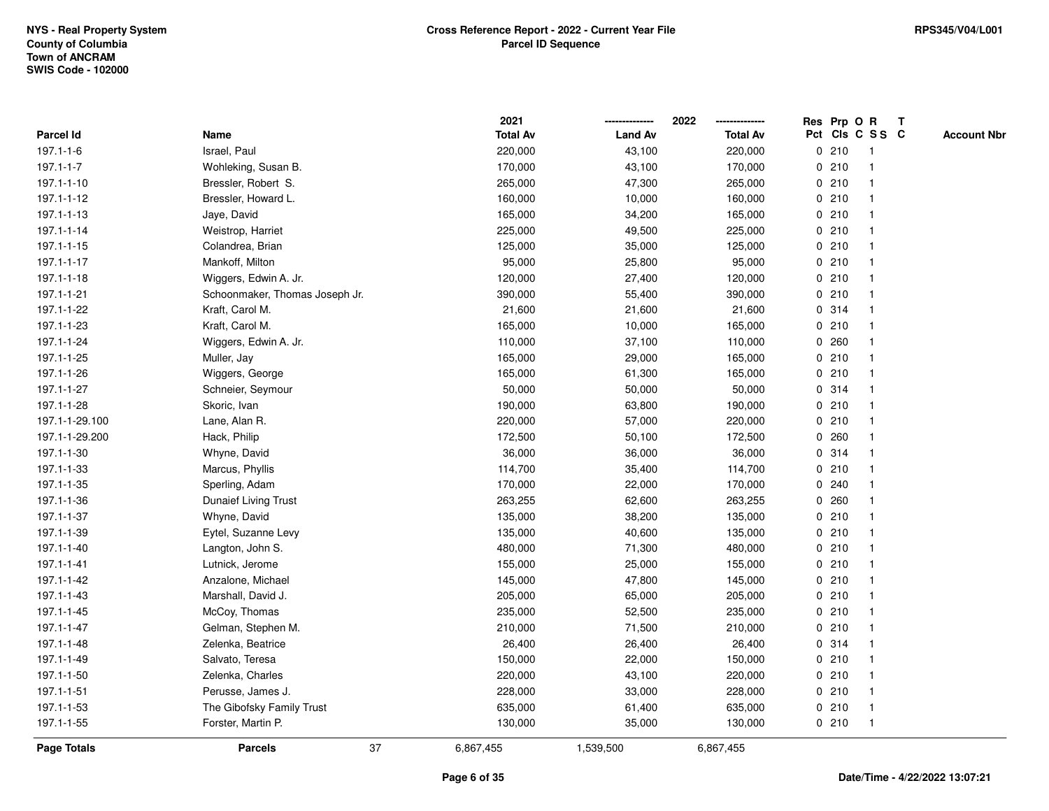|                 |                                | 2021            |                | 2022            |   |       | Res Prp O R     | $\mathbf{T}$ |                    |
|-----------------|--------------------------------|-----------------|----------------|-----------------|---|-------|-----------------|--------------|--------------------|
| Parcel Id       | Name                           | <b>Total Av</b> | <b>Land Av</b> | <b>Total Av</b> |   |       | Pct Cls C S S C |              | <b>Account Nbr</b> |
| $197.1 - 1 - 6$ | Israel, Paul                   | 220,000         | 43,100         | 220,000         |   | 0210  | -1              |              |                    |
| $197.1 - 1 - 7$ | Wohleking, Susan B.            | 170,000         | 43,100         | 170,000         |   | 0210  |                 |              |                    |
| 197.1-1-10      | Bressler, Robert S.            | 265,000         | 47,300         | 265,000         |   | 0210  |                 |              |                    |
| 197.1-1-12      | Bressler, Howard L.            | 160,000         | 10,000         | 160,000         | 0 | 210   | -1              |              |                    |
| 197.1-1-13      | Jaye, David                    | 165,000         | 34,200         | 165,000         |   | 0210  | $\mathbf{1}$    |              |                    |
| 197.1-1-14      | Weistrop, Harriet              | 225,000         | 49,500         | 225,000         |   | 0210  |                 |              |                    |
| 197.1-1-15      | Colandrea, Brian               | 125,000         | 35,000         | 125,000         |   | 0210  |                 |              |                    |
| 197.1-1-17      | Mankoff, Milton                | 95,000          | 25,800         | 95,000          |   | 0210  |                 |              |                    |
| 197.1-1-18      | Wiggers, Edwin A. Jr.          | 120,000         | 27,400         | 120,000         |   | 0210  |                 |              |                    |
| 197.1-1-21      | Schoonmaker, Thomas Joseph Jr. | 390,000         | 55,400         | 390,000         |   | 0210  |                 |              |                    |
| 197.1-1-22      | Kraft, Carol M.                | 21,600          | 21,600         | 21,600          |   | 0.314 | $\mathbf 1$     |              |                    |
| 197.1-1-23      | Kraft, Carol M.                | 165,000         | 10,000         | 165,000         |   | 0210  |                 |              |                    |
| 197.1-1-24      | Wiggers, Edwin A. Jr.          | 110,000         | 37,100         | 110,000         |   | 0.260 |                 |              |                    |
| 197.1-1-25      | Muller, Jay                    | 165,000         | 29,000         | 165,000         |   | 0210  |                 |              |                    |
| 197.1-1-26      | Wiggers, George                | 165,000         | 61,300         | 165,000         |   | 0210  |                 |              |                    |
| 197.1-1-27      | Schneier, Seymour              | 50,000          | 50,000         | 50,000          |   | 0.314 |                 |              |                    |
| 197.1-1-28      | Skoric, Ivan                   | 190,000         | 63,800         | 190,000         | 0 | 210   | -1              |              |                    |
| 197.1-1-29.100  | Lane, Alan R.                  | 220,000         | 57,000         | 220,000         | 0 | 210   |                 |              |                    |
| 197.1-1-29.200  | Hack, Philip                   | 172,500         | 50,100         | 172,500         |   | 0.260 | $\mathbf 1$     |              |                    |
| 197.1-1-30      | Whyne, David                   | 36,000          | 36,000         | 36,000          |   | 0.314 |                 |              |                    |
| 197.1-1-33      | Marcus, Phyllis                | 114,700         | 35,400         | 114,700         |   | 0210  |                 |              |                    |
| 197.1-1-35      | Sperling, Adam                 | 170,000         | 22,000         | 170,000         | 0 | 240   |                 |              |                    |
| 197.1-1-36      | Dunaief Living Trust           | 263,255         | 62,600         | 263,255         |   | 0.260 |                 |              |                    |
| 197.1-1-37      | Whyne, David                   | 135,000         | 38,200         | 135,000         | 0 | 210   |                 |              |                    |
| 197.1-1-39      | Eytel, Suzanne Levy            | 135,000         | 40,600         | 135,000         |   | 0210  |                 |              |                    |
| 197.1-1-40      | Langton, John S.               | 480,000         | 71,300         | 480,000         |   | 0210  |                 |              |                    |
| 197.1-1-41      | Lutnick, Jerome                | 155,000         | 25,000         | 155,000         |   | 0210  |                 |              |                    |
| 197.1-1-42      | Anzalone, Michael              | 145,000         | 47,800         | 145,000         |   | 0210  |                 |              |                    |
| 197.1-1-43      | Marshall, David J.             | 205,000         | 65,000         | 205,000         |   | 0210  |                 |              |                    |
| 197.1-1-45      | McCoy, Thomas                  | 235,000         | 52,500         | 235,000         |   | 0210  |                 |              |                    |
| 197.1-1-47      | Gelman, Stephen M.             | 210,000         | 71,500         | 210,000         |   | 0210  | $\mathbf 1$     |              |                    |
| 197.1-1-48      | Zelenka, Beatrice              | 26,400          | 26,400         | 26,400          |   | 0.314 | $\mathbf{1}$    |              |                    |
| 197.1-1-49      | Salvato, Teresa                | 150,000         | 22,000         | 150,000         |   | 0210  |                 |              |                    |
| 197.1-1-50      | Zelenka, Charles               | 220,000         | 43,100         | 220,000         |   | 0210  |                 |              |                    |
| 197.1-1-51      | Perusse, James J.              | 228,000         | 33,000         | 228,000         |   | 0210  |                 |              |                    |
| 197.1-1-53      | The Gibofsky Family Trust      | 635,000         | 61,400         | 635,000         |   | 0210  | $\overline{1}$  |              |                    |
| 197.1-1-55      | Forster, Martin P.             | 130,000         | 35,000         | 130,000         |   | 0210  | $\mathbf{1}$    |              |                    |
| Page Totals     | <b>Parcels</b>                 | 37<br>6,867,455 | 1,539,500      | 6,867,455       |   |       |                 |              |                    |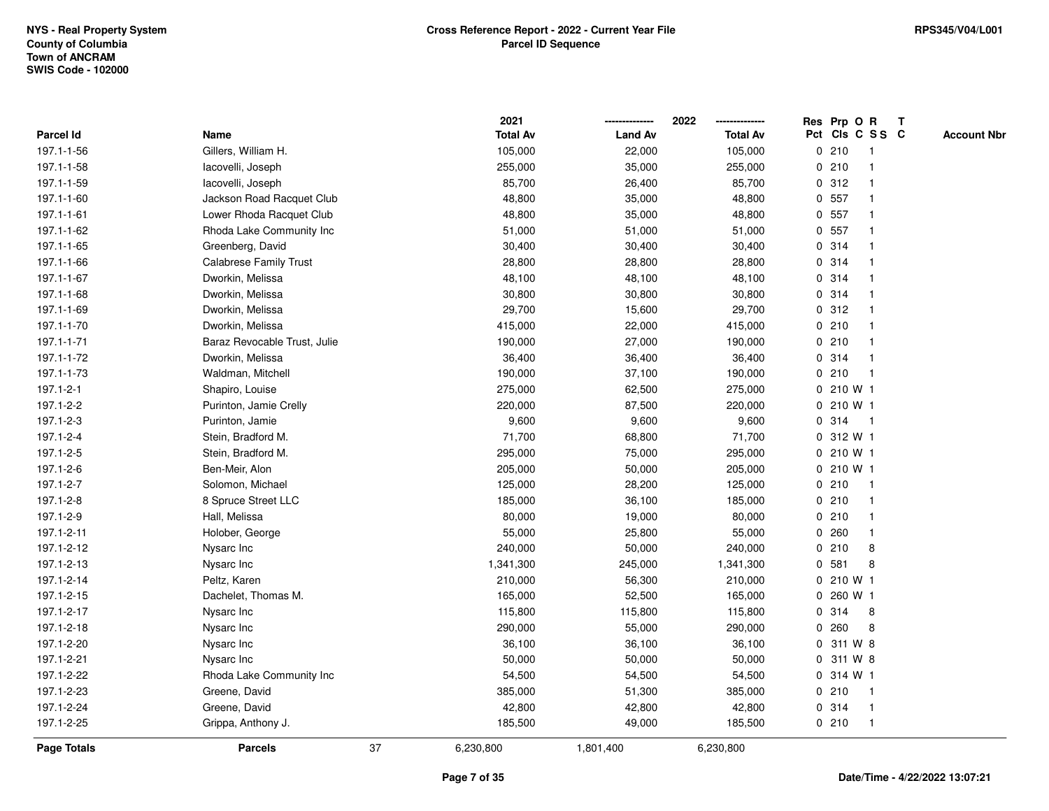|                    |                               |    | 2021            |                | 2022            |              | Res Prp O R     |              | T |                    |
|--------------------|-------------------------------|----|-----------------|----------------|-----------------|--------------|-----------------|--------------|---|--------------------|
| Parcel Id          | Name                          |    | <b>Total Av</b> | <b>Land Av</b> | <b>Total Av</b> |              | Pct Cls C S S C |              |   | <b>Account Nbr</b> |
| 197.1-1-56         | Gillers, William H.           |    | 105,000         | 22,000         | 105,000         |              | 0210            | -1           |   |                    |
| 197.1-1-58         | lacovelli, Joseph             |    | 255,000         | 35,000         | 255,000         |              | 0210            | $\mathbf 1$  |   |                    |
| 197.1-1-59         | lacovelli, Joseph             |    | 85,700          | 26,400         | 85,700          |              | 0.312           |              |   |                    |
| 197.1-1-60         | Jackson Road Racquet Club     |    | 48,800          | 35,000         | 48,800          |              | 0 557           |              |   |                    |
| 197.1-1-61         | Lower Rhoda Racquet Club      |    | 48,800          | 35,000         | 48,800          |              | 0 557           |              |   |                    |
| 197.1-1-62         | Rhoda Lake Community Inc      |    | 51,000          | 51,000         | 51,000          |              | 0 557           |              |   |                    |
| 197.1-1-65         | Greenberg, David              |    | 30,400          | 30,400         | 30,400          |              | 0 314           |              |   |                    |
| 197.1-1-66         | <b>Calabrese Family Trust</b> |    | 28,800          | 28,800         | 28,800          |              | 0.314           | -1           |   |                    |
| 197.1-1-67         | Dworkin, Melissa              |    | 48,100          | 48,100         | 48,100          |              | 0 314           | -1           |   |                    |
| 197.1-1-68         | Dworkin, Melissa              |    | 30,800          | 30,800         | 30,800          |              | 0 314           |              |   |                    |
| 197.1-1-69         | Dworkin, Melissa              |    | 29,700          | 15,600         | 29,700          |              | 0.312           |              |   |                    |
| 197.1-1-70         | Dworkin, Melissa              |    | 415,000         | 22,000         | 415,000         |              | 0210            |              |   |                    |
| 197.1-1-71         | Baraz Revocable Trust, Julie  |    | 190,000         | 27,000         | 190,000         |              | 0210            |              |   |                    |
| 197.1-1-72         | Dworkin, Melissa              |    | 36,400          | 36,400         | 36,400          | 0            | 314             | -1           |   |                    |
| 197.1-1-73         | Waldman, Mitchell             |    | 190,000         | 37,100         | 190,000         | 0            | 210             | $\mathbf{1}$ |   |                    |
| 197.1-2-1          | Shapiro, Louise               |    | 275,000         | 62,500         | 275,000         | $\mathbf{0}$ | 210 W 1         |              |   |                    |
| 197.1-2-2          | Purinton, Jamie Crelly        |    | 220,000         | 87,500         | 220,000         |              | 0 210 W 1       |              |   |                    |
| 197.1-2-3          | Purinton, Jamie               |    | 9,600           | 9,600          | 9,600           |              | 0.314           | -1           |   |                    |
| 197.1-2-4          | Stein, Bradford M.            |    | 71,700          | 68,800         | 71,700          |              | 0 312 W 1       |              |   |                    |
| 197.1-2-5          | Stein, Bradford M.            |    | 295,000         | 75,000         | 295,000         |              | 0 210 W 1       |              |   |                    |
| 197.1-2-6          | Ben-Meir, Alon                |    | 205,000         | 50,000         | 205,000         |              | 0 210 W 1       |              |   |                    |
| 197.1-2-7          | Solomon, Michael              |    | 125,000         | 28,200         | 125,000         |              | 0210            | $\mathbf{1}$ |   |                    |
| 197.1-2-8          | 8 Spruce Street LLC           |    | 185,000         | 36,100         | 185,000         |              | 0210            | -1           |   |                    |
| 197.1-2-9          | Hall, Melissa                 |    | 80,000          | 19,000         | 80,000          |              | 0210            | $\mathbf 1$  |   |                    |
| 197.1-2-11         | Holober, George               |    | 55,000          | 25,800         | 55,000          |              | 0.260           | $\mathbf 1$  |   |                    |
| 197.1-2-12         | Nysarc Inc                    |    | 240,000         | 50,000         | 240,000         |              | 0210            | 8            |   |                    |
| 197.1-2-13         | Nysarc Inc                    |    | 1,341,300       | 245,000        | 1,341,300       | 0            | 581             | 8            |   |                    |
| 197.1-2-14         | Peltz, Karen                  |    | 210,000         | 56,300         | 210,000         |              | 0 210 W 1       |              |   |                    |
| 197.1-2-15         | Dachelet, Thomas M.           |    | 165,000         | 52,500         | 165,000         | 0            | 260 W 1         |              |   |                    |
| 197.1-2-17         | Nysarc Inc                    |    | 115,800         | 115,800        | 115,800         | 0            | 314             | 8            |   |                    |
| 197.1-2-18         | Nysarc Inc                    |    | 290,000         | 55,000         | 290,000         | $\mathbf 0$  | 260             | 8            |   |                    |
| 197.1-2-20         | Nysarc Inc                    |    | 36,100          | 36,100         | 36,100          |              | 0 311 W 8       |              |   |                    |
| 197.1-2-21         | Nysarc Inc                    |    | 50,000          | 50,000         | 50,000          | $\mathbf 0$  | 311 W 8         |              |   |                    |
| 197.1-2-22         | Rhoda Lake Community Inc      |    | 54,500          | 54,500         | 54,500          |              | 0 314 W 1       |              |   |                    |
| 197.1-2-23         | Greene, David                 |    | 385,000         | 51,300         | 385,000         |              | 0210            | $\mathbf 1$  |   |                    |
| 197.1-2-24         | Greene, David                 |    | 42,800          | 42,800         | 42,800          |              | 0.314           | $\mathbf{1}$ |   |                    |
| 197.1-2-25         | Grippa, Anthony J.            |    | 185,500         | 49,000         | 185,500         |              | 0210            | $\mathbf{1}$ |   |                    |
| <b>Page Totals</b> | <b>Parcels</b>                | 37 | 6,230,800       | 1,801,400      | 6,230,800       |              |                 |              |   |                    |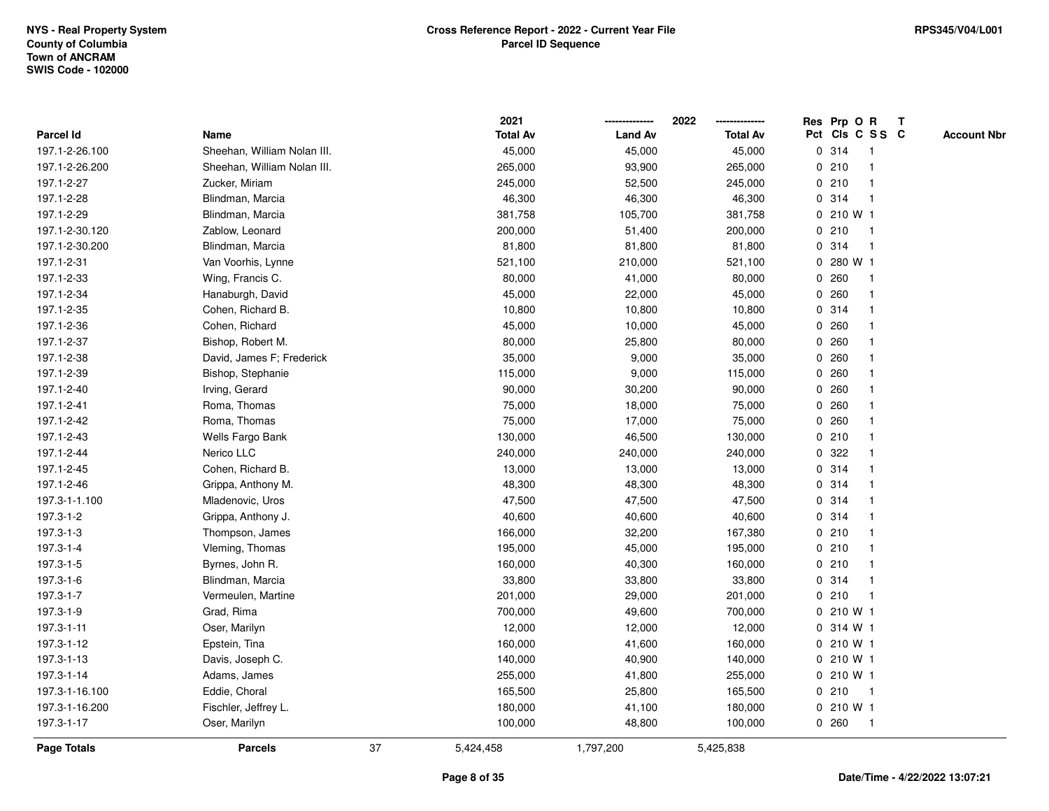|                    |                             |    | 2021            |                | 2022            |             | Res Prp O R     |                         | $\mathbf{T}$ |                    |
|--------------------|-----------------------------|----|-----------------|----------------|-----------------|-------------|-----------------|-------------------------|--------------|--------------------|
| <b>Parcel Id</b>   | Name                        |    | <b>Total Av</b> | <b>Land Av</b> | <b>Total Av</b> |             | Pct Cls C S S C |                         |              | <b>Account Nbr</b> |
| 197.1-2-26.100     | Sheehan, William Nolan III. |    | 45,000          | 45,000         | 45,000          |             | 0 314           | -1                      |              |                    |
| 197.1-2-26.200     | Sheehan, William Nolan III. |    | 265,000         | 93,900         | 265,000         |             | 0210            |                         |              |                    |
| 197.1-2-27         | Zucker, Miriam              |    | 245,000         | 52,500         | 245,000         | $\mathbf 0$ | 210             | -1                      |              |                    |
| 197.1-2-28         | Blindman, Marcia            |    | 46,300          | 46,300         | 46,300          | 0           | 314             | $\mathbf 1$             |              |                    |
| 197.1-2-29         | Blindman, Marcia            |    | 381,758         | 105,700        | 381,758         |             | 0 210 W 1       |                         |              |                    |
| 197.1-2-30.120     | Zablow, Leonard             |    | 200,000         | 51,400         | 200,000         |             | 0210            | -1                      |              |                    |
| 197.1-2-30.200     | Blindman, Marcia            |    | 81,800          | 81,800         | 81,800          |             | 0 314           |                         |              |                    |
| 197.1-2-31         | Van Voorhis, Lynne          |    | 521,100         | 210,000        | 521,100         |             | 0 280 W 1       |                         |              |                    |
| 197.1-2-33         | Wing, Francis C.            |    | 80,000          | 41,000         | 80,000          |             | 0.260           | -1                      |              |                    |
| 197.1-2-34         | Hanaburgh, David            |    | 45,000          | 22,000         | 45,000          | 0           | 260             | $\mathbf{1}$            |              |                    |
| 197.1-2-35         | Cohen, Richard B.           |    | 10,800          | 10,800         | 10,800          |             | 0.314           | $\mathbf{1}$            |              |                    |
| 197.1-2-36         | Cohen, Richard              |    | 45,000          | 10,000         | 45,000          |             | 0.260           | $\mathbf 1$             |              |                    |
| 197.1-2-37         | Bishop, Robert M.           |    | 80,000          | 25,800         | 80,000          |             | 0.260           |                         |              |                    |
| 197.1-2-38         | David, James F; Frederick   |    | 35,000          | 9,000          | 35,000          |             | 0.260           |                         |              |                    |
| 197.1-2-39         | Bishop, Stephanie           |    | 115,000         | 9,000          | 115,000         | 0           | 260             |                         |              |                    |
| 197.1-2-40         | Irving, Gerard              |    | 90,000          | 30,200         | 90,000          | 0           | 260             |                         |              |                    |
| 197.1-2-41         | Roma, Thomas                |    | 75,000          | 18,000         | 75,000          | 0           | 260             | $\overline{\mathbf{1}}$ |              |                    |
| 197.1-2-42         | Roma, Thomas                |    | 75,000          | 17,000         | 75,000          | 0           | 260             | -1                      |              |                    |
| 197.1-2-43         | Wells Fargo Bank            |    | 130,000         | 46,500         | 130,000         |             | 0210            |                         |              |                    |
| 197.1-2-44         | Nerico LLC                  |    | 240,000         | 240,000        | 240,000         |             | 0 322           |                         |              |                    |
| 197.1-2-45         | Cohen, Richard B.           |    | 13,000          | 13,000         | 13,000          |             | 0 314           |                         |              |                    |
| 197.1-2-46         | Grippa, Anthony M.          |    | 48,300          | 48,300         | 48,300          |             | 0 314           |                         |              |                    |
| 197.3-1-1.100      | Mladenovic, Uros            |    | 47,500          | 47,500         | 47,500          | 0           | 314             |                         |              |                    |
| 197.3-1-2          | Grippa, Anthony J.          |    | 40,600          | 40,600         | 40,600          |             | 0.314           | $\mathbf{1}$            |              |                    |
| 197.3-1-3          | Thompson, James             |    | 166,000         | 32,200         | 167,380         |             | 0210            |                         |              |                    |
| 197.3-1-4          | Vleming, Thomas             |    | 195,000         | 45,000         | 195,000         |             | 0210            |                         |              |                    |
| 197.3-1-5          | Byrnes, John R.             |    | 160,000         | 40,300         | 160,000         |             | 0210            |                         |              |                    |
| 197.3-1-6          | Blindman, Marcia            |    | 33,800          | 33,800         | 33,800          |             | 0.314           |                         |              |                    |
| 197.3-1-7          | Vermeulen, Martine          |    | 201,000         | 29,000         | 201,000         |             | 0210            | -1                      |              |                    |
| 197.3-1-9          | Grad, Rima                  |    | 700,000         | 49,600         | 700,000         | $\mathbf 0$ | 210 W 1         |                         |              |                    |
| 197.3-1-11         | Oser, Marilyn               |    | 12,000          | 12,000         | 12,000          |             | 0 314 W 1       |                         |              |                    |
| 197.3-1-12         | Epstein, Tina               |    | 160,000         | 41,600         | 160,000         |             | $0, 210$ W 1    |                         |              |                    |
| 197.3-1-13         | Davis, Joseph C.            |    | 140,000         | 40,900         | 140,000         |             | 0210W1          |                         |              |                    |
| 197.3-1-14         | Adams, James                |    | 255,000         | 41,800         | 255,000         |             | 0 210 W 1       |                         |              |                    |
| 197.3-1-16.100     | Eddie, Choral               |    | 165,500         | 25,800         | 165,500         |             | 0210            | $\mathbf{1}$            |              |                    |
| 197.3-1-16.200     | Fischler, Jeffrey L.        |    | 180,000         | 41,100         | 180,000         |             | 0 210 W 1       |                         |              |                    |
| 197.3-1-17         | Oser, Marilyn               |    | 100,000         | 48,800         | 100,000         |             | 0.260           | $\mathbf{1}$            |              |                    |
| <b>Page Totals</b> | <b>Parcels</b>              | 37 | 5,424,458       | 1,797,200      | 5,425,838       |             |                 |                         |              |                    |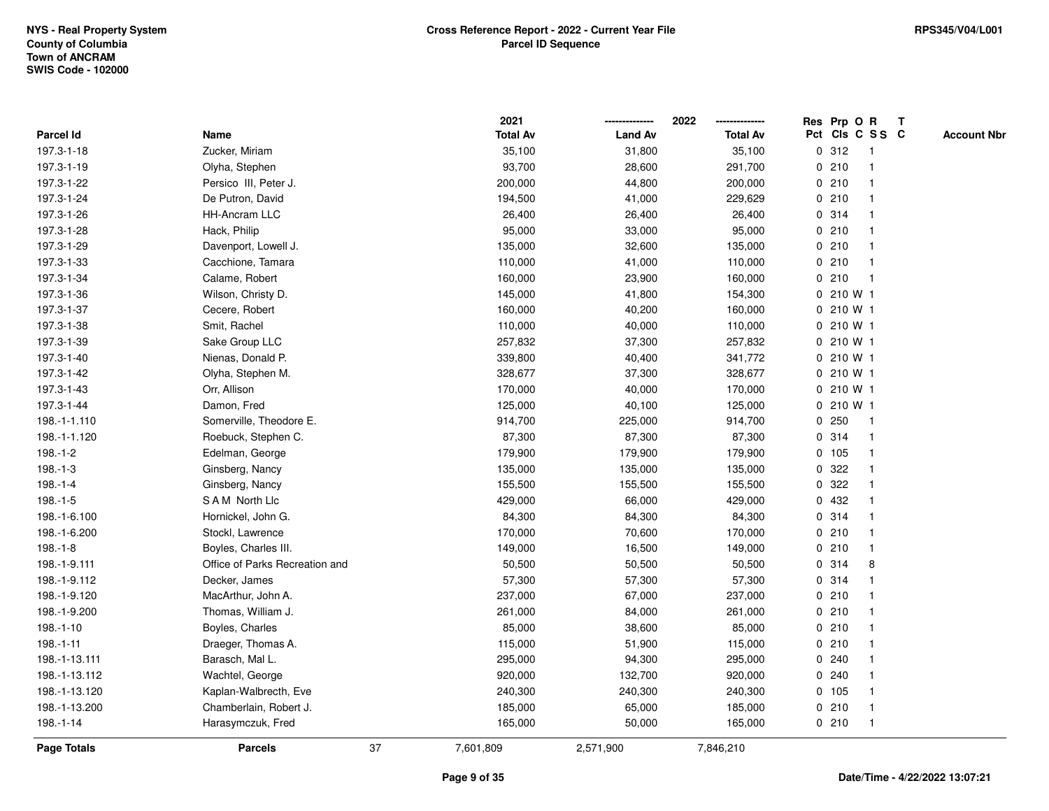|                    |                                |    | 2021            |                | 2022            |             | Res Prp O R |                 | T |                    |
|--------------------|--------------------------------|----|-----------------|----------------|-----------------|-------------|-------------|-----------------|---|--------------------|
| Parcel Id          | Name                           |    | <b>Total Av</b> | <b>Land Av</b> | <b>Total Av</b> |             |             | Pct Cls C S S C |   | <b>Account Nbr</b> |
| 197.3-1-18         | Zucker, Miriam                 |    | 35,100          | 31,800         | 35,100          |             | 0.312       | $\mathbf{1}$    |   |                    |
| 197.3-1-19         | Olyha, Stephen                 |    | 93,700          | 28,600         | 291,700         | 0           | 210         | -1              |   |                    |
| 197.3-1-22         | Persico III, Peter J.          |    | 200,000         | 44,800         | 200,000         |             | 0210        | -1              |   |                    |
| 197.3-1-24         | De Putron, David               |    | 194,500         | 41,000         | 229,629         |             | 0210        |                 |   |                    |
| 197.3-1-26         | <b>HH-Ancram LLC</b>           |    | 26,400          | 26,400         | 26,400          |             | 0 314       |                 |   |                    |
| 197.3-1-28         | Hack, Philip                   |    | 95,000          | 33,000         | 95,000          |             | 0210        |                 |   |                    |
| 197.3-1-29         | Davenport, Lowell J.           |    | 135,000         | 32,600         | 135,000         |             | 0210        |                 |   |                    |
| 197.3-1-33         | Cacchione, Tamara              |    | 110,000         | 41,000         | 110,000         | 0           | 210         | $\overline{1}$  |   |                    |
| 197.3-1-34         | Calame, Robert                 |    | 160,000         | 23,900         | 160,000         | 0           | 210         | $\overline{1}$  |   |                    |
| 197.3-1-36         | Wilson, Christy D.             |    | 145,000         | 41,800         | 154,300         |             | 0210 W1     |                 |   |                    |
| 197.3-1-37         | Cecere, Robert                 |    | 160,000         | 40,200         | 160,000         |             | 0210 W1     |                 |   |                    |
| 197.3-1-38         | Smit, Rachel                   |    | 110,000         | 40,000         | 110,000         |             | 0210W1      |                 |   |                    |
| 197.3-1-39         | Sake Group LLC                 |    | 257,832         | 37,300         | 257,832         |             | 0 210 W 1   |                 |   |                    |
| 197.3-1-40         | Nienas, Donald P.              |    | 339,800         | 40,400         | 341,772         |             | 0210 W1     |                 |   |                    |
| 197.3-1-42         | Olyha, Stephen M.              |    | 328,677         | 37,300         | 328,677         |             | 0 210 W 1   |                 |   |                    |
| 197.3-1-43         | Orr, Allison                   |    | 170,000         | 40,000         | 170,000         |             | 0 210 W 1   |                 |   |                    |
| 197.3-1-44         | Damon, Fred                    |    | 125,000         | 40,100         | 125,000         | 0           | 210 W 1     |                 |   |                    |
| 198.-1-1.110       | Somerville, Theodore E.        |    | 914,700         | 225,000        | 914,700         |             | 0.250       | -1              |   |                    |
| 198.-1-1.120       | Roebuck, Stephen C.            |    | 87,300          | 87,300         | 87,300          |             | 0 314       |                 |   |                    |
| $198.-1-2$         | Edelman, George                |    | 179,900         | 179,900        | 179,900         |             | 0, 105      |                 |   |                    |
| $198.-1-3$         | Ginsberg, Nancy                |    | 135,000         | 135,000        | 135,000         |             | 0 322       |                 |   |                    |
| $198.-1-4$         | Ginsberg, Nancy                |    | 155,500         | 155,500        | 155,500         | 0           | 322         |                 |   |                    |
| $198.-1-5$         | SAM North Llc                  |    | 429,000         | 66,000         | 429,000         | $\mathbf 0$ | 432         | -1              |   |                    |
| 198.-1-6.100       | Hornickel, John G.             |    | 84,300          | 84,300         | 84,300          |             | 0 314       | $\overline{1}$  |   |                    |
| 198.-1-6.200       | Stockl, Lawrence               |    | 170,000         | 70,600         | 170,000         |             | 0210        | -1              |   |                    |
| $198.-1-8$         | Boyles, Charles III.           |    | 149,000         | 16,500         | 149,000         |             | 0210        |                 |   |                    |
| 198.-1-9.111       | Office of Parks Recreation and |    | 50,500          | 50,500         | 50,500          |             | 0.314       | 8               |   |                    |
| 198.-1-9.112       | Decker, James                  |    | 57,300          | 57,300         | 57,300          |             | 0.314       |                 |   |                    |
| 198.-1-9.120       | MacArthur, John A.             |    | 237,000         | 67,000         | 237,000         |             | 0210        |                 |   |                    |
| 198.-1-9.200       | Thomas, William J.             |    | 261,000         | 84,000         | 261,000         | 0           | 210         |                 |   |                    |
| 198.-1-10          | Boyles, Charles                |    | 85,000          | 38,600         | 85,000          |             | 0210        | -1              |   |                    |
| $198.-1-11$        | Draeger, Thomas A.             |    | 115,000         | 51,900         | 115,000         |             | 0210        | -1              |   |                    |
| 198.-1-13.111      | Barasch, Mal L.                |    | 295,000         | 94,300         | 295,000         |             | 0.240       |                 |   |                    |
| 198.-1-13.112      | Wachtel, George                |    | 920,000         | 132,700        | 920,000         |             | 0.240       |                 |   |                    |
| 198.-1-13.120      | Kaplan-Walbrecth, Eve          |    | 240,300         | 240,300        | 240,300         |             | 0 105       |                 |   |                    |
| 198.-1-13.200      | Chamberlain, Robert J.         |    | 185,000         | 65,000         | 185,000         |             | 0210        | -1              |   |                    |
| 198.-1-14          | Harasymczuk, Fred              |    | 165,000         | 50,000         | 165,000         |             | 0210        | $\overline{1}$  |   |                    |
| <b>Page Totals</b> | <b>Parcels</b>                 | 37 | 7,601,809       | 2,571,900      | 7,846,210       |             |             |                 |   |                    |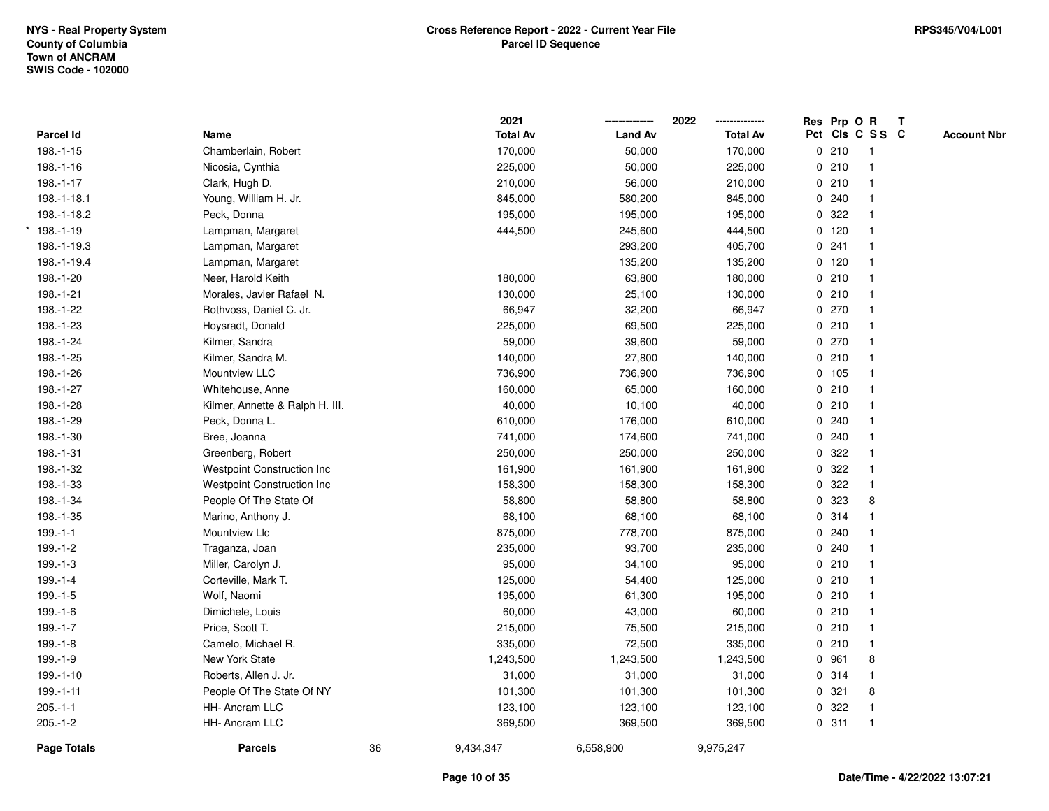|               |                                    |    | 2021            |                | 2022            | Res Prp O R     |              | $\mathbf{T}$ |                    |
|---------------|------------------------------------|----|-----------------|----------------|-----------------|-----------------|--------------|--------------|--------------------|
| Parcel Id     | Name                               |    | <b>Total Av</b> | <b>Land Av</b> | <b>Total Av</b> | Pct Cls C S S C |              |              | <b>Account Nbr</b> |
| 198.-1-15     | Chamberlain, Robert                |    | 170,000         | 50,000         | 170,000         | 0210            | $\mathbf{1}$ |              |                    |
| 198.-1-16     | Nicosia, Cynthia                   |    | 225,000         | 50,000         | 225,000         | 0210            | 1            |              |                    |
| 198.-1-17     | Clark, Hugh D.                     |    | 210,000         | 56,000         | 210,000         | 0210            | $\mathbf{1}$ |              |                    |
| 198.-1-18.1   | Young, William H. Jr.              |    | 845,000         | 580,200        | 845,000         | 0.240           | $\mathbf{1}$ |              |                    |
| 198.-1-18.2   | Peck, Donna                        |    | 195,000         | 195,000        | 195,000         | 0.322           | $\mathbf{1}$ |              |                    |
| $*$ 198.-1-19 | Lampman, Margaret                  |    | 444,500         | 245,600        | 444,500         | $0$ 120         | 1            |              |                    |
| 198.-1-19.3   | Lampman, Margaret                  |    |                 | 293,200        | 405,700         | 0.241           | $\mathbf{1}$ |              |                    |
| 198.-1-19.4   | Lampman, Margaret                  |    |                 | 135,200        | 135,200         | $0$ 120         |              |              |                    |
| 198.-1-20     | Neer, Harold Keith                 |    | 180,000         | 63,800         | 180,000         | 0210            | $\mathbf{1}$ |              |                    |
| 198.-1-21     | Morales, Javier Rafael N.          |    | 130,000         | 25,100         | 130,000         | 0210            | $\mathbf{1}$ |              |                    |
| 198.-1-22     | Rothvoss, Daniel C. Jr.            |    | 66,947          | 32,200         | 66,947          | 0270            | $\mathbf{1}$ |              |                    |
| 198.-1-23     | Hoysradt, Donald                   |    | 225,000         | 69,500         | 225,000         | 0210            | $\mathbf{1}$ |              |                    |
| 198.-1-24     | Kilmer, Sandra                     |    | 59,000          | 39,600         | 59,000          | $0$ 270         | 1            |              |                    |
| 198.-1-25     | Kilmer, Sandra M.                  |    | 140,000         | 27,800         | 140,000         | 0210            | 1            |              |                    |
| 198.-1-26     | Mountview LLC                      |    | 736,900         | 736,900        | 736,900         | 0 105           |              |              |                    |
| 198.-1-27     | Whitehouse, Anne                   |    | 160,000         | 65,000         | 160,000         | 0210            | 1            |              |                    |
| 198.-1-28     | Kilmer, Annette & Ralph H. III.    |    | 40,000          | 10,100         | 40,000          | 0210            | $\mathbf{1}$ |              |                    |
| 198.-1-29     | Peck, Donna L.                     |    | 610,000         | 176,000        | 610,000         | 0.240           | $\mathbf{1}$ |              |                    |
| 198.-1-30     | Bree, Joanna                       |    | 741,000         | 174,600        | 741,000         | 0.240           | $\mathbf{1}$ |              |                    |
| 198.-1-31     | Greenberg, Robert                  |    | 250,000         | 250,000        | 250,000         | 0.322           | $\mathbf 1$  |              |                    |
| 198.-1-32     | <b>Westpoint Construction Inc.</b> |    | 161,900         | 161,900        | 161,900         | 0 322           |              |              |                    |
| 198.-1-33     | Westpoint Construction Inc         |    | 158,300         | 158,300        | 158,300         | 0 322           | $\mathbf{1}$ |              |                    |
| 198.-1-34     | People Of The State Of             |    | 58,800          | 58,800         | 58,800          | 0 323           | 8            |              |                    |
| 198.-1-35     | Marino, Anthony J.                 |    | 68,100          | 68,100         | 68,100          | 0 314           | $\mathbf{1}$ |              |                    |
| $199.-1-1$    | Mountview Llc                      |    | 875,000         | 778,700        | 875,000         | 0.240           |              |              |                    |
| $199.-1-2$    | Traganza, Joan                     |    | 235,000         | 93,700         | 235,000         | 0.240           | 1            |              |                    |
| $199.-1-3$    | Miller, Carolyn J.                 |    | 95,000          | 34,100         | 95,000          | 0210            |              |              |                    |
| 199.-1-4      | Corteville, Mark T.                |    | 125,000         | 54,400         | 125,000         | 0210            |              |              |                    |
| $199.-1-5$    | Wolf, Naomi                        |    | 195,000         | 61,300         | 195,000         | 0210            | $\mathbf{1}$ |              |                    |
| 199.-1-6      | Dimichele, Louis                   |    | 60,000          | 43,000         | 60,000          | 0210            | $\mathbf{1}$ |              |                    |
| $199.-1-7$    | Price, Scott T.                    |    | 215,000         | 75,500         | 215,000         | 0210            | $\mathbf{1}$ |              |                    |
| $199.-1-8$    | Camelo, Michael R.                 |    | 335,000         | 72,500         | 335,000         | 0210            | $\mathbf{1}$ |              |                    |
| 199.-1-9      | New York State                     |    | 1,243,500       | 1,243,500      | 1,243,500       | 0 961           | 8            |              |                    |
| $199.-1-10$   | Roberts, Allen J. Jr.              |    | 31,000          | 31,000         | 31,000          | 0 314           | 1            |              |                    |
| 199.-1-11     | People Of The State Of NY          |    | 101,300         | 101,300        | 101,300         | 0.321           | 8            |              |                    |
| $205.-1-1$    | HH- Ancram LLC                     |    | 123,100         | 123,100        | 123,100         | 0.322           | $\mathbf{1}$ |              |                    |
| $205.-1-2$    | <b>HH-Ancram LLC</b>               |    | 369,500         | 369,500        | 369,500         | 0.311           | $\mathbf{1}$ |              |                    |
| Page Totals   | <b>Parcels</b>                     | 36 | 9,434,347       | 6,558,900      | 9,975,247       |                 |              |              |                    |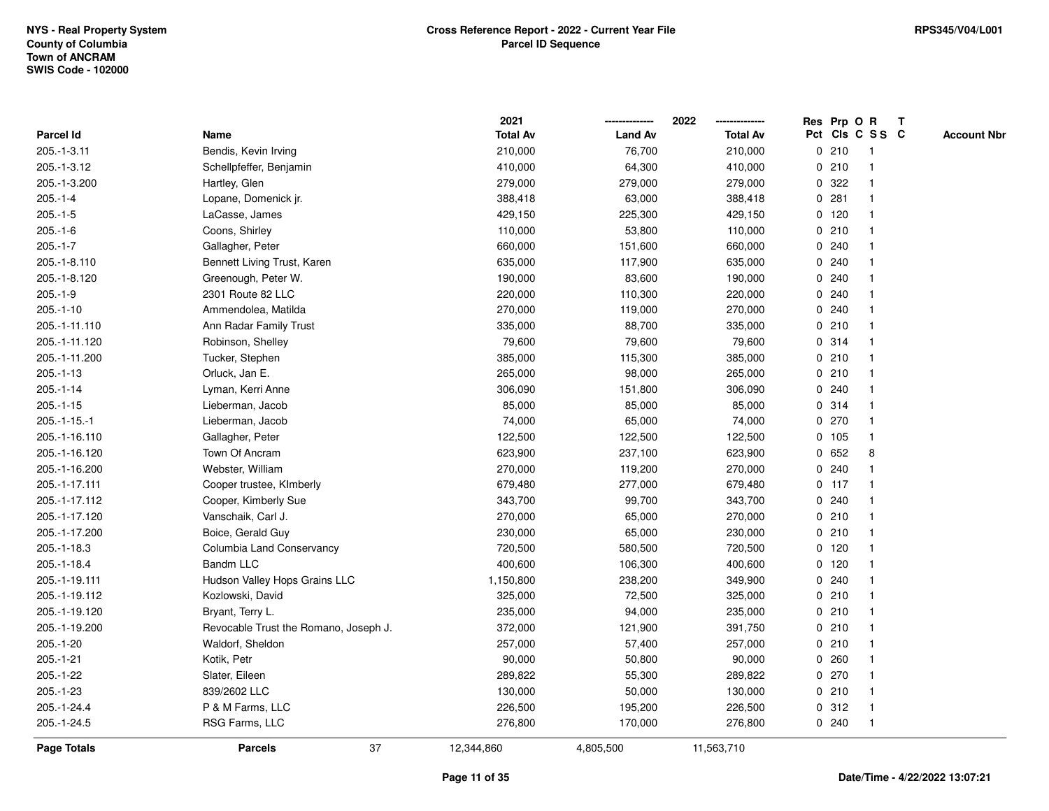|                    |                                       | 2021            |                | 2022            | Res Prp O R |         |                 | $\mathbf{T}$ |                    |
|--------------------|---------------------------------------|-----------------|----------------|-----------------|-------------|---------|-----------------|--------------|--------------------|
| <b>Parcel Id</b>   | Name                                  | <b>Total Av</b> | <b>Land Av</b> | <b>Total Av</b> |             |         | Pct Cls C S S C |              | <b>Account Nbr</b> |
| 205.-1-3.11        | Bendis, Kevin Irving                  | 210,000         | 76,700         | 210,000         |             | 0210    | 1               |              |                    |
| 205.-1-3.12        | Schellpfeffer, Benjamin               | 410,000         | 64,300         | 410,000         |             | 0210    |                 |              |                    |
| 205.-1-3.200       | Hartley, Glen                         | 279,000         | 279,000        | 279,000         | 0           | 322     | $\mathbf 1$     |              |                    |
| $205.-1-4$         | Lopane, Domenick jr.                  | 388,418         | 63,000         | 388,418         | 0           | 281     | $\mathbf{1}$    |              |                    |
| $205.-1-5$         | LaCasse, James                        | 429,150         | 225,300        | 429,150         |             | 0 120   | $\mathbf{1}$    |              |                    |
| $205.-1-6$         | Coons, Shirley                        | 110,000         | 53,800         | 110,000         |             | 0210    | $\mathbf{1}$    |              |                    |
| $205.-1-7$         | Gallagher, Peter                      | 660,000         | 151,600        | 660,000         |             | 0.240   |                 |              |                    |
| 205.-1-8.110       | Bennett Living Trust, Karen           | 635,000         | 117,900        | 635,000         |             | 0.240   |                 |              |                    |
| 205.-1-8.120       | Greenough, Peter W.                   | 190,000         | 83,600         | 190,000         |             | 0.240   |                 |              |                    |
| $205.-1-9$         | 2301 Route 82 LLC                     | 220,000         | 110,300        | 220,000         |             | 0.240   | $\mathbf{1}$    |              |                    |
| $205.-1-10$        | Ammendolea, Matilda                   | 270,000         | 119,000        | 270,000         |             | 0.240   | $\mathbf{1}$    |              |                    |
| 205.-1-11.110      | Ann Radar Family Trust                | 335,000         | 88,700         | 335,000         |             | 0210    | $\mathbf{1}$    |              |                    |
| 205.-1-11.120      | Robinson, Shelley                     | 79,600          | 79,600         | 79,600          |             | 0.314   | $\mathbf{1}$    |              |                    |
| 205.-1-11.200      | Tucker, Stephen                       | 385,000         | 115,300        | 385,000         |             | 0210    | 1               |              |                    |
| $205.-1-13$        | Orluck, Jan E.                        | 265,000         | 98,000         | 265,000         |             | 0210    |                 |              |                    |
| $205.-1-14$        | Lyman, Kerri Anne                     | 306,090         | 151,800        | 306,090         |             | 0.240   | $\mathbf 1$     |              |                    |
| $205.-1-15$        | Lieberman, Jacob                      | 85,000          | 85,000         | 85,000          | 0           | 314     | $\mathbf{1}$    |              |                    |
| $205.-1-15.-1$     | Lieberman, Jacob                      | 74,000          | 65,000         | 74,000          |             | 0270    | $\mathbf{1}$    |              |                    |
| 205.-1-16.110      | Gallagher, Peter                      | 122,500         | 122,500        | 122,500         |             | 0 105   | $\mathbf{1}$    |              |                    |
| 205.-1-16.120      | Town Of Ancram                        | 623,900         | 237,100        | 623,900         |             | 0 652   | 8               |              |                    |
| 205.-1-16.200      | Webster, William                      | 270,000         | 119,200        | 270,000         |             | 0.240   |                 |              |                    |
| 205.-1-17.111      | Cooper trustee, KImberly              | 679,480         | 277,000        | 679,480         |             | $0$ 117 |                 |              |                    |
| 205.-1-17.112      | Cooper, Kimberly Sue                  | 343,700         | 99,700         | 343,700         |             | 0.240   | $\mathbf 1$     |              |                    |
| 205.-1-17.120      | Vanschaik, Carl J.                    | 270,000         | 65,000         | 270,000         |             | 0210    | $\mathbf{1}$    |              |                    |
| 205.-1-17.200      | Boice, Gerald Guy                     | 230,000         | 65,000         | 230,000         |             | 0210    | $\mathbf{1}$    |              |                    |
| 205.-1-18.3        | Columbia Land Conservancy             | 720,500         | 580,500        | 720,500         |             | 0, 120  | $\mathbf 1$     |              |                    |
| 205.-1-18.4        | <b>Bandm LLC</b>                      | 400,600         | 106,300        | 400,600         |             | $0$ 120 | -1              |              |                    |
| 205.-1-19.111      | Hudson Valley Hops Grains LLC         | 1,150,800       | 238,200        | 349,900         |             | 0.240   |                 |              |                    |
| 205.-1-19.112      | Kozlowski, David                      | 325,000         | 72,500         | 325,000         |             | 0210    | $\mathbf{1}$    |              |                    |
| 205.-1-19.120      | Bryant, Terry L.                      | 235,000         | 94,000         | 235,000         |             | 0210    | $\mathbf 1$     |              |                    |
| 205.-1-19.200      | Revocable Trust the Romano, Joseph J. | 372,000         | 121,900        | 391,750         |             | 0210    | $\mathbf{1}$    |              |                    |
| 205.-1-20          | Waldorf, Sheldon                      | 257,000         | 57,400         | 257,000         |             | 0210    | 1               |              |                    |
| $205.-1-21$        | Kotik, Petr                           | 90,000          | 50,800         | 90,000          |             | 0.260   | $\mathbf 1$     |              |                    |
| 205.-1-22          | Slater, Eileen                        | 289,822         | 55,300         | 289,822         |             | 0270    |                 |              |                    |
| 205.-1-23          | 839/2602 LLC                          | 130,000         | 50,000         | 130,000         |             | 0210    | $\mathbf 1$     |              |                    |
| 205.-1-24.4        | P & M Farms, LLC                      | 226,500         | 195,200        | 226,500         |             | 0.312   | $\mathbf{1}$    |              |                    |
| 205.-1-24.5        | RSG Farms, LLC                        | 276,800         | 170,000        | 276,800         |             | 0240    | $\mathbf{1}$    |              |                    |
| <b>Page Totals</b> | 37<br><b>Parcels</b>                  | 12,344,860      | 4,805,500      | 11,563,710      |             |         |                 |              |                    |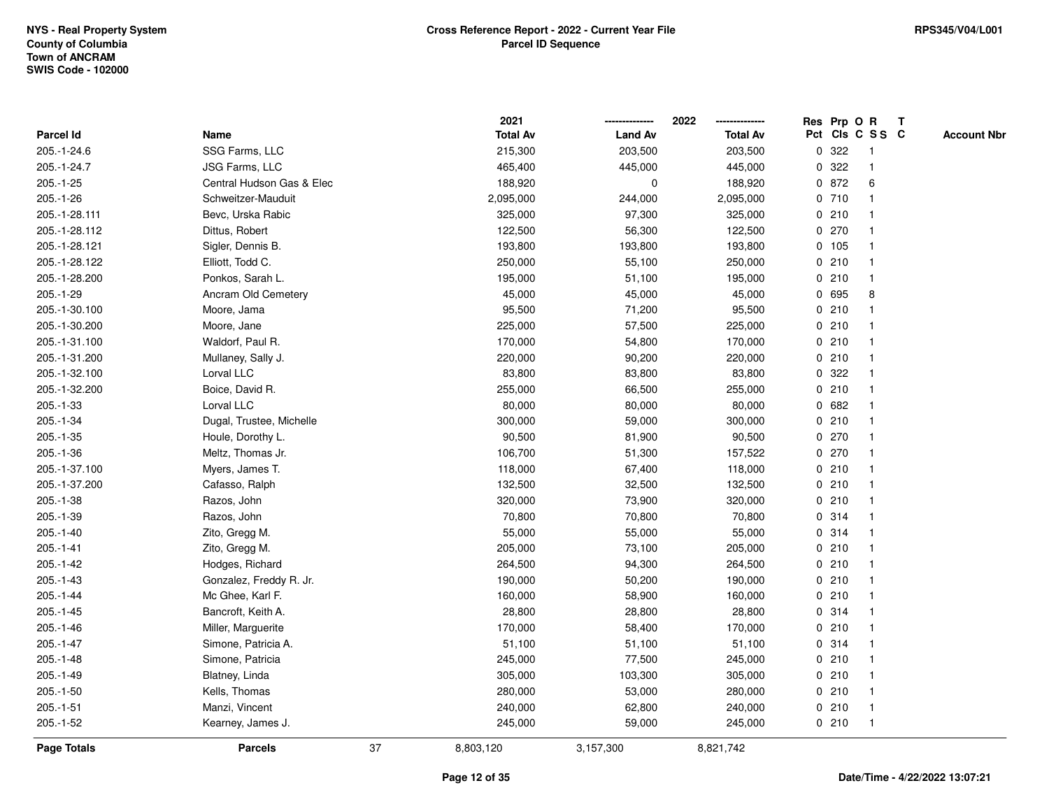|                    |                           |    | 2021            |                | 2022            |             | Res Prp O R |                         | Т |                    |
|--------------------|---------------------------|----|-----------------|----------------|-----------------|-------------|-------------|-------------------------|---|--------------------|
| Parcel Id          | Name                      |    | <b>Total Av</b> | <b>Land Av</b> | <b>Total Av</b> |             |             | Pct Cls C S S C         |   | <b>Account Nbr</b> |
| 205.-1-24.6        | SSG Farms, LLC            |    | 215,300         | 203,500        | 203,500         | $\mathbf 0$ | 322         | -1                      |   |                    |
| 205.-1-24.7        | <b>JSG Farms, LLC</b>     |    | 465,400         | 445,000        | 445,000         | 0           | 322         | $\mathbf 1$             |   |                    |
| 205.-1-25          | Central Hudson Gas & Elec |    | 188,920         | $\mathbf 0$    | 188,920         |             | 0 872       | 6                       |   |                    |
| $205.-1-26$        | Schweitzer-Mauduit        |    | 2,095,000       | 244,000        | 2,095,000       |             | 0710        |                         |   |                    |
| 205.-1-28.111      | Bevc, Urska Rabic         |    | 325,000         | 97,300         | 325,000         |             | 0210        |                         |   |                    |
| 205.-1-28.112      | Dittus, Robert            |    | 122,500         | 56,300         | 122,500         |             | 0270        |                         |   |                    |
| 205.-1-28.121      | Sigler, Dennis B.         |    | 193,800         | 193,800        | 193,800         |             | 0 105       |                         |   |                    |
| 205.-1-28.122      | Elliott, Todd C.          |    | 250,000         | 55,100         | 250,000         |             | 0210        | $\overline{\mathbf{1}}$ |   |                    |
| 205.-1-28.200      | Ponkos, Sarah L.          |    | 195,000         | 51,100         | 195,000         |             | 0210        | $\mathbf 1$             |   |                    |
| 205.-1-29          | Ancram Old Cemetery       |    | 45,000          | 45,000         | 45,000          |             | 0 695       | 8                       |   |                    |
| 205.-1-30.100      | Moore, Jama               |    | 95,500          | 71,200         | 95,500          |             | 0210        |                         |   |                    |
| 205.-1-30.200      | Moore, Jane               |    | 225,000         | 57,500         | 225,000         |             | 0210        |                         |   |                    |
| 205.-1-31.100      | Waldorf, Paul R.          |    | 170,000         | 54,800         | 170,000         |             | 0210        |                         |   |                    |
| 205.-1-31.200      | Mullaney, Sally J.        |    | 220,000         | 90,200         | 220,000         |             | 0210        |                         |   |                    |
| 205.-1-32.100      | Lorval LLC                |    | 83,800          | 83,800         | 83,800          | 0           | 322         |                         |   |                    |
| 205.-1-32.200      | Boice, David R.           |    | 255,000         | 66,500         | 255,000         |             | 0210        | $\mathbf{1}$            |   |                    |
| 205.-1-33          | Lorval LLC                |    | 80,000          | 80,000         | 80,000          |             | 0 682       | -1                      |   |                    |
| 205.-1-34          | Dugal, Trustee, Michelle  |    | 300,000         | 59,000         | 300,000         |             | 0210        |                         |   |                    |
| $205.-1-35$        | Houle, Dorothy L.         |    | 90,500          | 81,900         | 90,500          |             | 0270        |                         |   |                    |
| $205.-1-36$        | Meltz, Thomas Jr.         |    | 106,700         | 51,300         | 157,522         |             | 0270        |                         |   |                    |
| 205.-1-37.100      | Myers, James T.           |    | 118,000         | 67,400         | 118,000         |             | 0210        |                         |   |                    |
| 205.-1-37.200      | Cafasso, Ralph            |    | 132,500         | 32,500         | 132,500         |             | 0210        |                         |   |                    |
| 205.-1-38          | Razos, John               |    | 320,000         | 73,900         | 320,000         |             | 0210        | -1                      |   |                    |
| 205.-1-39          | Razos, John               |    | 70,800          | 70,800         | 70,800          |             | 0.314       | -1                      |   |                    |
| 205.-1-40          | Zito, Gregg M.            |    | 55,000          | 55,000         | 55,000          |             | 0.314       | -1                      |   |                    |
| $205.-1-41$        | Zito, Gregg M.            |    | 205,000         | 73,100         | 205,000         |             | 0210        |                         |   |                    |
| $205.-1-42$        | Hodges, Richard           |    | 264,500         | 94,300         | 264,500         |             | 0210        |                         |   |                    |
| $205.-1-43$        | Gonzalez, Freddy R. Jr.   |    | 190,000         | 50,200         | 190,000         |             | 0210        |                         |   |                    |
| $205.-1-44$        | Mc Ghee, Karl F.          |    | 160,000         | 58,900         | 160,000         |             | 0210        | $\overline{\mathbf{1}}$ |   |                    |
| $205.-1-45$        | Bancroft, Keith A.        |    | 28,800          | 28,800         | 28,800          |             | 0.314       | -1                      |   |                    |
| $205.-1-46$        | Miller, Marguerite        |    | 170,000         | 58,400         | 170,000         |             | 0210        | -1                      |   |                    |
| $205.-1-47$        | Simone, Patricia A.       |    | 51,100          | 51,100         | 51,100          |             | 0.314       | -1                      |   |                    |
| $205.-1-48$        | Simone, Patricia          |    | 245,000         | 77,500         | 245,000         |             | 0210        |                         |   |                    |
| 205.-1-49          | Blatney, Linda            |    | 305,000         | 103,300        | 305,000         |             | 0210        |                         |   |                    |
| $205.-1-50$        | Kells, Thomas             |    | 280,000         | 53,000         | 280,000         |             | 0210        | -1                      |   |                    |
| $205.-1-51$        | Manzi, Vincent            |    | 240,000         | 62,800         | 240,000         |             | 0210        | $\mathbf 1$             |   |                    |
| $205.-1-52$        | Kearney, James J.         |    | 245,000         | 59,000         | 245,000         |             | 0210        | $\mathbf{1}$            |   |                    |
| <b>Page Totals</b> | <b>Parcels</b>            | 37 | 8,803,120       | 3,157,300      | 8,821,742       |             |             |                         |   |                    |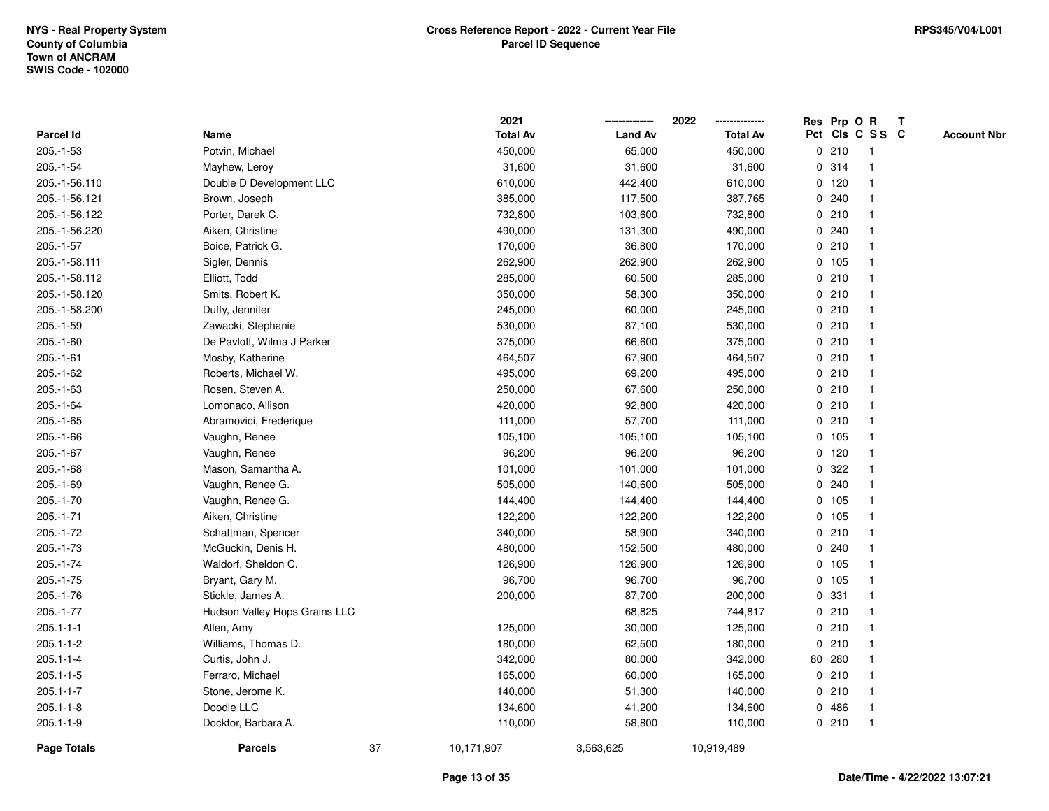|                 |                               |    | 2021            |                | 2022            |   | Res Prp O R |                 | Т |                    |
|-----------------|-------------------------------|----|-----------------|----------------|-----------------|---|-------------|-----------------|---|--------------------|
| Parcel Id       | Name                          |    | <b>Total Av</b> | <b>Land Av</b> | <b>Total Av</b> |   |             | Pct Cls C S S C |   | <b>Account Nbr</b> |
| $205.-1-53$     | Potvin, Michael               |    | 450,000         | 65,000         | 450,000         |   | 0210        | $\mathbf{1}$    |   |                    |
| 205.-1-54       | Mayhew, Leroy                 |    | 31,600          | 31,600         | 31,600          |   | 0.314       | 1               |   |                    |
| 205.-1-56.110   | Double D Development LLC      |    | 610,000         | 442,400        | 610,000         |   | $0$ 120     | $\mathbf 1$     |   |                    |
| 205.-1-56.121   | Brown, Joseph                 |    | 385,000         | 117,500        | 387,765         |   | 0.240       |                 |   |                    |
| 205.-1-56.122   | Porter, Darek C.              |    | 732,800         | 103,600        | 732,800         |   | 0210        |                 |   |                    |
| 205.-1-56.220   | Aiken, Christine              |    | 490,000         | 131,300        | 490,000         |   | 0.240       |                 |   |                    |
| $205.-1-57$     | Boice, Patrick G.             |    | 170,000         | 36,800         | 170,000         |   | 0210        | $\mathbf 1$     |   |                    |
| 205.-1-58.111   | Sigler, Dennis                |    | 262,900         | 262,900        | 262,900         |   | 0 105       | $\mathbf{1}$    |   |                    |
| 205.-1-58.112   | Elliott, Todd                 |    | 285,000         | 60,500         | 285,000         |   | 0210        | 1               |   |                    |
| 205.-1-58.120   | Smits, Robert K.              |    | 350,000         | 58,300         | 350,000         |   | 0210        | 1               |   |                    |
| 205.-1-58.200   | Duffy, Jennifer               |    | 245,000         | 60,000         | 245,000         |   | 0210        | $\mathbf 1$     |   |                    |
| 205.-1-59       | Zawacki, Stephanie            |    | 530,000         | 87,100         | 530,000         |   | 0210        |                 |   |                    |
| $205.-1-60$     | De Pavloff, Wilma J Parker    |    | 375,000         | 66,600         | 375,000         |   | 0210        |                 |   |                    |
| $205.-1-61$     | Mosby, Katherine              |    | 464,507         | 67,900         | 464,507         |   | 0210        | $\mathbf 1$     |   |                    |
| $205.-1-62$     | Roberts, Michael W.           |    | 495,000         | 69,200         | 495,000         |   | 0210        | $\mathbf 1$     |   |                    |
| $205.-1-63$     | Rosen, Steven A.              |    | 250,000         | 67,600         | 250,000         |   | 0210        | $\mathbf{1}$    |   |                    |
| 205.-1-64       | Lomonaco, Allison             |    | 420,000         | 92,800         | 420,000         |   | 0210        | $\mathbf{1}$    |   |                    |
| $205.-1-65$     | Abramovici, Frederique        |    | 111,000         | 57,700         | 111,000         |   | 0210        | 1               |   |                    |
| $205.-1-66$     | Vaughn, Renee                 |    | 105,100         | 105,100        | 105,100         |   | 0 105       |                 |   |                    |
| $205.-1-67$     | Vaughn, Renee                 |    | 96,200          | 96,200         | 96,200          |   | 0, 120      |                 |   |                    |
| $205.-1-68$     | Mason, Samantha A.            |    | 101,000         | 101,000        | 101,000         |   | 0.322       |                 |   |                    |
| $205.-1-69$     | Vaughn, Renee G.              |    | 505,000         | 140,600        | 505,000         |   | 0.240       |                 |   |                    |
| $205.-1-70$     | Vaughn, Renee G.              |    | 144,400         | 144,400        | 144,400         |   | 0, 105      | $\mathbf{1}$    |   |                    |
| $205.-1-71$     | Aiken, Christine              |    | 122,200         | 122,200        | 122,200         | 0 | 105         | $\mathbf 1$     |   |                    |
| 205.-1-72       | Schattman, Spencer            |    | 340,000         | 58,900         | 340,000         |   | 0210        | $\mathbf 1$     |   |                    |
| $205.-1-73$     | McGuckin, Denis H.            |    | 480,000         | 152,500        | 480,000         |   | 0.240       |                 |   |                    |
| 205.-1-74       | Waldorf, Sheldon C.           |    | 126,900         | 126,900        | 126,900         |   | 0, 105      |                 |   |                    |
| $205.-1-75$     | Bryant, Gary M.               |    | 96,700          | 96,700         | 96,700          |   | 0 105       | $\mathbf 1$     |   |                    |
| 205.-1-76       | Stickle, James A.             |    | 200,000         | 87,700         | 200,000         |   | 0.331       | $\mathbf 1$     |   |                    |
| $205.-1-77$     | Hudson Valley Hops Grains LLC |    |                 | 68,825         | 744,817         |   | 0210        | 1               |   |                    |
| $205.1 - 1 - 1$ | Allen, Amy                    |    | 125,000         | 30,000         | 125,000         |   | 0210        | 1               |   |                    |
| $205.1 - 1 - 2$ | Williams, Thomas D.           |    | 180,000         | 62,500         | 180,000         |   | 0210        | $\mathbf 1$     |   |                    |
| $205.1 - 1 - 4$ | Curtis, John J.               |    | 342,000         | 80,000         | 342,000         |   | 80 280      |                 |   |                    |
| $205.1 - 1 - 5$ | Ferraro, Michael              |    | 165,000         | 60,000         | 165,000         |   | 0210        |                 |   |                    |
| $205.1 - 1 - 7$ | Stone, Jerome K.              |    | 140,000         | 51,300         | 140,000         |   | 0210        | $\mathbf 1$     |   |                    |
| $205.1 - 1 - 8$ | Doodle LLC                    |    | 134,600         | 41,200         | 134,600         | 0 | 486         | $\mathbf 1$     |   |                    |
| $205.1 - 1 - 9$ | Docktor, Barbara A.           |    | 110,000         | 58,800         | 110,000         |   | 0210        | $\mathbf{1}$    |   |                    |
| Page Totals     | <b>Parcels</b>                | 37 | 10,171,907      | 3,563,625      | 10,919,489      |   |             |                 |   |                    |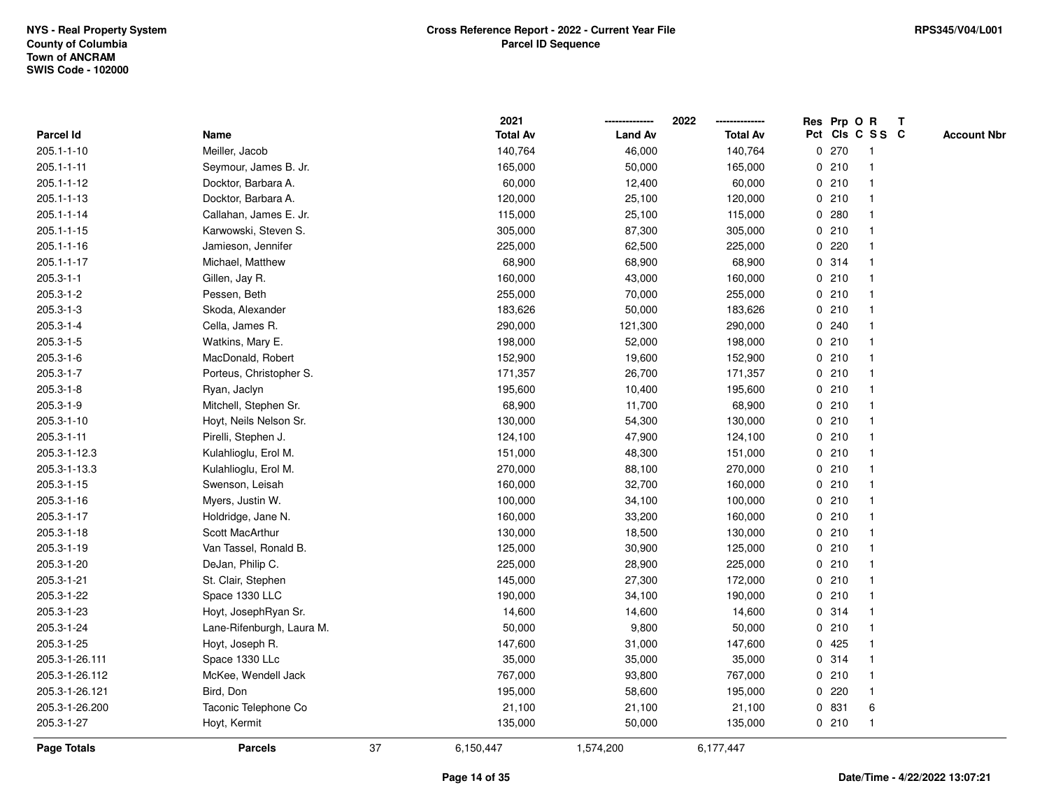|                  |                           |    | 2021            |                | 2022            |             |       | Res Prp O R     | $\mathbf{T}$ |                    |
|------------------|---------------------------|----|-----------------|----------------|-----------------|-------------|-------|-----------------|--------------|--------------------|
| Parcel Id        | Name                      |    | <b>Total Av</b> | <b>Land Av</b> | <b>Total Av</b> |             |       | Pct Cls C S S C |              | <b>Account Nbr</b> |
| 205.1-1-10       | Meiller, Jacob            |    | 140,764         | 46,000         | 140,764         |             | 0270  | -1              |              |                    |
| $205.1 - 1 - 11$ | Seymour, James B. Jr.     |    | 165,000         | 50,000         | 165,000         | $\mathbf 0$ | 210   |                 |              |                    |
| 205.1-1-12       | Docktor, Barbara A.       |    | 60,000          | 12,400         | 60,000          |             | 0210  | -1              |              |                    |
| 205.1-1-13       | Docktor, Barbara A.       |    | 120,000         | 25,100         | 120,000         | 0           | 210   | -1              |              |                    |
| 205.1-1-14       | Callahan, James E. Jr.    |    | 115,000         | 25,100         | 115,000         | $\mathbf 0$ | 280   | $\mathbf{1}$    |              |                    |
| 205.1-1-15       | Karwowski, Steven S.      |    | 305,000         | 87,300         | 305,000         |             | 0210  |                 |              |                    |
| 205.1-1-16       | Jamieson, Jennifer        |    | 225,000         | 62,500         | 225,000         |             | 0.220 |                 |              |                    |
| 205.1-1-17       | Michael, Matthew          |    | 68,900          | 68,900         | 68,900          |             | 0 314 |                 |              |                    |
| $205.3 - 1 - 1$  | Gillen, Jay R.            |    | 160,000         | 43,000         | 160,000         |             | 0210  |                 |              |                    |
| $205.3 - 1 - 2$  | Pessen, Beth              |    | 255,000         | 70,000         | 255,000         |             | 0210  |                 |              |                    |
| $205.3 - 1 - 3$  | Skoda, Alexander          |    | 183,626         | 50,000         | 183,626         | 0           | 210   | $\mathbf 1$     |              |                    |
| $205.3 - 1 - 4$  | Cella, James R.           |    | 290,000         | 121,300        | 290,000         | $\mathbf 0$ | 240   | $\mathbf{1}$    |              |                    |
| $205.3 - 1 - 5$  | Watkins, Mary E.          |    | 198,000         | 52,000         | 198,000         |             | 0210  |                 |              |                    |
| $205.3 - 1 - 6$  | MacDonald, Robert         |    | 152,900         | 19,600         | 152,900         |             | 0210  |                 |              |                    |
| $205.3 - 1 - 7$  | Porteus, Christopher S.   |    | 171,357         | 26,700         | 171,357         |             | 0210  |                 |              |                    |
| $205.3 - 1 - 8$  | Ryan, Jaclyn              |    | 195,600         | 10,400         | 195,600         |             | 0210  |                 |              |                    |
| 205.3-1-9        | Mitchell, Stephen Sr.     |    | 68,900          | 11,700         | 68,900          | 0           | 210   | $\mathbf{1}$    |              |                    |
| 205.3-1-10       | Hoyt, Neils Nelson Sr.    |    | 130,000         | 54,300         | 130,000         | 0           | 210   | $\mathbf{1}$    |              |                    |
| 205.3-1-11       | Pirelli, Stephen J.       |    | 124,100         | 47,900         | 124,100         |             | 0210  | $\mathbf{1}$    |              |                    |
| 205.3-1-12.3     | Kulahlioglu, Erol M.      |    | 151,000         | 48,300         | 151,000         |             | 0210  |                 |              |                    |
| 205.3-1-13.3     | Kulahlioglu, Erol M.      |    | 270,000         | 88,100         | 270,000         |             | 0210  |                 |              |                    |
| 205.3-1-15       | Swenson, Leisah           |    | 160,000         | 32,700         | 160,000         |             | 0210  |                 |              |                    |
| 205.3-1-16       | Myers, Justin W.          |    | 100,000         | 34,100         | 100,000         |             | 0210  |                 |              |                    |
| 205.3-1-17       | Holdridge, Jane N.        |    | 160,000         | 33,200         | 160,000         | 0           | 210   | $\mathbf{1}$    |              |                    |
| 205.3-1-18       | Scott MacArthur           |    | 130,000         | 18,500         | 130,000         |             | 0210  | -1              |              |                    |
| 205.3-1-19       | Van Tassel, Ronald B.     |    | 125,000         | 30,900         | 125,000         |             | 0210  | -1              |              |                    |
| 205.3-1-20       | DeJan, Philip C.          |    | 225,000         | 28,900         | 225,000         |             | 0210  |                 |              |                    |
| 205.3-1-21       | St. Clair, Stephen        |    | 145,000         | 27,300         | 172,000         |             | 0210  |                 |              |                    |
| 205.3-1-22       | Space 1330 LLC            |    | 190,000         | 34,100         | 190,000         |             | 0210  |                 |              |                    |
| 205.3-1-23       | Hoyt, JosephRyan Sr.      |    | 14,600          | 14,600         | 14,600          | 0           | 314   |                 |              |                    |
| 205.3-1-24       | Lane-Rifenburgh, Laura M. |    | 50,000          | 9,800          | 50,000          | 0           | 210   | $\mathbf{1}$    |              |                    |
| 205.3-1-25       | Hoyt, Joseph R.           |    | 147,600         | 31,000         | 147,600         |             | 0425  | $\mathbf{1}$    |              |                    |
| 205.3-1-26.111   | Space 1330 LLc            |    | 35,000          | 35,000         | 35,000          |             | 0.314 |                 |              |                    |
| 205.3-1-26.112   | McKee, Wendell Jack       |    | 767,000         | 93,800         | 767,000         |             | 0210  |                 |              |                    |
| 205.3-1-26.121   | Bird, Don                 |    | 195,000         | 58,600         | 195,000         |             | 0220  |                 |              |                    |
| 205.3-1-26.200   | Taconic Telephone Co      |    | 21,100          | 21,100         | 21,100          | 0           | 831   | 6               |              |                    |
| 205.3-1-27       | Hoyt, Kermit              |    | 135,000         | 50,000         | 135,000         |             | 0210  | $\mathbf{1}$    |              |                    |
| Page Totals      | <b>Parcels</b>            | 37 | 6,150,447       | 1,574,200      | 6,177,447       |             |       |                 |              |                    |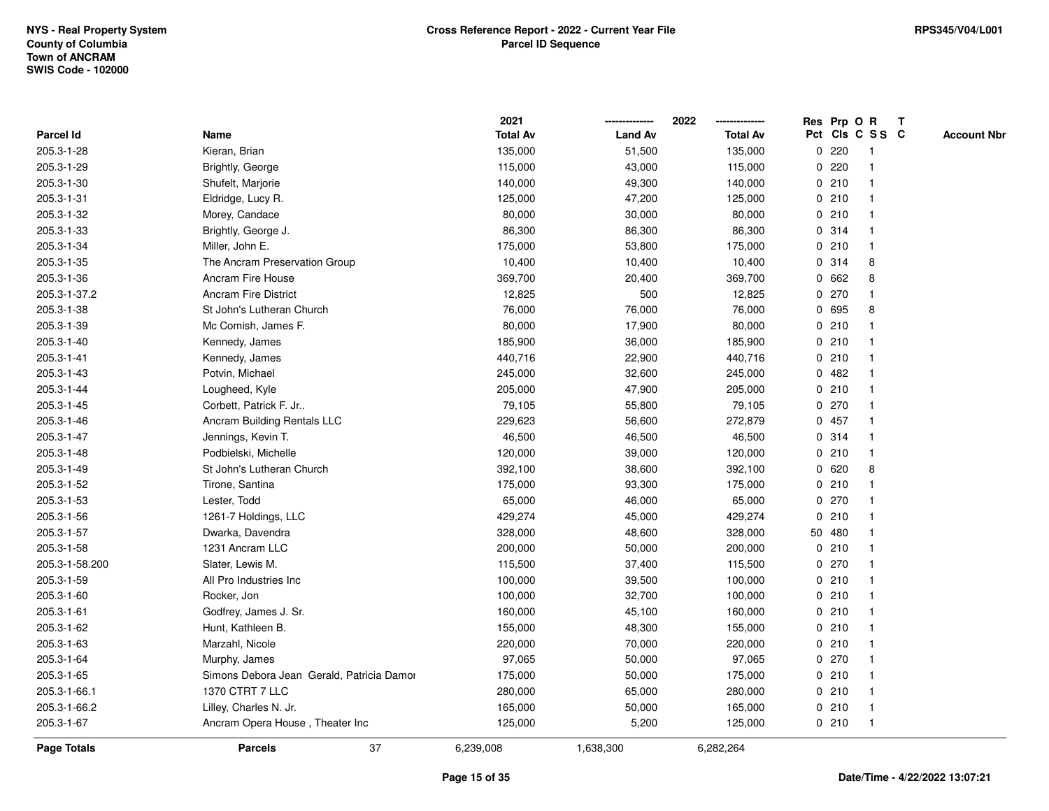|                |                                           | 2021            |                | 2022            |             |        | Res Prp O R     | T                  |
|----------------|-------------------------------------------|-----------------|----------------|-----------------|-------------|--------|-----------------|--------------------|
| Parcel Id      | Name                                      | <b>Total Av</b> | <b>Land Av</b> | <b>Total Av</b> |             |        | Pct Cls C S S C | <b>Account Nbr</b> |
| 205.3-1-28     | Kieran, Brian                             | 135,000         | 51,500         | 135,000         | 0           | 220    |                 |                    |
| 205.3-1-29     | Brightly, George                          | 115,000         | 43,000         | 115,000         | 0           | 220    |                 |                    |
| 205.3-1-30     | Shufelt, Marjorie                         | 140,000         | 49,300         | 140,000         |             | 0210   |                 |                    |
| 205.3-1-31     | Eldridge, Lucy R.                         | 125,000         | 47,200         | 125,000         |             | 0210   |                 |                    |
| 205.3-1-32     | Morey, Candace                            | 80,000          | 30,000         | 80,000          |             | 0210   |                 |                    |
| 205.3-1-33     | Brightly, George J.                       | 86,300          | 86,300         | 86,300          |             | 0.314  |                 |                    |
| 205.3-1-34     | Miller, John E.                           | 175,000         | 53,800         | 175,000         |             | 0210   | $\mathbf{1}$    |                    |
| 205.3-1-35     | The Ancram Preservation Group             | 10,400          | 10,400         | 10,400          | 0           | 314    | 8               |                    |
| 205.3-1-36     | Ancram Fire House                         | 369,700         | 20,400         | 369,700         |             | 0 662  | 8               |                    |
| 205.3-1-37.2   | <b>Ancram Fire District</b>               | 12,825          | 500            | 12,825          |             | 0 270  |                 |                    |
| 205.3-1-38     | St John's Lutheran Church                 | 76,000          | 76,000         | 76,000          |             | 0 695  | 8               |                    |
| 205.3-1-39     | Mc Comish, James F.                       | 80,000          | 17,900         | 80,000          |             | 0210   |                 |                    |
| 205.3-1-40     | Kennedy, James                            | 185,900         | 36,000         | 185,900         |             | 0210   |                 |                    |
| 205.3-1-41     | Kennedy, James                            | 440,716         | 22,900         | 440,716         |             | 0210   |                 |                    |
| 205.3-1-43     | Potvin, Michael                           | 245,000         | 32,600         | 245,000         | 0           | 482    |                 |                    |
| 205.3-1-44     | Lougheed, Kyle                            | 205,000         | 47,900         | 205,000         | 0           | 210    | $\mathbf 1$     |                    |
| 205.3-1-45     | Corbett, Patrick F. Jr                    | 79,105          | 55,800         | 79,105          |             | 0 270  |                 |                    |
| 205.3-1-46     | Ancram Building Rentals LLC               | 229,623         | 56,600         | 272,879         |             | 0457   |                 |                    |
| 205.3-1-47     | Jennings, Kevin T.                        | 46,500          | 46,500         | 46,500          |             | 0.314  |                 |                    |
| 205.3-1-48     | Podbielski, Michelle                      | 120,000         | 39,000         | 120,000         |             | 0210   |                 |                    |
| 205.3-1-49     | St John's Lutheran Church                 | 392,100         | 38,600         | 392,100         |             | 0620   | 8               |                    |
| 205.3-1-52     | Tirone, Santina                           | 175,000         | 93,300         | 175,000         |             | 0210   |                 |                    |
| 205.3-1-53     | Lester, Todd                              | 65,000          | 46,000         | 65,000          |             | 0270   |                 |                    |
| 205.3-1-56     | 1261-7 Holdings, LLC                      | 429,274         | 45,000         | 429,274         | $\mathbf 0$ | 210    |                 |                    |
| 205.3-1-57     | Dwarka, Davendra                          | 328,000         | 48,600         | 328,000         |             | 50 480 |                 |                    |
| 205.3-1-58     | 1231 Ancram LLC                           | 200,000         | 50,000         | 200,000         |             | 0210   |                 |                    |
| 205.3-1-58.200 | Slater, Lewis M.                          | 115,500         | 37,400         | 115,500         |             | 0270   |                 |                    |
| 205.3-1-59     | All Pro Industries Inc.                   | 100,000         | 39,500         | 100,000         |             | 0210   |                 |                    |
| 205.3-1-60     | Rocker, Jon                               | 100,000         | 32,700         | 100,000         |             | 0210   |                 |                    |
| 205.3-1-61     | Godfrey, James J. Sr.                     | 160,000         | 45,100         | 160,000         | $\mathbf 0$ | 210    |                 |                    |
| 205.3-1-62     | Hunt, Kathleen B.                         | 155,000         | 48,300         | 155,000         |             | 0210   |                 |                    |
| 205.3-1-63     | Marzahl, Nicole                           | 220,000         | 70,000         | 220,000         |             | 0210   |                 |                    |
| 205.3-1-64     | Murphy, James                             | 97,065          | 50,000         | 97,065          |             | 0270   |                 |                    |
| 205.3-1-65     | Simons Debora Jean Gerald, Patricia Damor | 175,000         | 50,000         | 175,000         |             | 0210   |                 |                    |
| 205.3-1-66.1   | 1370 CTRT 7 LLC                           | 280,000         | 65,000         | 280,000         |             | 0210   |                 |                    |
| 205.3-1-66.2   | Lilley, Charles N. Jr.                    | 165,000         | 50,000         | 165,000         |             | 0210   |                 |                    |
| 205.3-1-67     | Ancram Opera House, Theater Inc           | 125,000         | 5,200          | 125,000         |             | 0210   | $\mathbf{1}$    |                    |
| Page Totals    | 37<br><b>Parcels</b>                      | 6,239,008       | 1,638,300      | 6,282,264       |             |        |                 |                    |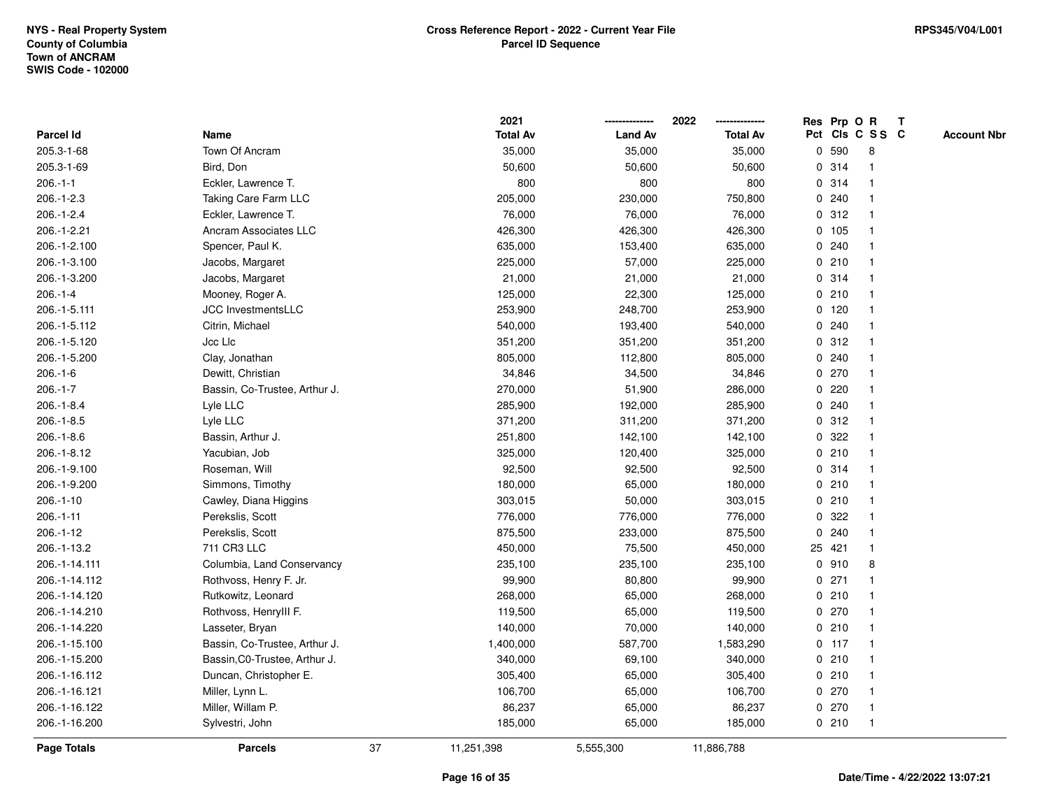|                    |                               |    | 2021            |                | 2022            |             |         | Res Prp O R     | $\mathbf{T}$ |                    |
|--------------------|-------------------------------|----|-----------------|----------------|-----------------|-------------|---------|-----------------|--------------|--------------------|
| Parcel Id          | Name                          |    | <b>Total Av</b> | <b>Land Av</b> | <b>Total Av</b> |             |         | Pct Cls C S S C |              | <b>Account Nbr</b> |
| 205.3-1-68         | Town Of Ancram                |    | 35,000          | 35,000         | 35,000          | 0           | 590     | 8               |              |                    |
| 205.3-1-69         | Bird, Don                     |    | 50,600          | 50,600         | 50,600          |             | 0.314   |                 |              |                    |
| $206.-1-1$         | Eckler, Lawrence T.           |    | 800             | 800            | 800             |             | 0.314   | -1              |              |                    |
| $206.-1-2.3$       | Taking Care Farm LLC          |    | 205,000         | 230,000        | 750,800         |             | 0.240   | -1              |              |                    |
| $206.-1-2.4$       | Eckler, Lawrence T.           |    | 76,000          | 76,000         | 76,000          |             | 0.312   | $\overline{1}$  |              |                    |
| 206.-1-2.21        | <b>Ancram Associates LLC</b>  |    | 426,300         | 426,300        | 426,300         |             | 0 105   | -1              |              |                    |
| 206.-1-2.100       | Spencer, Paul K.              |    | 635,000         | 153,400        | 635,000         |             | 0.240   |                 |              |                    |
| 206.-1-3.100       | Jacobs, Margaret              |    | 225,000         | 57,000         | 225,000         |             | 0210    |                 |              |                    |
| 206.-1-3.200       | Jacobs, Margaret              |    | 21,000          | 21,000         | 21,000          |             | 0.314   |                 |              |                    |
| $206.-1-4$         | Mooney, Roger A.              |    | 125,000         | 22,300         | 125,000         |             | 0210    |                 |              |                    |
| 206.-1-5.111       | JCC InvestmentsLLC            |    | 253,900         | 248,700        | 253,900         |             | 0, 120  | -1              |              |                    |
| 206.-1-5.112       | Citrin, Michael               |    | 540,000         | 193,400        | 540,000         |             | 0.240   | $\mathbf 1$     |              |                    |
| 206.-1-5.120       | Jcc Llc                       |    | 351,200         | 351,200        | 351,200         |             | 0.312   | -1              |              |                    |
| 206.-1-5.200       | Clay, Jonathan                |    | 805,000         | 112,800        | 805,000         |             | 0.240   |                 |              |                    |
| $206.-1-6$         | Dewitt, Christian             |    | 34,846          | 34,500         | 34,846          |             | 0270    |                 |              |                    |
| $206.-1-7$         | Bassin, Co-Trustee, Arthur J. |    | 270,000         | 51,900         | 286,000         |             | $0$ 220 |                 |              |                    |
| $206.-1-8.4$       | Lyle LLC                      |    | 285,900         | 192,000        | 285,900         | $\mathbf 0$ | 240     |                 |              |                    |
| $206.-1-8.5$       | Lyle LLC                      |    | 371,200         | 311,200        | 371,200         |             | 0.312   | -1              |              |                    |
| $206.-1-8.6$       | Bassin, Arthur J.             |    | 251,800         | 142,100        | 142,100         |             | 0.322   | -1              |              |                    |
| 206.-1-8.12        | Yacubian, Job                 |    | 325,000         | 120,400        | 325,000         |             | 0210    |                 |              |                    |
| 206.-1-9.100       | Roseman, Will                 |    | 92,500          | 92,500         | 92,500          |             | 0.314   |                 |              |                    |
| 206.-1-9.200       | Simmons, Timothy              |    | 180,000         | 65,000         | 180,000         |             | 0210    |                 |              |                    |
| $206.-1-10$        | Cawley, Diana Higgins         |    | 303,015         | 50,000         | 303,015         |             | 0210    | -1              |              |                    |
| $206.-1-11$        | Perekslis, Scott              |    | 776,000         | 776,000        | 776,000         | $\mathbf 0$ | 322     | $\mathbf{1}$    |              |                    |
| 206.-1-12          | Perekslis, Scott              |    | 875,500         | 233,000        | 875,500         | 0           | 240     | $\mathbf 1$     |              |                    |
| 206.-1-13.2        | 711 CR3 LLC                   |    | 450,000         | 75,500         | 450,000         |             | 25 421  | $\mathbf 1$     |              |                    |
| 206.-1-14.111      | Columbia, Land Conservancy    |    | 235,100         | 235,100        | 235,100         |             | 0.910   | 8               |              |                    |
| 206.-1-14.112      | Rothvoss, Henry F. Jr.        |    | 99,900          | 80,800         | 99,900          |             | $0$ 271 |                 |              |                    |
| 206.-1-14.120      | Rutkowitz, Leonard            |    | 268,000         | 65,000         | 268,000         |             | 0210    |                 |              |                    |
| 206.-1-14.210      | Rothvoss, HenryIII F.         |    | 119,500         | 65,000         | 119,500         |             | 0270    |                 |              |                    |
| 206.-1-14.220      | Lasseter, Bryan               |    | 140,000         | 70,000         | 140,000         |             | 0210    | $\mathbf{1}$    |              |                    |
| 206.-1-15.100      | Bassin, Co-Trustee, Arthur J. |    | 1,400,000       | 587,700        | 1,583,290       |             | $0$ 117 | $\mathbf 1$     |              |                    |
| 206.-1-15.200      | Bassin, C0-Trustee, Arthur J. |    | 340,000         | 69,100         | 340,000         |             | 0210    | -1              |              |                    |
| 206.-1-16.112      | Duncan, Christopher E.        |    | 305,400         | 65,000         | 305,400         |             | 0210    |                 |              |                    |
| 206.-1-16.121      | Miller, Lynn L.               |    | 106,700         | 65,000         | 106,700         |             | 0270    |                 |              |                    |
| 206.-1-16.122      | Miller, Willam P.             |    | 86,237          | 65,000         | 86,237          |             | 0270    | $\mathbf{1}$    |              |                    |
| 206.-1-16.200      | Sylvestri, John               |    | 185,000         | 65,000         | 185,000         |             | 0210    | $\mathbf{1}$    |              |                    |
| <b>Page Totals</b> | <b>Parcels</b>                | 37 | 11,251,398      | 5,555,300      | 11,886,788      |             |         |                 |              |                    |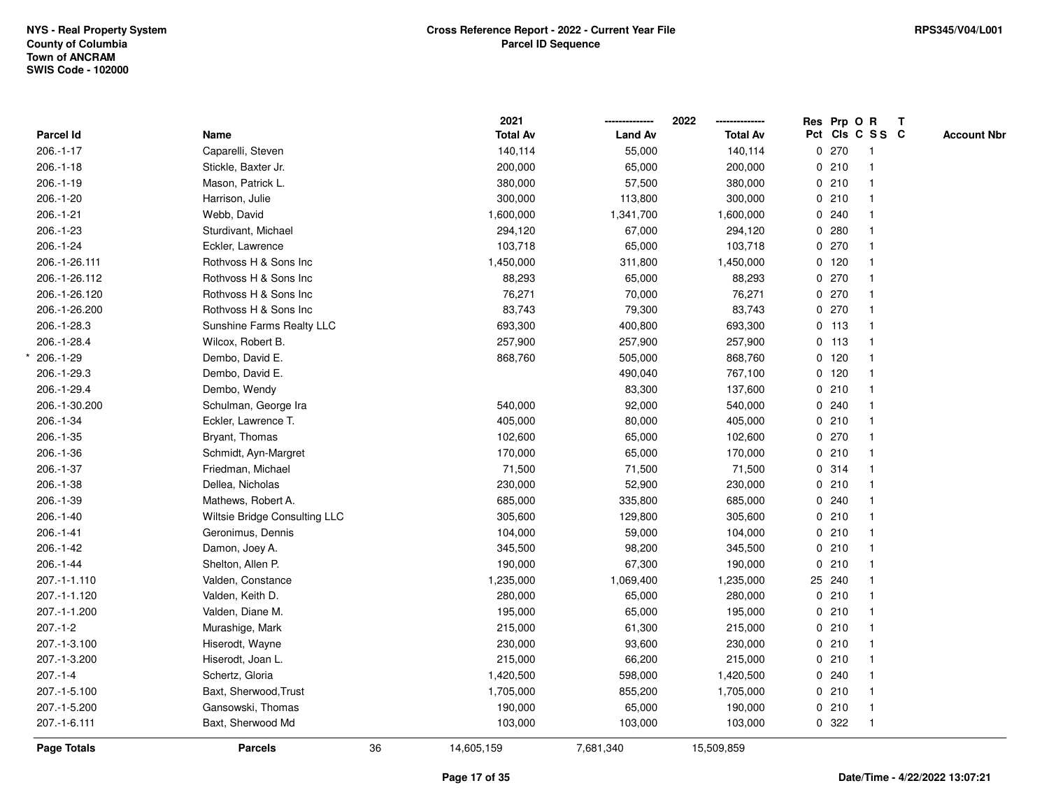|               |                               |    | 2021            |                | 2022            |         | Res Prp O R     | $\mathbf{T}$ |                    |
|---------------|-------------------------------|----|-----------------|----------------|-----------------|---------|-----------------|--------------|--------------------|
| Parcel Id     | Name                          |    | <b>Total Av</b> | <b>Land Av</b> | <b>Total Av</b> |         | Pct Cls C S S C |              | <b>Account Nbr</b> |
| $206.-1-17$   | Caparelli, Steven             |    | 140,114         | 55,000         | 140,114         | 0270    |                 |              |                    |
| $206.-1-18$   | Stickle, Baxter Jr.           |    | 200,000         | 65,000         | 200,000         | 0210    |                 |              |                    |
| $206.-1-19$   | Mason, Patrick L.             |    | 380,000         | 57,500         | 380,000         | 0210    |                 |              |                    |
| $206.-1-20$   | Harrison, Julie               |    | 300,000         | 113,800        | 300,000         | 0210    |                 |              |                    |
| 206.-1-21     | Webb, David                   |    | 1,600,000       | 1,341,700      | 1,600,000       | 0.240   |                 |              |                    |
| 206.-1-23     | Sturdivant, Michael           |    | 294,120         | 67,000         | 294,120         | 0.280   |                 |              |                    |
| 206.-1-24     | Eckler, Lawrence              |    | 103,718         | 65,000         | 103,718         | 0270    |                 |              |                    |
| 206.-1-26.111 | Rothvoss H & Sons Inc         |    | 1,450,000       | 311,800        | 1,450,000       | $0$ 120 |                 |              |                    |
| 206.-1-26.112 | Rothvoss H & Sons Inc         |    | 88,293          | 65,000         | 88,293          | 0270    |                 |              |                    |
| 206.-1-26.120 | Rothvoss H & Sons Inc         |    | 76,271          | 70,000         | 76,271          | 0270    |                 |              |                    |
| 206.-1-26.200 | Rothvoss H & Sons Inc         |    | 83,743          | 79,300         | 83,743          | 0270    | $\mathbf 1$     |              |                    |
| 206.-1-28.3   | Sunshine Farms Realty LLC     |    | 693,300         | 400,800        | 693,300         | 0 113   |                 |              |                    |
| 206.-1-28.4   | Wilcox, Robert B.             |    | 257,900         | 257,900        | 257,900         | $0$ 113 |                 |              |                    |
| 206.-1-29     | Dembo, David E.               |    | 868,760         | 505,000        | 868,760         | $0$ 120 |                 |              |                    |
| 206.-1-29.3   | Dembo, David E.               |    |                 | 490,040        | 767,100         | $0$ 120 |                 |              |                    |
| 206.-1-29.4   | Dembo, Wendy                  |    |                 | 83,300         | 137,600         | 0210    |                 |              |                    |
| 206.-1-30.200 | Schulman, George Ira          |    | 540,000         | 92,000         | 540,000         | 0.240   |                 |              |                    |
| 206.-1-34     | Eckler, Lawrence T.           |    | 405,000         | 80,000         | 405,000         | 0210    |                 |              |                    |
| 206.-1-35     | Bryant, Thomas                |    | 102,600         | 65,000         | 102,600         | 0.270   |                 |              |                    |
| 206.-1-36     | Schmidt, Ayn-Margret          |    | 170,000         | 65,000         | 170,000         | 0210    |                 |              |                    |
| 206.-1-37     | Friedman, Michael             |    | 71,500          | 71,500         | 71,500          | 0.314   |                 |              |                    |
| 206.-1-38     | Dellea, Nicholas              |    | 230,000         | 52,900         | 230,000         | 0210    |                 |              |                    |
| 206.-1-39     | Mathews, Robert A.            |    | 685,000         | 335,800        | 685,000         | 0.240   |                 |              |                    |
| $206.-1-40$   | Wiltsie Bridge Consulting LLC |    | 305,600         | 129,800        | 305,600         | 0210    |                 |              |                    |
| 206.-1-41     | Geronimus, Dennis             |    | 104,000         | 59,000         | 104,000         | 0210    |                 |              |                    |
| 206.-1-42     | Damon, Joey A.                |    | 345,500         | 98,200         | 345,500         | 0210    |                 |              |                    |
| 206.-1-44     | Shelton, Allen P.             |    | 190,000         | 67,300         | 190,000         | 0210    |                 |              |                    |
| 207.-1-1.110  | Valden, Constance             |    | 1,235,000       | 1,069,400      | 1,235,000       | 25 240  |                 |              |                    |
| 207.-1-1.120  | Valden, Keith D.              |    | 280,000         | 65,000         | 280,000         | 0210    |                 |              |                    |
| 207.-1-1.200  | Valden, Diane M.              |    | 195,000         | 65,000         | 195,000         | 0210    |                 |              |                    |
| $207 - 1 - 2$ | Murashige, Mark               |    | 215,000         | 61,300         | 215,000         | 0210    | $\mathbf{1}$    |              |                    |
| 207.-1-3.100  | Hiserodt, Wayne               |    | 230,000         | 93,600         | 230,000         | 0210    |                 |              |                    |
| 207.-1-3.200  | Hiserodt, Joan L.             |    | 215,000         | 66,200         | 215,000         | 0210    |                 |              |                    |
| $207 - 1 - 4$ | Schertz, Gloria               |    | 1,420,500       | 598,000        | 1,420,500       | 0.240   |                 |              |                    |
| 207.-1-5.100  | Baxt, Sherwood, Trust         |    | 1,705,000       | 855,200        | 1,705,000       | 0210    |                 |              |                    |
| 207.-1-5.200  | Gansowski, Thomas             |    | 190,000         | 65,000         | 190,000         | 0210    | $\mathbf{1}$    |              |                    |
| 207.-1-6.111  | Baxt, Sherwood Md             |    | 103,000         | 103,000        | 103,000         | 0 322   | $\mathbf{1}$    |              |                    |
| Page Totals   | <b>Parcels</b>                | 36 | 14,605,159      | 7,681,340      | 15,509,859      |         |                 |              |                    |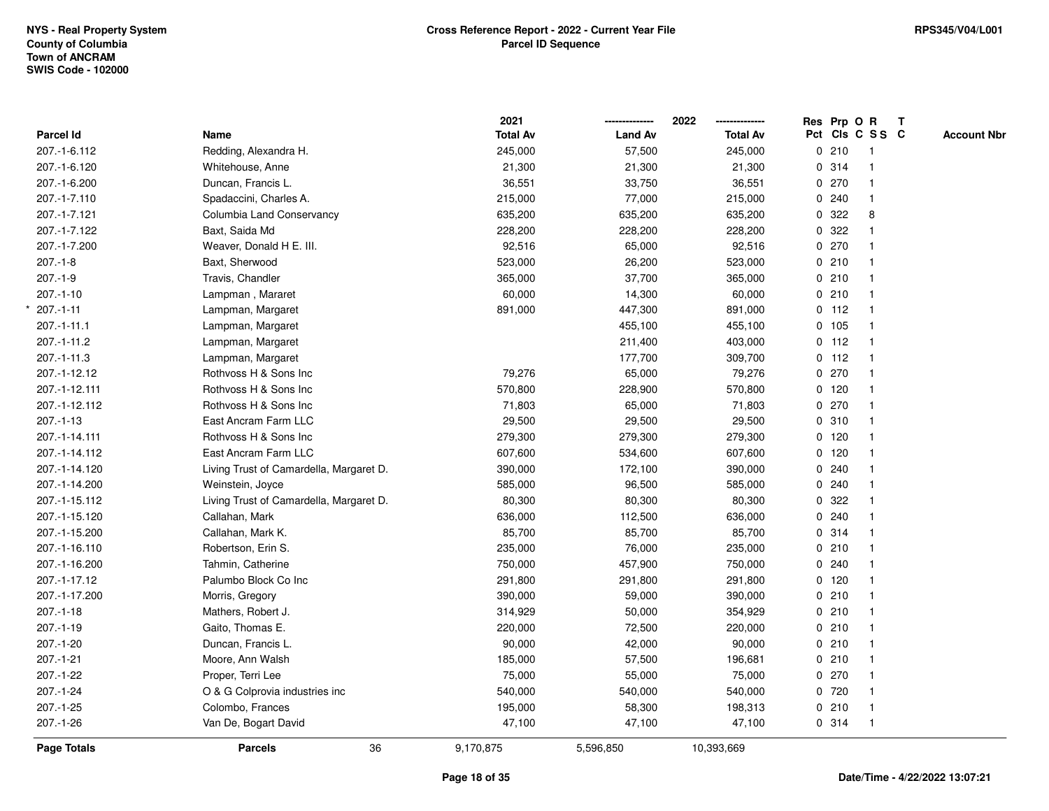\*

|                  |                                         | 2021            |                | 2022            |              |         | Res Prp O R     | $\mathbf{T}$ |                    |
|------------------|-----------------------------------------|-----------------|----------------|-----------------|--------------|---------|-----------------|--------------|--------------------|
| <b>Parcel Id</b> | Name                                    | <b>Total Av</b> | <b>Land Av</b> | <b>Total Av</b> |              |         | Pct Cls C S S C |              | <b>Account Nbr</b> |
| 207.-1-6.112     | Redding, Alexandra H.                   | 245,000         | 57,500         | 245,000         |              | 0210    | $\mathbf{1}$    |              |                    |
| 207.-1-6.120     | Whitehouse, Anne                        | 21,300          | 21,300         | 21,300          |              | 0.314   |                 |              |                    |
| 207.-1-6.200     | Duncan, Francis L.                      | 36,551          | 33,750         | 36,551          |              | 0270    | -1              |              |                    |
| 207.-1-7.110     | Spadaccini, Charles A.                  | 215,000         | 77,000         | 215,000         | 0            | 240     | $\mathbf{1}$    |              |                    |
| 207.-1-7.121     | Columbia Land Conservancy               | 635,200         | 635,200        | 635,200         | $\mathbf 0$  | 322     | 8               |              |                    |
| 207.-1-7.122     | Baxt, Saida Md                          | 228,200         | 228,200        | 228,200         |              | 0.322   | $\mathbf 1$     |              |                    |
| 207.-1-7.200     | Weaver, Donald H E. III.                | 92,516          | 65,000         | 92,516          |              | 0.270   |                 |              |                    |
| $207 - 1 - 8$    | Baxt, Sherwood                          | 523,000         | 26,200         | 523,000         |              | 0210    |                 |              |                    |
| $207.-1-9$       | Travis, Chandler                        | 365,000         | 37,700         | 365,000         |              | 0210    | $\mathbf{1}$    |              |                    |
| $207.-1-10$      | Lampman, Mararet                        | 60,000          | 14,300         | 60,000          |              | 0210    | $\mathbf{1}$    |              |                    |
| $207 - 1 - 11$   | Lampman, Margaret                       | 891,000         | 447,300        | 891,000         |              | $0$ 112 | $\mathbf{1}$    |              |                    |
| 207.-1-11.1      | Lampman, Margaret                       |                 | 455,100        | 455,100         | $\mathbf{0}$ | 105     | $\mathbf{1}$    |              |                    |
| 207.-1-11.2      | Lampman, Margaret                       |                 | 211,400        | 403,000         |              | $0$ 112 | $\mathbf{1}$    |              |                    |
| $207 - 1 - 11.3$ | Lampman, Margaret                       |                 | 177,700        | 309,700         |              | $0$ 112 |                 |              |                    |
| 207.-1-12.12     | Rothvoss H & Sons Inc                   | 79,276          | 65,000         | 79,276          |              | 0270    |                 |              |                    |
| 207.-1-12.111    | Rothvoss H & Sons Inc                   | 570,800         | 228,900        | 570,800         |              | $0$ 120 | $\mathbf{1}$    |              |                    |
| 207.-1-12.112    | Rothvoss H & Sons Inc                   | 71,803          | 65,000         | 71,803          | 0            | 270     | $\mathbf{1}$    |              |                    |
| $207 - 1 - 13$   | East Ancram Farm LLC                    | 29,500          | 29,500         | 29,500          |              | 0.310   | $\mathbf{1}$    |              |                    |
| 207.-1-14.111    | Rothvoss H & Sons Inc                   | 279,300         | 279,300        | 279,300         |              | $0$ 120 | $\mathbf{1}$    |              |                    |
| 207.-1-14.112    | East Ancram Farm LLC                    | 607,600         | 534,600        | 607,600         |              | $0$ 120 |                 |              |                    |
| 207.-1-14.120    | Living Trust of Camardella, Margaret D. | 390,000         | 172,100        | 390,000         |              | 0.240   |                 |              |                    |
| 207.-1-14.200    | Weinstein, Joyce                        | 585,000         | 96,500         | 585,000         | 0            | 240     |                 |              |                    |
| 207.-1-15.112    | Living Trust of Camardella, Margaret D. | 80,300          | 80,300         | 80,300          |              | 0.322   |                 |              |                    |
| 207.-1-15.120    | Callahan, Mark                          | 636,000         | 112,500        | 636,000         | $\mathbf{0}$ | 240     | $\mathbf{1}$    |              |                    |
| 207.-1-15.200    | Callahan, Mark K.                       | 85,700          | 85,700         | 85,700          |              | 0 314   | 1               |              |                    |
| 207.-1-16.110    | Robertson, Erin S.                      | 235,000         | 76,000         | 235,000         |              | 0210    | $\mathbf 1$     |              |                    |
| 207.-1-16.200    | Tahmin, Catherine                       | 750,000         | 457,900        | 750,000         |              | 0.240   |                 |              |                    |
| 207.-1-17.12     | Palumbo Block Co Inc                    | 291,800         | 291,800        | 291,800         |              | 0, 120  |                 |              |                    |
| 207.-1-17.200    | Morris, Gregory                         | 390,000         | 59,000         | 390,000         |              | 0210    | $\mathbf{1}$    |              |                    |
| $207.-1-18$      | Mathers, Robert J.                      | 314,929         | 50,000         | 354,929         | 0            | 210     | $\mathbf{1}$    |              |                    |
| $207 - 1 - 19$   | Gaito, Thomas E.                        | 220,000         | 72,500         | 220,000         |              | 0210    | $\mathbf{1}$    |              |                    |
| 207.-1-20        | Duncan, Francis L.                      | 90,000          | 42,000         | 90,000          |              | 0210    | $\mathbf{1}$    |              |                    |
| $207.-1-21$      | Moore, Ann Walsh                        | 185,000         | 57,500         | 196,681         |              | 0210    | $\mathbf 1$     |              |                    |
| 207.-1-22        | Proper, Terri Lee                       | 75,000          | 55,000         | 75,000          |              | 0270    |                 |              |                    |
| $207.-1-24$      | O & G Colprovia industries inc          | 540,000         | 540,000        | 540,000         |              | 0 720   |                 |              |                    |
| 207.-1-25        | Colombo, Frances                        | 195,000         | 58,300         | 198,313         |              | 0210    | $\mathbf{1}$    |              |                    |
| $207.-1-26$      | Van De, Bogart David                    | 47,100          | 47,100         | 47,100          |              | 0 314   | $\mathbf{1}$    |              |                    |
| Page Totals      | 36<br><b>Parcels</b>                    | 9,170,875       | 5,596,850      | 10,393,669      |              |         |                 |              |                    |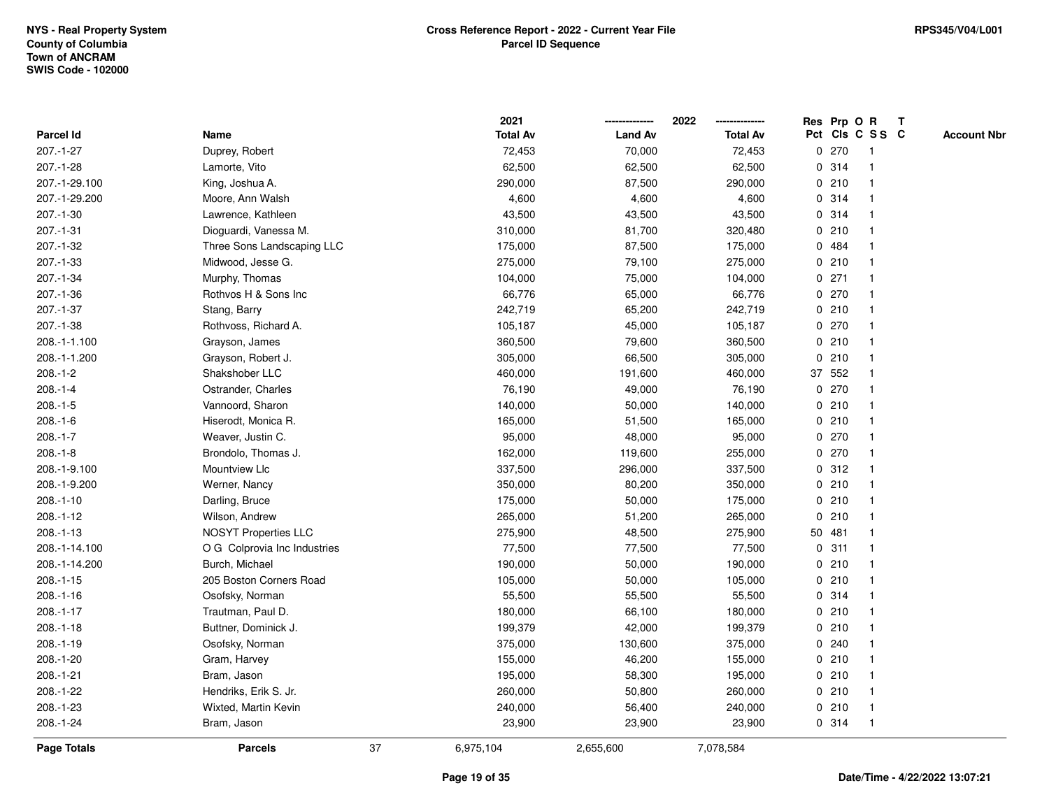|                    |                              |    | 2021            |                | 2022            |   |         | Res Prp O R    | Т               |                    |
|--------------------|------------------------------|----|-----------------|----------------|-----------------|---|---------|----------------|-----------------|--------------------|
| Parcel Id          | Name                         |    | <b>Total Av</b> | <b>Land Av</b> | <b>Total Av</b> |   |         |                | Pct Cls C S S C | <b>Account Nbr</b> |
| 207.-1-27          | Duprey, Robert               |    | 72,453          | 70,000         | 72,453          |   | 0270    | $\mathbf{1}$   |                 |                    |
| 207.-1-28          | Lamorte, Vito                |    | 62,500          | 62,500         | 62,500          | 0 | 314     | $\overline{1}$ |                 |                    |
| 207.-1-29.100      | King, Joshua A.              |    | 290,000         | 87,500         | 290,000         |   | 0210    | $\mathbf{1}$   |                 |                    |
| 207.-1-29.200      | Moore, Ann Walsh             |    | 4,600           | 4,600          | 4,600           |   | 0 314   | -1             |                 |                    |
| 207.-1-30          | Lawrence, Kathleen           |    | 43,500          | 43,500         | 43,500          |   | 0.314   |                |                 |                    |
| 207.-1-31          | Dioguardi, Vanessa M.        |    | 310,000         | 81,700         | 320,480         |   | 0210    |                |                 |                    |
| 207.-1-32          | Three Sons Landscaping LLC   |    | 175,000         | 87,500         | 175,000         |   | 0 484   |                |                 |                    |
| 207.-1-33          | Midwood, Jesse G.            |    | 275,000         | 79,100         | 275,000         |   | 0210    | $\mathbf{1}$   |                 |                    |
| 207.-1-34          | Murphy, Thomas               |    | 104,000         | 75,000         | 104,000         |   | $0$ 271 | -1             |                 |                    |
| 207.-1-36          | Rothvos H & Sons Inc         |    | 66,776          | 65,000         | 66,776          |   | 0270    | $\mathbf 1$    |                 |                    |
| 207.-1-37          | Stang, Barry                 |    | 242,719         | 65,200         | 242,719         |   | 0210    |                |                 |                    |
| 207.-1-38          | Rothvoss, Richard A.         |    | 105,187         | 45,000         | 105,187         |   | 0270    |                |                 |                    |
| 208.-1-1.100       | Grayson, James               |    | 360,500         | 79,600         | 360,500         |   | 0210    |                |                 |                    |
| 208.-1-1.200       | Grayson, Robert J.           |    | 305,000         | 66,500         | 305,000         |   | 0210    | $\mathbf 1$    |                 |                    |
| $208.-1-2$         | Shakshober LLC               |    | 460,000         | 191,600        | 460,000         |   | 37 552  | $\overline{1}$ |                 |                    |
| $208.-1-4$         | Ostrander, Charles           |    | 76,190          | 49,000         | 76,190          |   | 0.270   | $\overline{1}$ |                 |                    |
| $208.-1-5$         | Vannoord, Sharon             |    | 140,000         | 50,000         | 140,000         |   | 0210    | $\mathbf{1}$   |                 |                    |
| $208.-1-6$         | Hiserodt, Monica R.          |    | 165,000         | 51,500         | 165,000         |   | 0210    |                |                 |                    |
| $208.-1-7$         | Weaver, Justin C.            |    | 95,000          | 48,000         | 95,000          |   | 0270    |                |                 |                    |
| $208.-1-8$         | Brondolo, Thomas J.          |    | 162,000         | 119,600        | 255,000         |   | 0.270   |                |                 |                    |
| 208.-1-9.100       | Mountview Llc                |    | 337,500         | 296,000        | 337,500         |   | 0.312   |                |                 |                    |
| 208.-1-9.200       | Werner, Nancy                |    | 350,000         | 80,200         | 350,000         |   | 0210    | -1             |                 |                    |
| $208.-1-10$        | Darling, Bruce               |    | 175,000         | 50,000         | 175,000         |   | 0210    | -1             |                 |                    |
| $208.-1-12$        | Wilson, Andrew               |    | 265,000         | 51,200         | 265,000         |   | 0210    | $\mathbf{1}$   |                 |                    |
| $208.-1-13$        | <b>NOSYT Properties LLC</b>  |    | 275,900         | 48,500         | 275,900         |   | 50 481  | -1             |                 |                    |
| 208.-1-14.100      | O G Colprovia Inc Industries |    | 77,500          | 77,500         | 77,500          |   | 0.311   |                |                 |                    |
| 208.-1-14.200      | Burch, Michael               |    | 190,000         | 50,000         | 190,000         |   | 0210    |                |                 |                    |
| $208.-1-15$        | 205 Boston Corners Road      |    | 105,000         | 50,000         | 105,000         |   | 0210    |                |                 |                    |
| $208.-1-16$        | Osofsky, Norman              |    | 55,500          | 55,500         | 55,500          |   | 0.314   |                |                 |                    |
| $208.-1-17$        | Trautman, Paul D.            |    | 180,000         | 66,100         | 180,000         |   | 0210    | -1             |                 |                    |
| $208.-1-18$        | Buttner, Dominick J.         |    | 199,379         | 42,000         | 199,379         | 0 | 210     | $\mathbf 1$    |                 |                    |
| $208.-1-19$        | Osofsky, Norman              |    | 375,000         | 130,600        | 375,000         |   | 0.240   | $\mathbf{1}$   |                 |                    |
| 208.-1-20          | Gram, Harvey                 |    | 155,000         | 46,200         | 155,000         |   | 0210    |                |                 |                    |
| 208.-1-21          | Bram, Jason                  |    | 195,000         | 58,300         | 195,000         |   | 0210    |                |                 |                    |
| 208.-1-22          | Hendriks, Erik S. Jr.        |    | 260,000         | 50,800         | 260,000         |   | 0210    | 1              |                 |                    |
| 208.-1-23          | Wixted, Martin Kevin         |    | 240,000         | 56,400         | 240,000         |   | 0210    | -1             |                 |                    |
| 208.-1-24          | Bram, Jason                  |    | 23,900          | 23,900         | 23,900          |   | 0.314   | $\overline{1}$ |                 |                    |
| <b>Page Totals</b> | <b>Parcels</b>               | 37 | 6,975,104       | 2,655,600      | 7,078,584       |   |         |                |                 |                    |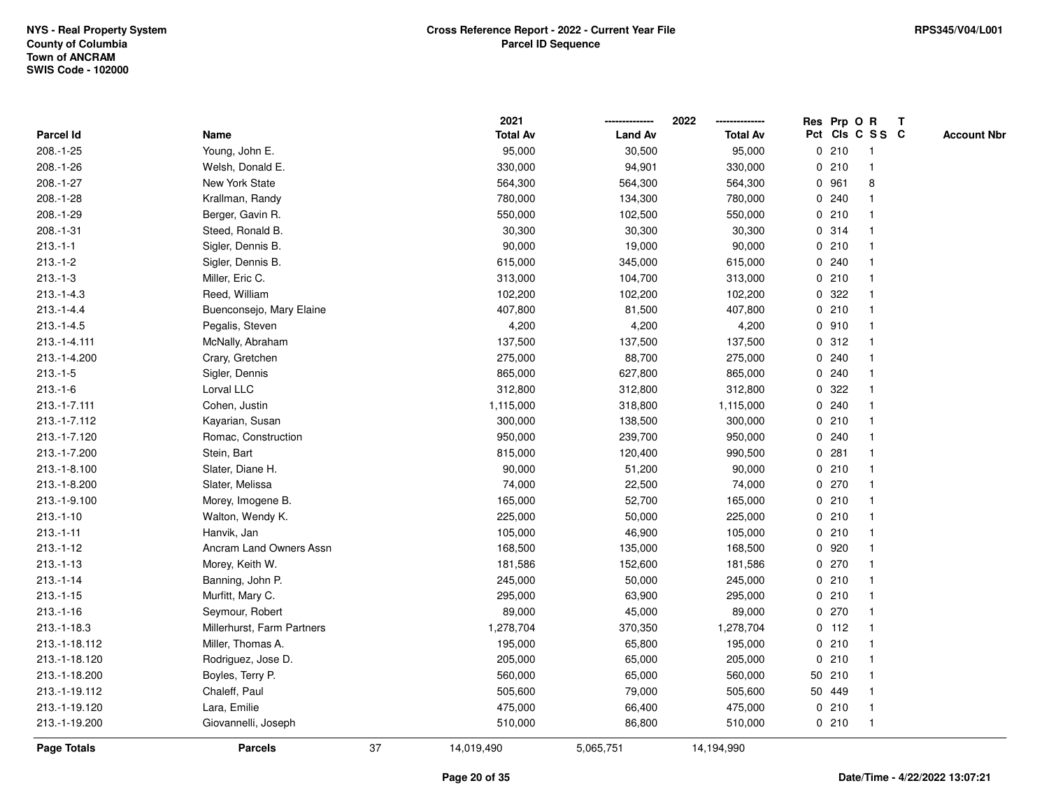|               |                            |    | 2021            |                | 2022            |   |        | Res Prp O R     | Т |                    |
|---------------|----------------------------|----|-----------------|----------------|-----------------|---|--------|-----------------|---|--------------------|
| Parcel Id     | Name                       |    | <b>Total Av</b> | <b>Land Av</b> | <b>Total Av</b> |   |        | Pct Cls C S S C |   | <b>Account Nbr</b> |
| 208.-1-25     | Young, John E.             |    | 95,000          | 30,500         | 95,000          |   | 0210   | $\mathbf{1}$    |   |                    |
| 208.-1-26     | Welsh, Donald E.           |    | 330,000         | 94,901         | 330,000         |   | 0210   | $\mathbf{1}$    |   |                    |
| 208.-1-27     | <b>New York State</b>      |    | 564,300         | 564,300        | 564,300         |   | 0 961  | 8               |   |                    |
| 208.-1-28     | Krallman, Randy            |    | 780,000         | 134,300        | 780,000         |   | 0.240  | -1              |   |                    |
| 208.-1-29     | Berger, Gavin R.           |    | 550,000         | 102,500        | 550,000         |   | 0210   |                 |   |                    |
| 208.-1-31     | Steed, Ronald B.           |    | 30,300          | 30,300         | 30,300          |   | 0.314  |                 |   |                    |
| $213.-1-1$    | Sigler, Dennis B.          |    | 90,000          | 19,000         | 90,000          |   | 0210   |                 |   |                    |
| $213.-1-2$    | Sigler, Dennis B.          |    | 615,000         | 345,000        | 615,000         |   | 0.240  |                 |   |                    |
| $213.-1-3$    | Miller, Eric C.            |    | 313,000         | 104,700        | 313,000         |   | 0210   | 1               |   |                    |
| $213.-1-4.3$  | Reed, William              |    | 102,200         | 102,200        | 102,200         |   | 0.322  | $\mathbf 1$     |   |                    |
| $213.-1-4.4$  | Buenconsejo, Mary Elaine   |    | 407,800         | 81,500         | 407,800         |   | 0210   | $\mathbf 1$     |   |                    |
| $213.-1-4.5$  | Pegalis, Steven            |    | 4,200           | 4,200          | 4,200           |   | 0.910  |                 |   |                    |
| 213.-1-4.111  | McNally, Abraham           |    | 137,500         | 137,500        | 137,500         |   | 0.312  |                 |   |                    |
| 213.-1-4.200  | Crary, Gretchen            |    | 275,000         | 88,700         | 275,000         |   | 0.240  |                 |   |                    |
| $213.-1-5$    | Sigler, Dennis             |    | 865,000         | 627,800        | 865,000         |   | 0.240  | $\mathbf 1$     |   |                    |
| $213.-1-6$    | Lorval LLC                 |    | 312,800         | 312,800        | 312,800         | 0 | 322    | 1               |   |                    |
| 213.-1-7.111  | Cohen, Justin              |    | 1,115,000       | 318,800        | 1,115,000       |   | 0.240  | $\mathbf{1}$    |   |                    |
| 213.-1-7.112  | Kayarian, Susan            |    | 300,000         | 138,500        | 300,000         |   | 0210   | -1              |   |                    |
| 213.-1-7.120  | Romac, Construction        |    | 950,000         | 239,700        | 950,000         |   | 0.240  |                 |   |                    |
| 213.-1-7.200  | Stein, Bart                |    | 815,000         | 120,400        | 990,500         |   | 0.281  |                 |   |                    |
| 213.-1-8.100  | Slater, Diane H.           |    | 90,000          | 51,200         | 90,000          |   | 0210   | $\mathbf{1}$    |   |                    |
| 213.-1-8.200  | Slater, Melissa            |    | 74,000          | 22,500         | 74,000          |   | 0270   |                 |   |                    |
| 213.-1-9.100  | Morey, Imogene B.          |    | 165,000         | 52,700         | 165,000         |   | 0210   | $\mathbf{1}$    |   |                    |
| $213.-1-10$   | Walton, Wendy K.           |    | 225,000         | 50,000         | 225,000         |   | 0210   | $\mathbf 1$     |   |                    |
| $213.-1-11$   | Hanvik, Jan                |    | 105,000         | 46,900         | 105,000         |   | 0210   | $\mathbf 1$     |   |                    |
| $213.-1-12$   | Ancram Land Owners Assn    |    | 168,500         | 135,000        | 168,500         |   | 0.920  |                 |   |                    |
| $213.-1-13$   | Morey, Keith W.            |    | 181,586         | 152,600        | 181,586         |   | 0270   |                 |   |                    |
| $213.-1-14$   | Banning, John P.           |    | 245,000         | 50,000         | 245,000         |   | 0210   | $\mathbf{1}$    |   |                    |
| $213.-1-15$   | Murfitt, Mary C.           |    | 295,000         | 63,900         | 295,000         |   | 0210   | $\mathbf{1}$    |   |                    |
| $213.-1-16$   | Seymour, Robert            |    | 89,000          | 45,000         | 89,000          |   | 0270   | $\mathbf{1}$    |   |                    |
| 213.-1-18.3   | Millerhurst, Farm Partners |    | 1,278,704       | 370,350        | 1,278,704       |   | 0 112  | 1               |   |                    |
| 213.-1-18.112 | Miller, Thomas A.          |    | 195,000         | 65,800         | 195,000         |   | 0210   | $\mathbf 1$     |   |                    |
| 213.-1-18.120 | Rodriguez, Jose D.         |    | 205,000         | 65,000         | 205,000         |   | 0210   |                 |   |                    |
| 213.-1-18.200 | Boyles, Terry P.           |    | 560,000         | 65,000         | 560,000         |   | 50 210 |                 |   |                    |
| 213.-1-19.112 | Chaleff, Paul              |    | 505,600         | 79,000         | 505,600         |   | 50 449 | $\mathbf 1$     |   |                    |
| 213.-1-19.120 | Lara, Emilie               |    | 475,000         | 66,400         | 475,000         |   | 0210   | 1               |   |                    |
| 213.-1-19.200 | Giovannelli, Joseph        |    | 510,000         | 86,800         | 510,000         |   | 0210   | $\mathbf{1}$    |   |                    |
| Page Totals   | <b>Parcels</b>             | 37 | 14,019,490      | 5,065,751      | 14,194,990      |   |        |                 |   |                    |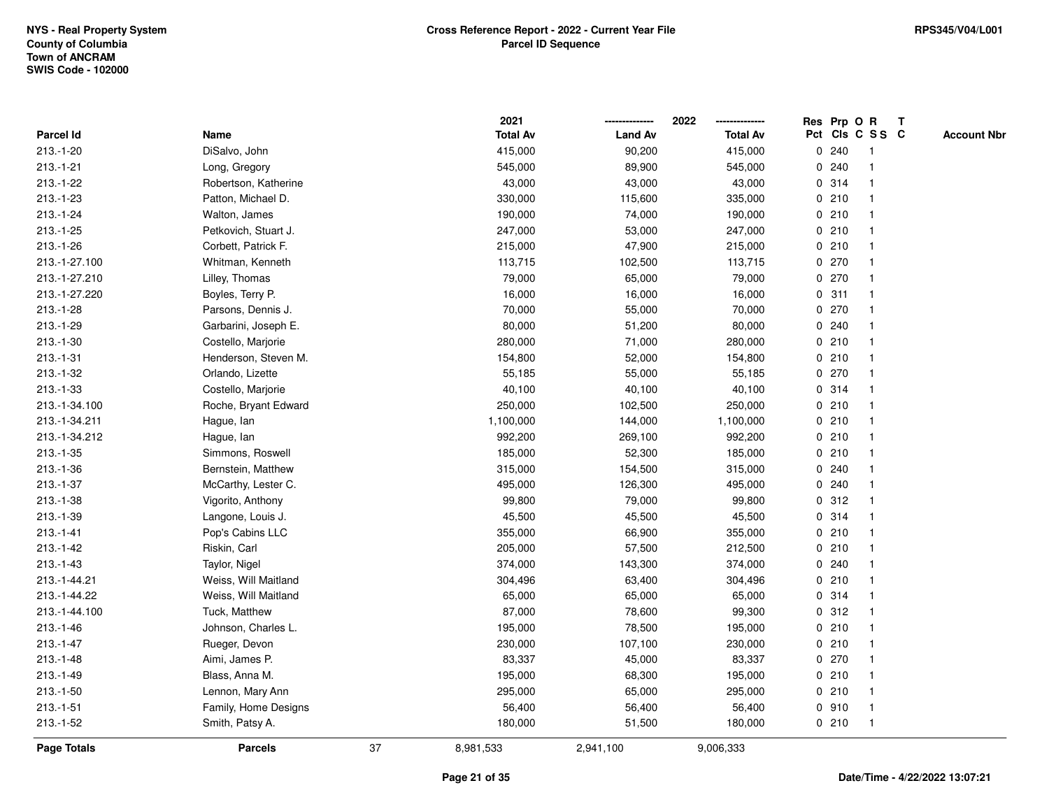|                    |                      |    | 2021            |                | 2022            |   |       | Res Prp O R             | $\mathbf{T}$ |                    |
|--------------------|----------------------|----|-----------------|----------------|-----------------|---|-------|-------------------------|--------------|--------------------|
| Parcel Id          | Name                 |    | <b>Total Av</b> | <b>Land Av</b> | <b>Total Av</b> |   |       | Pct Cls C S S C         |              | <b>Account Nbr</b> |
| 213.-1-20          | DiSalvo, John        |    | 415,000         | 90,200         | 415,000         |   | 0.240 |                         |              |                    |
| $213.-1-21$        | Long, Gregory        |    | 545,000         | 89,900         | 545,000         |   | 0.240 |                         |              |                    |
| $213.-1-22$        | Robertson, Katherine |    | 43,000          | 43,000         | 43,000          |   | 0.314 | -1                      |              |                    |
| 213.-1-23          | Patton, Michael D.   |    | 330,000         | 115,600        | 335,000         |   | 0210  | $\mathbf{1}$            |              |                    |
| 213.-1-24          | Walton, James        |    | 190,000         | 74,000         | 190,000         |   | 0210  | $\mathbf{1}$            |              |                    |
| $213.-1-25$        | Petkovich, Stuart J. |    | 247,000         | 53,000         | 247,000         |   | 0210  | -1                      |              |                    |
| 213.-1-26          | Corbett, Patrick F.  |    | 215,000         | 47,900         | 215,000         |   | 0210  |                         |              |                    |
| 213.-1-27.100      | Whitman, Kenneth     |    | 113,715         | 102,500        | 113,715         |   | 0270  |                         |              |                    |
| 213.-1-27.210      | Lilley, Thomas       |    | 79,000          | 65,000         | 79,000          |   | 0270  | $\overline{\mathbf{1}}$ |              |                    |
| 213.-1-27.220      | Boyles, Terry P.     |    | 16,000          | 16,000         | 16,000          |   | 0.311 |                         |              |                    |
| 213.-1-28          | Parsons, Dennis J.   |    | 70,000          | 55,000         | 70,000          |   | 0270  | $\mathbf{1}$            |              |                    |
| 213.-1-29          | Garbarini, Joseph E. |    | 80,000          | 51,200         | 80,000          |   | 0.240 | $\mathbf 1$             |              |                    |
| $213.-1-30$        | Costello, Marjorie   |    | 280,000         | 71,000         | 280,000         |   | 0210  | $\mathbf 1$             |              |                    |
| $213.-1-31$        | Henderson, Steven M. |    | 154,800         | 52,000         | 154,800         |   | 0210  |                         |              |                    |
| 213.-1-32          | Orlando, Lizette     |    | 55,185          | 55,000         | 55,185          |   | 0270  |                         |              |                    |
| $213.-1-33$        | Costello, Marjorie   |    | 40,100          | 40,100         | 40,100          |   | 0.314 | -1                      |              |                    |
| 213.-1-34.100      | Roche, Bryant Edward |    | 250,000         | 102,500        | 250,000         |   | 0210  | $\mathbf{1}$            |              |                    |
| 213.-1-34.211      | Hague, lan           |    | 1,100,000       | 144,000        | 1,100,000       |   | 0210  | -1                      |              |                    |
| 213.-1-34.212      | Hague, lan           |    | 992,200         | 269,100        | 992,200         |   | 0210  | $\mathbf{1}$            |              |                    |
| 213.-1-35          | Simmons, Roswell     |    | 185,000         | 52,300         | 185,000         |   | 0210  |                         |              |                    |
| $213.-1-36$        | Bernstein, Matthew   |    | 315,000         | 154,500        | 315,000         |   | 0.240 |                         |              |                    |
| 213.-1-37          | McCarthy, Lester C.  |    | 495,000         | 126,300        | 495,000         |   | 0.240 |                         |              |                    |
| 213.-1-38          | Vigorito, Anthony    |    | 99,800          | 79,000         | 99,800          |   | 0.312 | -1                      |              |                    |
| 213.-1-39          | Langone, Louis J.    |    | 45,500          | 45,500         | 45,500          |   | 0.314 | $\mathbf{1}$            |              |                    |
| $213.-1-41$        | Pop's Cabins LLC     |    | 355,000         | 66,900         | 355,000         |   | 0210  | $\mathbf 1$             |              |                    |
| $213.-1-42$        | Riskin, Carl         |    | 205,000         | 57,500         | 212,500         |   | 0210  | -1                      |              |                    |
| $213.-1-43$        | Taylor, Nigel        |    | 374,000         | 143,300        | 374,000         |   | 0.240 |                         |              |                    |
| 213.-1-44.21       | Weiss, Will Maitland |    | 304,496         | 63,400         | 304,496         |   | 0210  |                         |              |                    |
| 213.-1-44.22       | Weiss, Will Maitland |    | 65,000          | 65,000         | 65,000          |   | 0.314 | $\overline{\mathbf{1}}$ |              |                    |
| 213.-1-44.100      | Tuck, Matthew        |    | 87,000          | 78,600         | 99,300          | 0 | 312   |                         |              |                    |
| $213.-1-46$        | Johnson, Charles L.  |    | 195,000         | 78,500         | 195,000         |   | 0210  | $\mathbf{1}$            |              |                    |
| $213.-1-47$        | Rueger, Devon        |    | 230,000         | 107,100        | 230,000         |   | 0210  | $\mathbf 1$             |              |                    |
| $213.-1-48$        | Aimi, James P.       |    | 83,337          | 45,000         | 83,337          |   | 0270  |                         |              |                    |
| $213.-1-49$        | Blass, Anna M.       |    | 195,000         | 68,300         | 195,000         |   | 0210  |                         |              |                    |
| $213.-1-50$        | Lennon, Mary Ann     |    | 295,000         | 65,000         | 295,000         |   | 0210  |                         |              |                    |
| $213.-1-51$        | Family, Home Designs |    | 56,400          | 56,400         | 56,400          |   | 0.910 | $\mathbf{1}$            |              |                    |
| 213.-1-52          | Smith, Patsy A.      |    | 180,000         | 51,500         | 180,000         |   | 0210  | $\mathbf{1}$            |              |                    |
| <b>Page Totals</b> | <b>Parcels</b>       | 37 | 8,981,533       | 2,941,100      | 9,006,333       |   |       |                         |              |                    |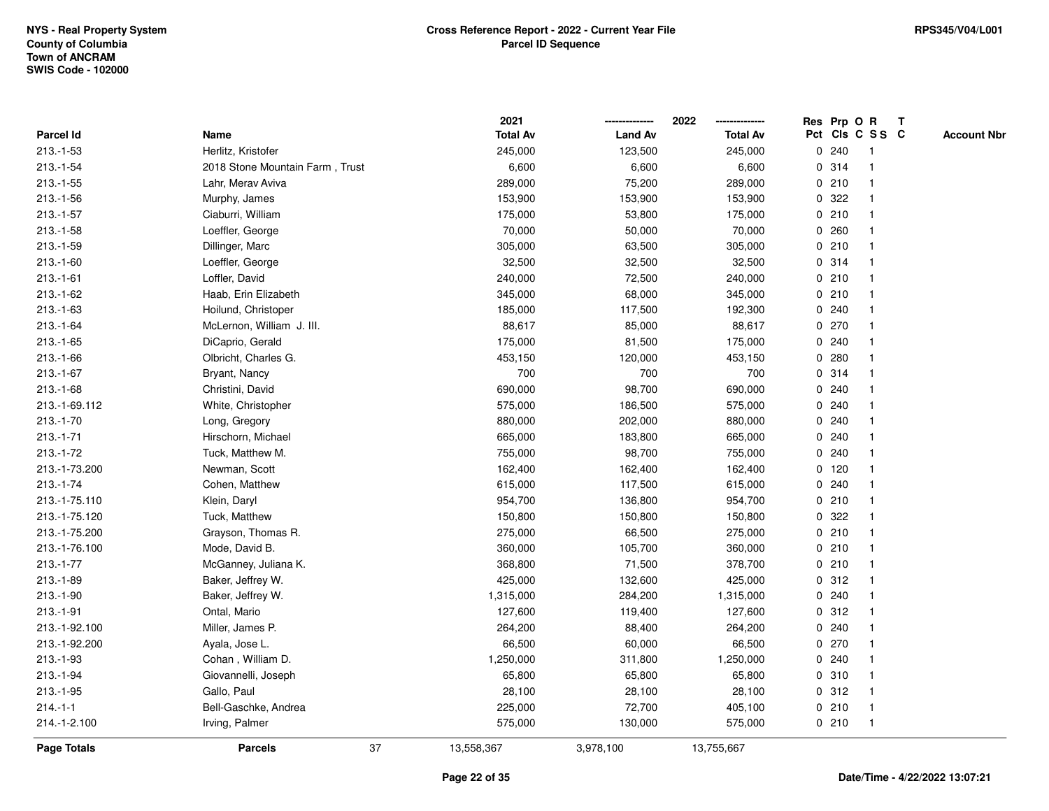|                    |                                 | 2021             |                | 2022            |              | Res Prp O R |                 | T |                    |
|--------------------|---------------------------------|------------------|----------------|-----------------|--------------|-------------|-----------------|---|--------------------|
| Parcel Id          | Name                            | <b>Total Av</b>  | <b>Land Av</b> | <b>Total Av</b> |              |             | Pct Cls C S S C |   | <b>Account Nbr</b> |
| $213.-1-53$        | Herlitz, Kristofer              | 245,000          | 123,500        | 245,000         | $\mathbf 0$  | 240         | -1              |   |                    |
| $213.-1-54$        | 2018 Stone Mountain Farm, Trust | 6,600            | 6,600          | 6,600           | 0            | 314         | -1              |   |                    |
| $213.-1-55$        | Lahr, Merav Aviva               | 289,000          | 75,200         | 289,000         |              | 0210        | 1               |   |                    |
| $213.-1-56$        | Murphy, James                   | 153,900          | 153,900        | 153,900         |              | 0.322       |                 |   |                    |
| $213.-1-57$        | Ciaburri, William               | 175,000          | 53,800         | 175,000         |              | 0210        |                 |   |                    |
| $213.-1-58$        | Loeffler, George                | 70,000           | 50,000         | 70,000          |              | 0.260       |                 |   |                    |
| $213.-1-59$        | Dillinger, Marc                 | 305,000          | 63,500         | 305,000         |              | 0210        |                 |   |                    |
| $213.-1-60$        | Loeffler, George                | 32,500           | 32,500         | 32,500          | 0            | 314         |                 |   |                    |
| $213.-1-61$        | Loffler, David                  | 240,000          | 72,500         | 240,000         | $\mathbf{0}$ | 210         | -1              |   |                    |
| $213.-1-62$        | Haab, Erin Elizabeth            | 345,000          | 68,000         | 345,000         |              | 0210        | 1               |   |                    |
| $213.-1-63$        | Hoilund, Christoper             | 185,000          | 117,500        | 192,300         |              | 0.240       |                 |   |                    |
| $213.-1-64$        | McLernon, William J. III.       | 88,617           | 85,000         | 88,617          |              | 0270        |                 |   |                    |
| 213.-1-65          | DiCaprio, Gerald                | 175,000          | 81,500         | 175,000         | 0            | 240         |                 |   |                    |
| $213.-1-66$        | Olbricht, Charles G.            | 453,150          | 120,000        | 453,150         |              | 0.280       |                 |   |                    |
| $213.-1-67$        | Bryant, Nancy                   | 700              | 700            | 700             | 0            | 314         |                 |   |                    |
| $213.-1-68$        | Christini, David                | 690,000          | 98,700         | 690,000         | $\mathbf{0}$ | 240         |                 |   |                    |
| 213.-1-69.112      | White, Christopher              | 575,000          | 186,500        | 575,000         |              | 0.240       |                 |   |                    |
| $213.-1-70$        | Long, Gregory                   | 880,000          | 202,000        | 880,000         |              | 0.240       |                 |   |                    |
| $213.-1-71$        | Hirschorn, Michael              | 665,000          | 183,800        | 665,000         |              | 0.240       |                 |   |                    |
| 213.-1-72          | Tuck, Matthew M.                | 755,000          | 98,700         | 755,000         | 0            | 240         |                 |   |                    |
| 213.-1-73.200      | Newman, Scott                   | 162,400          | 162,400        | 162,400         |              | $0$ 120     |                 |   |                    |
| $213.-1-74$        | Cohen, Matthew                  | 615,000          | 117,500        | 615,000         | 0            | 240         |                 |   |                    |
| 213.-1-75.110      | Klein, Daryl                    | 954,700          | 136,800        | 954,700         | 0            | 210         | -1              |   |                    |
| 213.-1-75.120      | Tuck, Matthew                   | 150,800          | 150,800        | 150,800         |              | 0.322       |                 |   |                    |
| 213.-1-75.200      | Grayson, Thomas R.              | 275,000          | 66,500         | 275,000         |              | 0210        |                 |   |                    |
| 213.-1-76.100      | Mode, David B.                  | 360,000          | 105,700        | 360,000         |              | 0210        |                 |   |                    |
| $213.-1-77$        | McGanney, Juliana K.            | 368,800          | 71,500         | 378,700         |              | 0210        |                 |   |                    |
| $213.-1-89$        | Baker, Jeffrey W.               | 425,000          | 132,600        | 425,000         |              | 0.312       |                 |   |                    |
| 213.-1-90          | Baker, Jeffrey W.               | 1,315,000        | 284,200        | 1,315,000       | 0            | 240         |                 |   |                    |
| $213.-1-91$        | Ontal, Mario                    | 127,600          | 119,400        | 127,600         | 0            | 312         | -1              |   |                    |
| 213.-1-92.100      | Miller, James P.                | 264,200          | 88,400         | 264,200         |              | 0.240       | $\mathbf 1$     |   |                    |
| 213.-1-92.200      | Ayala, Jose L.                  | 66,500           | 60,000         | 66,500          |              | 0270        |                 |   |                    |
| $213.-1-93$        | Cohan, William D.               | 1,250,000        | 311,800        | 1,250,000       |              | 0.240       |                 |   |                    |
| 213.-1-94          | Giovannelli, Joseph             | 65,800           | 65,800         | 65,800          |              | 0.310       |                 |   |                    |
| $213.-1-95$        | Gallo, Paul                     | 28,100           | 28,100         | 28,100          |              | 0.312       |                 |   |                    |
| $214.-1-1$         | Bell-Gaschke, Andrea            | 225,000          | 72,700         | 405,100         | 0            | 210         | -1              |   |                    |
| 214.-1-2.100       | Irving, Palmer                  | 575,000          | 130,000        | 575,000         |              | 0210        | $\overline{1}$  |   |                    |
| <b>Page Totals</b> | <b>Parcels</b>                  | 37<br>13,558,367 | 3,978,100      | 13,755,667      |              |             |                 |   |                    |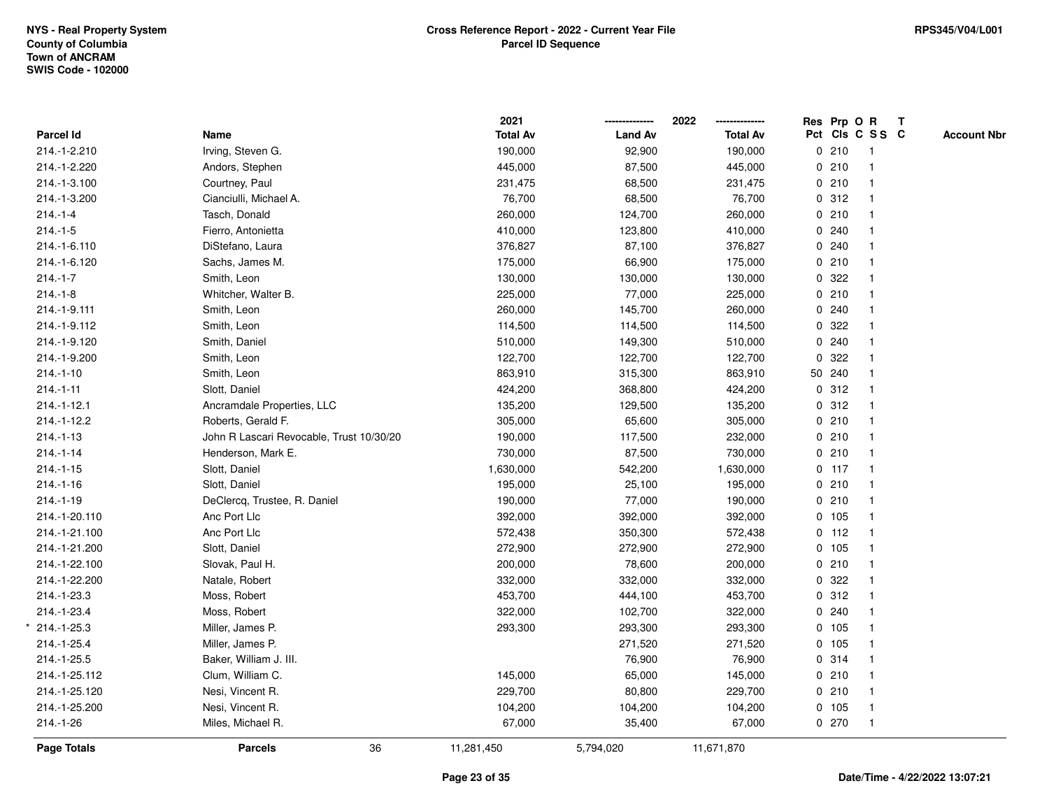|                  |                                          | 2021            |                | 2022<br>-------------- |   |         | Res Prp O R     | $\mathbf{T}$       |
|------------------|------------------------------------------|-----------------|----------------|------------------------|---|---------|-----------------|--------------------|
| <b>Parcel Id</b> | Name                                     | <b>Total Av</b> | <b>Land Av</b> | <b>Total Av</b>        |   |         | Pct Cls C S S C | <b>Account Nbr</b> |
| 214.-1-2.210     | Irving, Steven G.                        | 190,000         | 92,900         | 190,000                |   | 0210    |                 |                    |
| 214.-1-2.220     | Andors, Stephen                          | 445,000         | 87,500         | 445,000                |   | 0210    |                 |                    |
| 214.-1-3.100     | Courtney, Paul                           | 231,475         | 68,500         | 231,475                |   | 0210    |                 |                    |
| 214.-1-3.200     | Cianciulli, Michael A.                   | 76,700          | 68,500         | 76,700                 |   | 0.312   |                 |                    |
| $214.-1-4$       | Tasch, Donald                            | 260,000         | 124,700        | 260,000                |   | 0210    |                 |                    |
| $214.-1-5$       | Fierro, Antonietta                       | 410,000         | 123,800        | 410,000                |   | 0.240   |                 |                    |
| 214.-1-6.110     | DiStefano, Laura                         | 376,827         | 87,100         | 376,827                |   | 0.240   |                 |                    |
| 214.-1-6.120     | Sachs, James M.                          | 175,000         | 66,900         | 175,000                |   | 0210    |                 |                    |
| $214.-1-7$       | Smith, Leon                              | 130,000         | 130,000        | 130,000                |   | 0.322   |                 |                    |
| $214.-1-8$       | Whitcher, Walter B.                      | 225,000         | 77,000         | 225,000                |   | 0210    |                 |                    |
| 214.-1-9.111     | Smith, Leon                              | 260,000         | 145,700        | 260,000                |   | 0.240   |                 |                    |
| 214.-1-9.112     | Smith, Leon                              | 114,500         | 114,500        | 114,500                |   | 0.322   |                 |                    |
| 214.-1-9.120     | Smith, Daniel                            | 510,000         | 149,300        | 510,000                |   | 0.240   |                 |                    |
| 214.-1-9.200     | Smith, Leon                              | 122,700         | 122,700        | 122,700                |   | 0.322   |                 |                    |
| $214.-1-10$      | Smith, Leon                              | 863,910         | 315,300        | 863,910                |   | 50 240  |                 |                    |
| $214.-1-11$      | Slott, Daniel                            | 424,200         | 368,800        | 424,200                |   | 0.312   |                 |                    |
| $214 - 1 - 12.1$ | Ancramdale Properties, LLC               | 135,200         | 129,500        | 135,200                |   | 0.312   |                 |                    |
| 214.-1-12.2      | Roberts, Gerald F.                       | 305,000         | 65,600         | 305,000                |   | 0210    |                 |                    |
| $214.-1-13$      | John R Lascari Revocable, Trust 10/30/20 | 190,000         | 117,500        | 232,000                |   | 0210    |                 |                    |
| $214.-1-14$      | Henderson, Mark E.                       | 730,000         | 87,500         | 730,000                |   | 0210    |                 |                    |
| $214.-1-15$      | Slott, Daniel                            | 1,630,000       | 542,200        | 1,630,000              |   | $0$ 117 |                 |                    |
| $214.-1-16$      | Slott, Daniel                            | 195,000         | 25,100         | 195,000                |   | 0210    |                 |                    |
| $214.-1-19$      | DeClercq, Trustee, R. Daniel             | 190,000         | 77,000         | 190,000                |   | 0210    |                 |                    |
| 214.-1-20.110    | Anc Port Llc                             | 392,000         | 392,000        | 392,000                |   | 0 105   |                 |                    |
| 214.-1-21.100    | Anc Port Llc                             | 572,438         | 350,300        | 572,438                |   | $0$ 112 |                 |                    |
| 214.-1-21.200    | Slott, Daniel                            | 272,900         | 272,900        | 272,900                |   | 0 105   |                 |                    |
| 214.-1-22.100    | Slovak, Paul H.                          | 200,000         | 78,600         | 200,000                |   | 0210    |                 |                    |
| 214.-1-22.200    | Natale, Robert                           | 332,000         | 332,000        | 332,000                |   | 0.322   |                 |                    |
| 214.-1-23.3      | Moss, Robert                             | 453,700         | 444,100        | 453,700                |   | 0.312   |                 |                    |
| 214.-1-23.4      | Moss, Robert                             | 322,000         | 102,700        | 322,000                | 0 | 240     |                 |                    |
| 214.-1-25.3      | Miller, James P.                         | 293,300         | 293,300        | 293,300                |   | 0, 105  |                 |                    |
| 214.-1-25.4      | Miller, James P.                         |                 | 271,520        | 271,520                |   | 0 105   |                 |                    |
| 214.-1-25.5      | Baker, William J. III.                   |                 | 76,900         | 76,900                 |   | 0.314   |                 |                    |
| 214.-1-25.112    | Clum, William C.                         | 145,000         | 65,000         | 145,000                |   | 0210    |                 |                    |
| 214.-1-25.120    | Nesi, Vincent R.                         | 229,700         | 80,800         | 229,700                |   | 0210    |                 |                    |
| 214.-1-25.200    | Nesi, Vincent R.                         | 104,200         | 104,200        | 104,200                |   | 0 105   |                 |                    |
| 214.-1-26        | Miles, Michael R.                        | 67,000          | 35,400         | 67,000                 |   | 0270    | $\mathbf{1}$    |                    |
| Page Totals      | 36<br><b>Parcels</b>                     | 11,281,450      | 5,794,020      | 11,671,870             |   |         |                 |                    |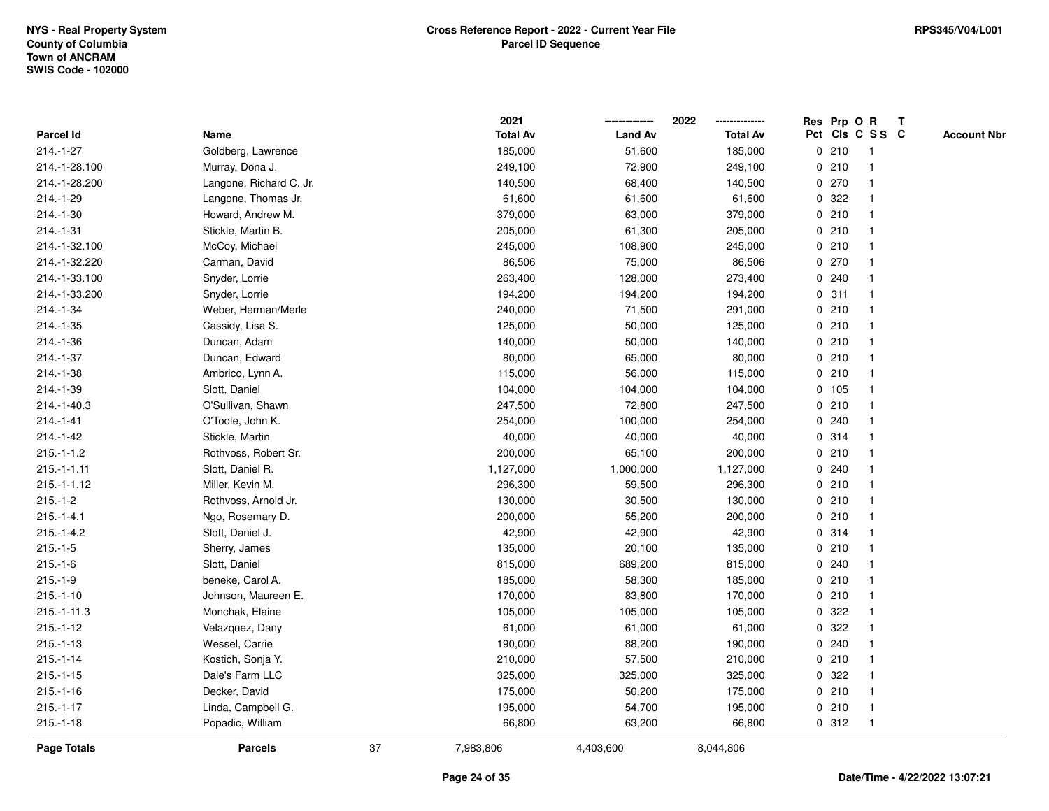|                  |                         |    | 2021            |                | 2022            |             |         | Res Prp O R     | $\mathbf{T}$ |                    |
|------------------|-------------------------|----|-----------------|----------------|-----------------|-------------|---------|-----------------|--------------|--------------------|
| <b>Parcel Id</b> | Name                    |    | <b>Total Av</b> | <b>Land Av</b> | <b>Total Av</b> |             |         | Pct Cls C S S C |              | <b>Account Nbr</b> |
| 214.-1-27        | Goldberg, Lawrence      |    | 185,000         | 51,600         | 185,000         |             | 0210    | -1              |              |                    |
| 214.-1-28.100    | Murray, Dona J.         |    | 249,100         | 72,900         | 249,100         |             | 0210    |                 |              |                    |
| 214.-1-28.200    | Langone, Richard C. Jr. |    | 140,500         | 68,400         | 140,500         |             | 0 270   |                 |              |                    |
| 214.-1-29        | Langone, Thomas Jr.     |    | 61,600          | 61,600         | 61,600          | 0           | 322     |                 |              |                    |
| $214.-1-30$      | Howard, Andrew M.       |    | 379,000         | 63,000         | 379,000         |             | 0210    | $\mathbf{1}$    |              |                    |
| 214.-1-31        | Stickle, Martin B.      |    | 205,000         | 61,300         | 205,000         |             | 0210    |                 |              |                    |
| 214.-1-32.100    | McCoy, Michael          |    | 245,000         | 108,900        | 245,000         |             | 0210    |                 |              |                    |
| 214.-1-32.220    | Carman, David           |    | 86,506          | 75,000         | 86,506          |             | $0$ 270 |                 |              |                    |
| 214.-1-33.100    | Snyder, Lorrie          |    | 263,400         | 128,000        | 273,400         |             | 0.240   |                 |              |                    |
| 214.-1-33.200    | Snyder, Lorrie          |    | 194,200         | 194,200        | 194,200         |             | 0.311   |                 |              |                    |
| 214.-1-34        | Weber, Herman/Merle     |    | 240,000         | 71,500         | 291,000         | $\mathbf 0$ | 210     | $\mathbf{1}$    |              |                    |
| $214.-1-35$      | Cassidy, Lisa S.        |    | 125,000         | 50,000         | 125,000         | $\mathbf 0$ | 210     |                 |              |                    |
| 214.-1-36        | Duncan, Adam            |    | 140,000         | 50,000         | 140,000         |             | 0210    |                 |              |                    |
| 214.-1-37        | Duncan, Edward          |    | 80,000          | 65,000         | 80,000          |             | 0210    |                 |              |                    |
| 214.-1-38        | Ambrico, Lynn A.        |    | 115,000         | 56,000         | 115,000         |             | 0210    |                 |              |                    |
| 214.-1-39        | Slott, Daniel           |    | 104,000         | 104,000        | 104,000         |             | $0$ 105 |                 |              |                    |
| 214.-1-40.3      | O'Sullivan, Shawn       |    | 247,500         | 72,800         | 247,500         | 0           | 210     |                 |              |                    |
| $214.-1-41$      | O'Toole, John K.        |    | 254,000         | 100,000        | 254,000         |             | 0.240   |                 |              |                    |
| $214.-1-42$      | Stickle, Martin         |    | 40,000          | 40,000         | 40,000          |             | 0 314   |                 |              |                    |
| $215.-1-1.2$     | Rothvoss, Robert Sr.    |    | 200,000         | 65,100         | 200,000         |             | 0210    |                 |              |                    |
| $215.-1-1.11$    | Slott, Daniel R.        |    | 1,127,000       | 1,000,000      | 1,127,000       |             | 0.240   |                 |              |                    |
| $215.-1-1.12$    | Miller, Kevin M.        |    | 296,300         | 59,500         | 296,300         |             | 0210    |                 |              |                    |
| $215.-1-2$       | Rothvoss, Arnold Jr.    |    | 130,000         | 30,500         | 130,000         |             | 0210    |                 |              |                    |
| $215.-1-4.1$     | Ngo, Rosemary D.        |    | 200,000         | 55,200         | 200,000         | 0           | 210     | $\mathbf 1$     |              |                    |
| $215.-1-4.2$     | Slott, Daniel J.        |    | 42,900          | 42,900         | 42,900          |             | 0.314   |                 |              |                    |
| $215.-1-5$       | Sherry, James           |    | 135,000         | 20,100         | 135,000         |             | 0210    |                 |              |                    |
| $215.-1-6$       | Slott, Daniel           |    | 815,000         | 689,200        | 815,000         |             | 0.240   |                 |              |                    |
| $215.-1-9$       | beneke, Carol A.        |    | 185,000         | 58,300         | 185,000         |             | 0210    |                 |              |                    |
| $215.-1-10$      | Johnson, Maureen E.     |    | 170,000         | 83,800         | 170,000         |             | 0210    |                 |              |                    |
| $215.-1-11.3$    | Monchak, Elaine         |    | 105,000         | 105,000        | 105,000         | 0           | 322     |                 |              |                    |
| $215.-1-12$      | Velazquez, Dany         |    | 61,000          | 61,000         | 61,000          | 0           | 322     |                 |              |                    |
| $215.-1-13$      | Wessel, Carrie          |    | 190,000         | 88,200         | 190,000         | $\mathbf 0$ | 240     |                 |              |                    |
| $215.-1-14$      | Kostich, Sonja Y.       |    | 210,000         | 57,500         | 210,000         |             | 0210    |                 |              |                    |
| $215.-1-15$      | Dale's Farm LLC         |    | 325,000         | 325,000        | 325,000         |             | 0 322   |                 |              |                    |
| $215.-1-16$      | Decker, David           |    | 175,000         | 50,200         | 175,000         |             | 0210    |                 |              |                    |
| $215.-1-17$      | Linda, Campbell G.      |    | 195,000         | 54,700         | 195,000         |             | 0210    | $\overline{1}$  |              |                    |
| $215.-1-18$      | Popadic, William        |    | 66,800          | 63,200         | 66,800          |             | 0.312   | $\overline{1}$  |              |                    |
| Page Totals      | <b>Parcels</b>          | 37 | 7,983,806       | 4,403,600      | 8,044,806       |             |         |                 |              |                    |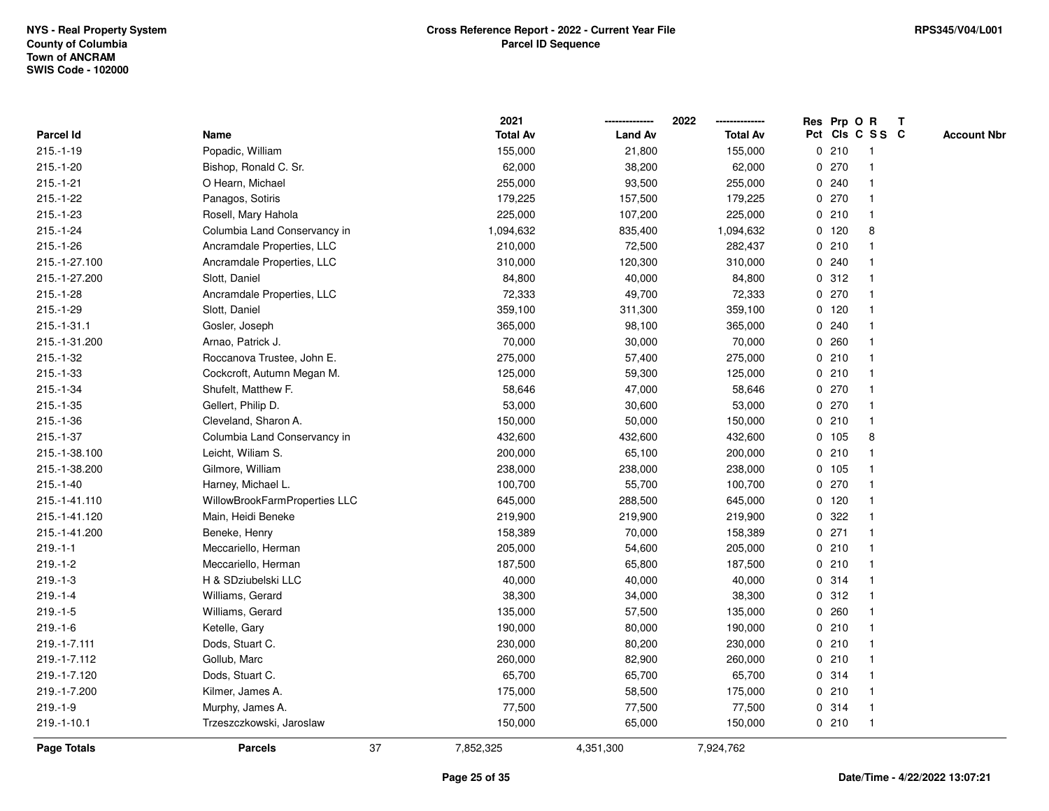|                    |                               |    | 2021            |                | 2022<br>        |             |         | Res Prp O R     | $\mathbf{T}$ |                    |
|--------------------|-------------------------------|----|-----------------|----------------|-----------------|-------------|---------|-----------------|--------------|--------------------|
| Parcel Id          | Name                          |    | <b>Total Av</b> | <b>Land Av</b> | <b>Total Av</b> |             |         | Pct Cls C S S C |              | <b>Account Nbr</b> |
| $215.-1-19$        | Popadic, William              |    | 155,000         | 21,800         | 155,000         |             | 0210    | -1              |              |                    |
| $215.-1-20$        | Bishop, Ronald C. Sr.         |    | 62,000          | 38,200         | 62,000          |             | 0270    |                 |              |                    |
| $215.-1-21$        | O Hearn, Michael              |    | 255,000         | 93,500         | 255,000         |             | 0.240   |                 |              |                    |
| $215.-1-22$        | Panagos, Sotiris              |    | 179,225         | 157,500        | 179,225         | 0           | 270     | -1              |              |                    |
| $215.-1-23$        | Rosell, Mary Hahola           |    | 225,000         | 107,200        | 225,000         |             | 0210    | $\mathbf{1}$    |              |                    |
| $215.-1-24$        | Columbia Land Conservancy in  |    | 1,094,632       | 835,400        | 1,094,632       |             | $0$ 120 | 8               |              |                    |
| $215.-1-26$        | Ancramdale Properties, LLC    |    | 210,000         | 72,500         | 282,437         |             | 0210    |                 |              |                    |
| 215.-1-27.100      | Ancramdale Properties, LLC    |    | 310,000         | 120,300        | 310,000         |             | 0.240   |                 |              |                    |
| 215.-1-27.200      | Slott, Daniel                 |    | 84,800          | 40,000         | 84,800          |             | 0.312   |                 |              |                    |
| $215.-1-28$        | Ancramdale Properties, LLC    |    | 72,333          | 49,700         | 72,333          |             | 0 270   |                 |              |                    |
| $215.-1-29$        | Slott, Daniel                 |    | 359,100         | 311,300        | 359,100         |             | $0$ 120 | $\mathbf 1$     |              |                    |
| $215.-1-31.1$      | Gosler, Joseph                |    | 365,000         | 98,100         | 365,000         |             | 0.240   |                 |              |                    |
| 215.-1-31.200      | Arnao, Patrick J.             |    | 70,000          | 30,000         | 70,000          |             | 0.260   |                 |              |                    |
| $215.-1-32$        | Roccanova Trustee, John E.    |    | 275,000         | 57,400         | 275,000         |             | 0210    |                 |              |                    |
| $215.-1-33$        | Cockcroft, Autumn Megan M.    |    | 125,000         | 59,300         | 125,000         |             | 0210    |                 |              |                    |
| $215.-1-34$        | Shufelt, Matthew F.           |    | 58,646          | 47,000         | 58,646          |             | 0 270   |                 |              |                    |
| $215.-1-35$        | Gellert, Philip D.            |    | 53,000          | 30,600         | 53,000          | 0           | 270     | -1              |              |                    |
| $215.-1-36$        | Cleveland, Sharon A.          |    | 150,000         | 50,000         | 150,000         |             | 0210    | $\mathbf{1}$    |              |                    |
| $215.-1-37$        | Columbia Land Conservancy in  |    | 432,600         | 432,600        | 432,600         |             | 0, 105  | 8               |              |                    |
| 215.-1-38.100      | Leicht, Wiliam S.             |    | 200,000         | 65,100         | 200,000         |             | 0210    |                 |              |                    |
| 215.-1-38.200      | Gilmore, William              |    | 238,000         | 238,000        | 238,000         |             | 0, 105  |                 |              |                    |
| $215.-1-40$        | Harney, Michael L.            |    | 100,700         | 55,700         | 100,700         |             | 0 270   |                 |              |                    |
| 215.-1-41.110      | WillowBrookFarmProperties LLC |    | 645,000         | 288,500        | 645,000         |             | $0$ 120 |                 |              |                    |
| 215.-1-41.120      | Main, Heidi Beneke            |    | 219,900         | 219,900        | 219,900         | $\mathbf 0$ | 322     |                 |              |                    |
| 215.-1-41.200      | Beneke, Henry                 |    | 158,389         | 70,000         | 158,389         |             | $0$ 271 |                 |              |                    |
| $219.-1-1$         | Meccariello, Herman           |    | 205,000         | 54,600         | 205,000         |             | 0210    |                 |              |                    |
| $219.-1-2$         | Meccariello, Herman           |    | 187,500         | 65,800         | 187,500         |             | 0210    |                 |              |                    |
| $219.-1-3$         | H & SDziubelski LLC           |    | 40,000          | 40,000         | 40,000          |             | 0.314   |                 |              |                    |
| $219.-1-4$         | Williams, Gerard              |    | 38,300          | 34,000         | 38,300          |             | 0.312   |                 |              |                    |
| $219.-1-5$         | Williams, Gerard              |    | 135,000         | 57,500         | 135,000         | 0           | 260     |                 |              |                    |
| $219.-1-6$         | Ketelle, Gary                 |    | 190,000         | 80,000         | 190,000         | 0           | 210     | $\mathbf 1$     |              |                    |
| 219.-1-7.111       | Dods, Stuart C.               |    | 230,000         | 80,200         | 230,000         |             | 0210    |                 |              |                    |
| 219.-1-7.112       | Gollub, Marc                  |    | 260,000         | 82,900         | 260,000         |             | 0210    |                 |              |                    |
| 219.-1-7.120       | Dods, Stuart C.               |    | 65,700          | 65,700         | 65,700          |             | 0 314   |                 |              |                    |
| 219.-1-7.200       | Kilmer, James A.              |    | 175,000         | 58,500         | 175,000         |             | 0210    |                 |              |                    |
| $219.-1-9$         | Murphy, James A.              |    | 77,500          | 77,500         | 77,500          |             | 0 314   | $\overline{1}$  |              |                    |
| $219.-1-10.1$      | Trzeszczkowski, Jaroslaw      |    | 150,000         | 65,000         | 150,000         |             | 0210    | $\overline{1}$  |              |                    |
| <b>Page Totals</b> | <b>Parcels</b>                | 37 | 7,852,325       | 4,351,300      | 7,924,762       |             |         |                 |              |                    |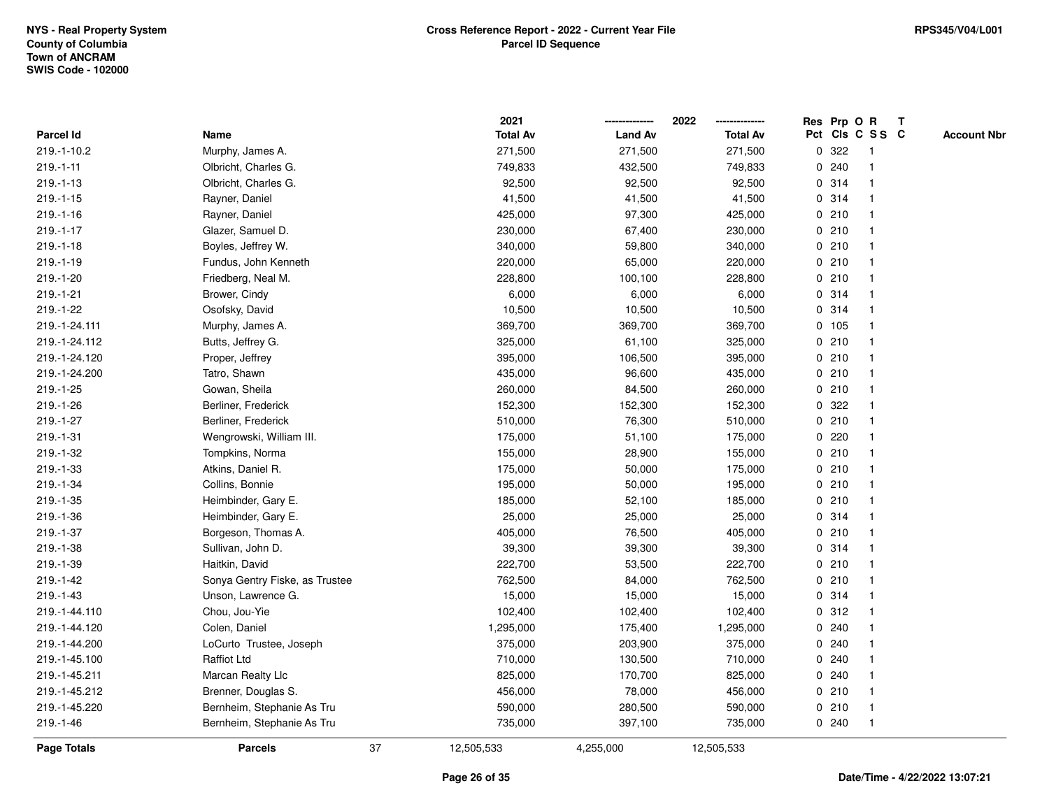|                    |                                |    | 2021            |                | 2022            | Res Prp O R |       |                 | $\mathbf{T}$ |                    |
|--------------------|--------------------------------|----|-----------------|----------------|-----------------|-------------|-------|-----------------|--------------|--------------------|
| Parcel Id          | Name                           |    | <b>Total Av</b> | <b>Land Av</b> | <b>Total Av</b> |             |       | Pct Cls C S S C |              | <b>Account Nbr</b> |
| 219.-1-10.2        | Murphy, James A.               |    | 271,500         | 271,500        | 271,500         | 0           | 322   |                 |              |                    |
| $219.-1-11$        | Olbricht, Charles G.           |    | 749,833         | 432,500        | 749,833         | 0           | 240   |                 |              |                    |
| $219.-1-13$        | Olbricht, Charles G.           |    | 92,500          | 92,500         | 92,500          |             | 0.314 |                 |              |                    |
| $219.-1-15$        | Rayner, Daniel                 |    | 41,500          | 41,500         | 41,500          | 0           | 314   | -1              |              |                    |
| $219.-1-16$        | Rayner, Daniel                 |    | 425,000         | 97,300         | 425,000         |             | 0210  |                 |              |                    |
| $219.-1-17$        | Glazer, Samuel D.              |    | 230,000         | 67,400         | 230,000         |             | 0210  |                 |              |                    |
| $219.-1-18$        | Boyles, Jeffrey W.             |    | 340,000         | 59,800         | 340,000         |             | 0210  |                 |              |                    |
| $219.-1-19$        | Fundus, John Kenneth           |    | 220,000         | 65,000         | 220,000         |             | 0210  |                 |              |                    |
| 219.-1-20          | Friedberg, Neal M.             |    | 228,800         | 100,100        | 228,800         |             | 0210  |                 |              |                    |
| $219.-1-21$        | Brower, Cindy                  |    | 6,000           | 6,000          | 6,000           |             | 0.314 |                 |              |                    |
| 219.-1-22          | Osofsky, David                 |    | 10,500          | 10,500         | 10,500          | 0           | 314   | $\mathbf 1$     |              |                    |
| 219.-1-24.111      | Murphy, James A.               |    | 369,700         | 369,700        | 369,700         |             | 0 105 | $\mathbf{1}$    |              |                    |
| 219.-1-24.112      | Butts, Jeffrey G.              |    | 325,000         | 61,100         | 325,000         |             | 0210  |                 |              |                    |
| 219.-1-24.120      | Proper, Jeffrey                |    | 395,000         | 106,500        | 395,000         |             | 0210  |                 |              |                    |
| 219.-1-24.200      | Tatro, Shawn                   |    | 435,000         | 96,600         | 435,000         |             | 0210  |                 |              |                    |
| 219.-1-25          | Gowan, Sheila                  |    | 260,000         | 84,500         | 260,000         |             | 0210  |                 |              |                    |
| 219.-1-26          | Berliner, Frederick            |    | 152,300         | 152,300        | 152,300         | 0           | 322   |                 |              |                    |
| 219.-1-27          | Berliner, Frederick            |    | 510,000         | 76,300         | 510,000         | 0           | 210   |                 |              |                    |
| 219.-1-31          | Wengrowski, William III.       |    | 175,000         | 51,100         | 175,000         |             | 0.220 |                 |              |                    |
| 219.-1-32          | Tompkins, Norma                |    | 155,000         | 28,900         | 155,000         |             | 0210  |                 |              |                    |
| 219.-1-33          | Atkins, Daniel R.              |    | 175,000         | 50,000         | 175,000         |             | 0210  |                 |              |                    |
| 219.-1-34          | Collins, Bonnie                |    | 195,000         | 50,000         | 195,000         |             | 0210  |                 |              |                    |
| 219.-1-35          | Heimbinder, Gary E.            |    | 185,000         | 52,100         | 185,000         |             | 0210  |                 |              |                    |
| 219.-1-36          | Heimbinder, Gary E.            |    | 25,000          | 25,000         | 25,000          |             | 0.314 |                 |              |                    |
| 219.-1-37          | Borgeson, Thomas A.            |    | 405,000         | 76,500         | 405,000         |             | 0210  |                 |              |                    |
| 219.-1-38          | Sullivan, John D.              |    | 39,300          | 39,300         | 39,300          |             | 0.314 |                 |              |                    |
| 219.-1-39          | Haitkin, David                 |    | 222,700         | 53,500         | 222,700         |             | 0210  |                 |              |                    |
| 219.-1-42          | Sonya Gentry Fiske, as Trustee |    | 762,500         | 84,000         | 762,500         |             | 0210  |                 |              |                    |
| $219.-1-43$        | Unson, Lawrence G.             |    | 15,000          | 15,000         | 15,000          |             | 0.314 |                 |              |                    |
| 219.-1-44.110      | Chou, Jou-Yie                  |    | 102,400         | 102,400        | 102,400         | 0           | 312   |                 |              |                    |
| 219.-1-44.120      | Colen, Daniel                  |    | 1,295,000       | 175,400        | 1,295,000       | 0           | 240   |                 |              |                    |
| 219.-1-44.200      | LoCurto Trustee, Joseph        |    | 375,000         | 203,900        | 375,000         | 0           | 240   |                 |              |                    |
| 219.-1-45.100      | <b>Raffiot Ltd</b>             |    | 710,000         | 130,500        | 710,000         |             | 0.240 |                 |              |                    |
| 219.-1-45.211      | Marcan Realty Llc              |    | 825,000         | 170,700        | 825,000         |             | 0.240 |                 |              |                    |
| 219.-1-45.212      | Brenner, Douglas S.            |    | 456,000         | 78,000         | 456,000         |             | 0210  |                 |              |                    |
| 219.-1-45.220      | Bernheim, Stephanie As Tru     |    | 590,000         | 280,500        | 590,000         |             | 0210  | $\overline{1}$  |              |                    |
| 219.-1-46          | Bernheim, Stephanie As Tru     |    | 735,000         | 397,100        | 735,000         |             | 0.240 | $\mathbf{1}$    |              |                    |
| <b>Page Totals</b> | <b>Parcels</b>                 | 37 | 12,505,533      | 4,255,000      | 12,505,533      |             |       |                 |              |                    |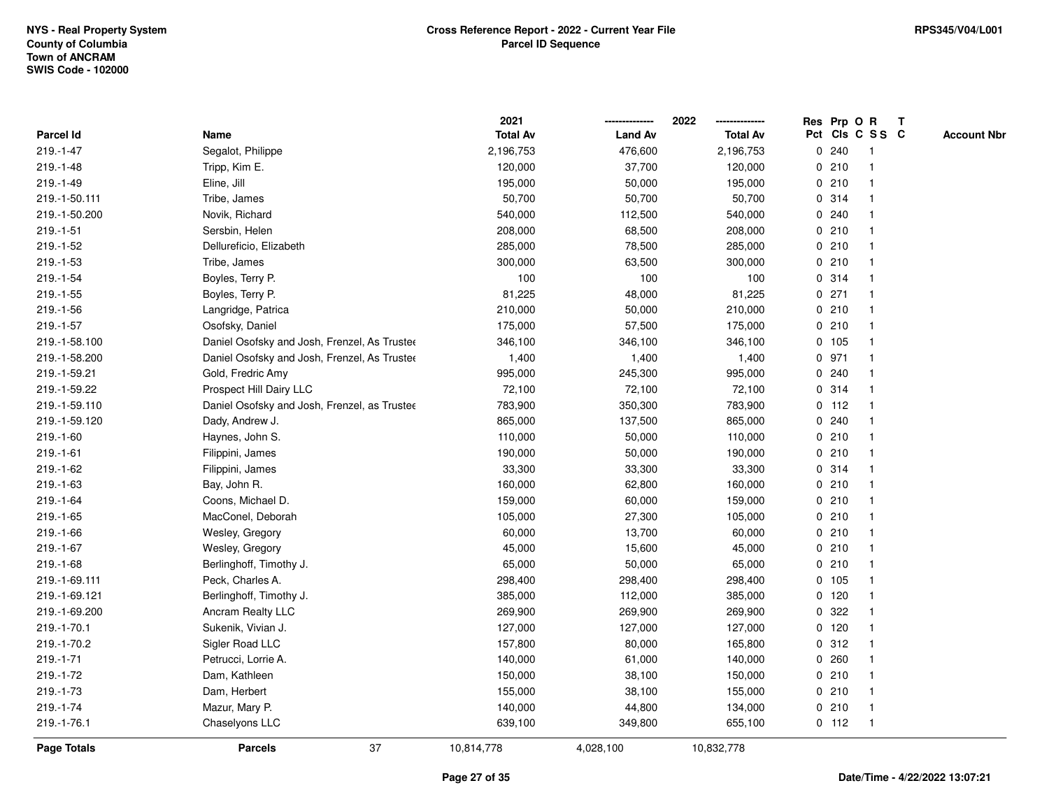|               |                                              | 2021            |                | 2022            | Res Prp O R |         |                 | $\mathbf{T}$ |                    |
|---------------|----------------------------------------------|-----------------|----------------|-----------------|-------------|---------|-----------------|--------------|--------------------|
| Parcel Id     | Name                                         | <b>Total Av</b> | <b>Land Av</b> | <b>Total Av</b> |             |         | Pct Cls C S S C |              | <b>Account Nbr</b> |
| 219.-1-47     | Segalot, Philippe                            | 2,196,753       | 476,600        | 2,196,753       |             | 0.240   | -1              |              |                    |
| $219.-1-48$   | Tripp, Kim E.                                | 120,000         | 37,700         | 120,000         | 0           | 210     |                 |              |                    |
| 219.-1-49     | Eline, Jill                                  | 195,000         | 50,000         | 195,000         |             | 0210    |                 |              |                    |
| 219.-1-50.111 | Tribe, James                                 | 50,700          | 50,700         | 50,700          | 0           | 314     |                 |              |                    |
| 219.-1-50.200 | Novik, Richard                               | 540,000         | 112,500        | 540,000         |             | 0.240   | $\mathbf{1}$    |              |                    |
| $219.-1-51$   | Sersbin, Helen                               | 208,000         | 68,500         | 208,000         |             | 0210    | -1              |              |                    |
| 219.-1-52     | Dellureficio, Elizabeth                      | 285,000         | 78,500         | 285,000         |             | 0210    |                 |              |                    |
| 219.-1-53     | Tribe, James                                 | 300,000         | 63,500         | 300,000         |             | 0210    |                 |              |                    |
| 219.-1-54     | Boyles, Terry P.                             | 100             | 100            | 100             |             | 0.314   |                 |              |                    |
| 219.-1-55     | Boyles, Terry P.                             | 81,225          | 48,000         | 81,225          |             | $0$ 271 |                 |              |                    |
| 219.-1-56     | Langridge, Patrica                           | 210,000         | 50,000         | 210,000         |             | 0210    | $\mathbf{1}$    |              |                    |
| 219.-1-57     | Osofsky, Daniel                              | 175,000         | 57,500         | 175,000         |             | 0210    | $\mathbf{1}$    |              |                    |
| 219.-1-58.100 | Daniel Osofsky and Josh, Frenzel, As Trustee | 346,100         | 346,100        | 346,100         |             | 0 105   |                 |              |                    |
| 219.-1-58.200 | Daniel Osofsky and Josh, Frenzel, As Trustee | 1,400           | 1,400          | 1,400           |             | 0 971   |                 |              |                    |
| 219.-1-59.21  | Gold, Fredric Amy                            | 995,000         | 245,300        | 995,000         |             | 0.240   |                 |              |                    |
| 219.-1-59.22  | Prospect Hill Dairy LLC                      | 72,100          | 72,100         | 72,100          |             | 0.314   |                 |              |                    |
| 219.-1-59.110 | Daniel Osofsky and Josh, Frenzel, as Trustee | 783,900         | 350,300        | 783,900         |             | $0$ 112 | -1              |              |                    |
| 219.-1-59.120 | Dady, Andrew J.                              | 865,000         | 137,500        | 865,000         | 0           | 240     |                 |              |                    |
| $219.-1-60$   | Haynes, John S.                              | 110,000         | 50,000         | 110,000         |             | 0210    | $\mathbf 1$     |              |                    |
| $219.-1-61$   | Filippini, James                             | 190,000         | 50,000         | 190,000         |             | 0210    |                 |              |                    |
| 219.-1-62     | Filippini, James                             | 33,300          | 33,300         | 33,300          |             | 0 314   |                 |              |                    |
| $219.-1-63$   | Bay, John R.                                 | 160,000         | 62,800         | 160,000         |             | 0210    |                 |              |                    |
| 219.-1-64     | Coons, Michael D.                            | 159,000         | 60,000         | 159,000         |             | 0210    |                 |              |                    |
| 219.-1-65     | MacConel, Deborah                            | 105,000         | 27,300         | 105,000         | $\mathbf 0$ | 210     | -1              |              |                    |
| 219.-1-66     | Wesley, Gregory                              | 60,000          | 13,700         | 60,000          |             | 0210    | -1              |              |                    |
| $219.-1-67$   | Wesley, Gregory                              | 45,000          | 15,600         | 45,000          |             | 0210    | -1              |              |                    |
| 219.-1-68     | Berlinghoff, Timothy J.                      | 65,000          | 50,000         | 65,000          |             | 0210    |                 |              |                    |
| 219.-1-69.111 | Peck, Charles A.                             | 298,400         | 298,400        | 298,400         |             | 0, 105  |                 |              |                    |
| 219.-1-69.121 | Berlinghoff, Timothy J.                      | 385,000         | 112,000        | 385,000         |             | $0$ 120 |                 |              |                    |
| 219.-1-69.200 | Ancram Realty LLC                            | 269,900         | 269,900        | 269,900         | 0           | 322     |                 |              |                    |
| 219.-1-70.1   | Sukenik, Vivian J.                           | 127,000         | 127,000        | 127,000         |             | 0, 120  | $\mathbf{1}$    |              |                    |
| 219.-1-70.2   | Sigler Road LLC                              | 157,800         | 80,000         | 165,800         |             | 0.312   | $\mathbf{1}$    |              |                    |
| $219.-1-71$   | Petrucci, Lorrie A.                          | 140,000         | 61,000         | 140,000         |             | 0.260   |                 |              |                    |
| 219.-1-72     | Dam, Kathleen                                | 150,000         | 38,100         | 150,000         |             | 0210    |                 |              |                    |
| 219.-1-73     | Dam, Herbert                                 | 155,000         | 38,100         | 155,000         |             | 0210    |                 |              |                    |
| 219.-1-74     | Mazur, Mary P.                               | 140,000         | 44,800         | 134,000         |             | 0210    | $\mathbf{1}$    |              |                    |
| 219.-1-76.1   | Chaselyons LLC                               | 639,100         | 349,800        | 655,100         |             | $0$ 112 | $\mathbf{1}$    |              |                    |
| Page Totals   | 37<br><b>Parcels</b>                         | 10,814,778      | 4,028,100      | 10,832,778      |             |         |                 |              |                    |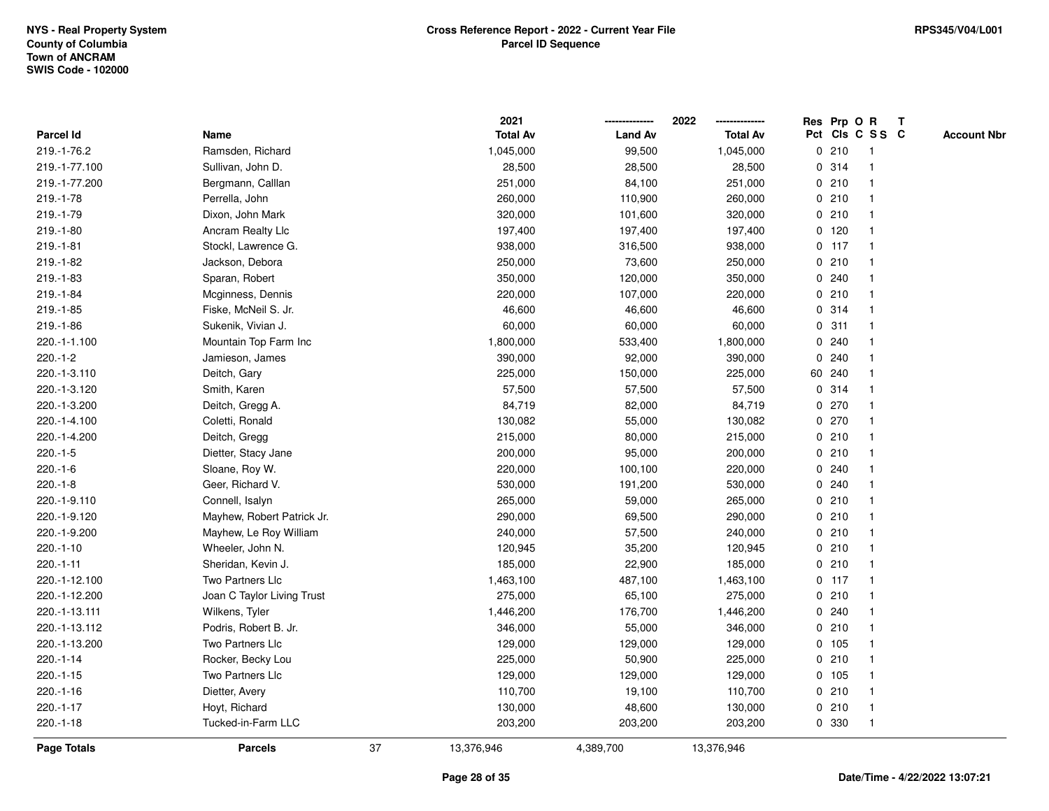|                    |                            |    | 2021            |                | 2022<br>-------------- |              | Res Prp O R     |                | T |                    |
|--------------------|----------------------------|----|-----------------|----------------|------------------------|--------------|-----------------|----------------|---|--------------------|
| <b>Parcel Id</b>   | Name                       |    | <b>Total Av</b> | <b>Land Av</b> | <b>Total Av</b>        |              | Pct Cls C S S C |                |   | <b>Account Nbr</b> |
| 219.-1-76.2        | Ramsden, Richard           |    | 1,045,000       | 99,500         | 1,045,000              | 0            | 210             | -1             |   |                    |
| 219.-1-77.100      | Sullivan, John D.          |    | 28,500          | 28,500         | 28,500                 |              | 0 314           |                |   |                    |
| 219.-1-77.200      | Bergmann, Calllan          |    | 251,000         | 84,100         | 251,000                |              | 0210            |                |   |                    |
| 219.-1-78          | Perrella, John             |    | 260,000         | 110,900        | 260,000                |              | 0210            |                |   |                    |
| 219.-1-79          | Dixon, John Mark           |    | 320,000         | 101,600        | 320,000                | 0            | 210             | $\mathbf 1$    |   |                    |
| 219.-1-80          | Ancram Realty Llc          |    | 197,400         | 197,400        | 197,400                | $\mathbf{0}$ | 120             | $\overline{1}$ |   |                    |
| $219.-1-81$        | Stockl, Lawrence G.        |    | 938,000         | 316,500        | 938,000                |              | $0$ 117         |                |   |                    |
| 219.-1-82          | Jackson, Debora            |    | 250,000         | 73,600         | 250,000                |              | 0210            |                |   |                    |
| 219.-1-83          | Sparan, Robert             |    | 350,000         | 120,000        | 350,000                |              | 0.240           |                |   |                    |
| 219.-1-84          | Mcginness, Dennis          |    | 220,000         | 107,000        | 220,000                |              | 0210            |                |   |                    |
| $219.-1-85$        | Fiske, McNeil S. Jr.       |    | 46,600          | 46,600         | 46,600                 | 0            | 314             |                |   |                    |
| $219.-1-86$        | Sukenik, Vivian J.         |    | 60,000          | 60,000         | 60,000                 | 0            | 311             | -1             |   |                    |
| 220.-1-1.100       | Mountain Top Farm Inc      |    | 1,800,000       | 533,400        | 1,800,000              |              | 0.240           | 1              |   |                    |
| $220.-1-2$         | Jamieson, James            |    | 390,000         | 92,000         | 390,000                | $\mathbf{0}$ | 240             |                |   |                    |
| 220.-1-3.110       | Deitch, Gary               |    | 225,000         | 150,000        | 225,000                |              | 60 240          |                |   |                    |
| 220.-1-3.120       | Smith, Karen               |    | 57,500          | 57,500         | 57,500                 |              | 0.314           |                |   |                    |
| 220.-1-3.200       | Deitch, Gregg A.           |    | 84,719          | 82,000         | 84,719                 | 0            | 270             |                |   |                    |
| 220.-1-4.100       | Coletti, Ronald            |    | 130,082         | 55,000         | 130,082                | 0            | 270             | $\mathbf 1$    |   |                    |
| 220.-1-4.200       | Deitch, Gregg              |    | 215,000         | 80,000         | 215,000                |              | 0210            | $\mathbf{1}$   |   |                    |
| $220.-1-5$         | Dietter, Stacy Jane        |    | 200,000         | 95,000         | 200,000                |              | 0210            |                |   |                    |
| $220.-1-6$         | Sloane, Roy W.             |    | 220,000         | 100,100        | 220,000                |              | 0.240           |                |   |                    |
| $220.-1-8$         | Geer, Richard V.           |    | 530,000         | 191,200        | 530,000                | $\mathbf{0}$ | 240             |                |   |                    |
| 220.-1-9.110       | Connell, Isalyn            |    | 265,000         | 59,000         | 265,000                |              | 0210            |                |   |                    |
| 220.-1-9.120       | Mayhew, Robert Patrick Jr. |    | 290,000         | 69,500         | 290,000                | 0            | 210             |                |   |                    |
| 220.-1-9.200       | Mayhew, Le Roy William     |    | 240,000         | 57,500         | 240,000                | 0            | 210             | -1             |   |                    |
| $220.-1-10$        | Wheeler, John N.           |    | 120,945         | 35,200         | 120,945                |              | 0210            | 1              |   |                    |
| 220.-1-11          | Sheridan, Kevin J.         |    | 185,000         | 22,900         | 185,000                |              | 0.210           |                |   |                    |
| 220.-1-12.100      | Two Partners Llc           |    | 1,463,100       | 487,100        | 1,463,100              |              | $0$ 117         |                |   |                    |
| 220.-1-12.200      | Joan C Taylor Living Trust |    | 275,000         | 65,100         | 275,000                |              | 0210            |                |   |                    |
| 220.-1-13.111      | Wilkens, Tyler             |    | 1,446,200       | 176,700        | 1,446,200              | 0            | 240             |                |   |                    |
| 220.-1-13.112      | Podris, Robert B. Jr.      |    | 346,000         | 55,000         | 346,000                | 0            | 210             | -1             |   |                    |
| 220.-1-13.200      | Two Partners Llc           |    | 129,000         | 129,000        | 129,000                | $\mathbf 0$  | 105             | $\overline{1}$ |   |                    |
| 220.-1-14          | Rocker, Becky Lou          |    | 225,000         | 50,900         | 225,000                |              | 0210            | 1              |   |                    |
| $220.-1-15$        | Two Partners Llc           |    | 129,000         | 129,000        | 129,000                |              | 0, 105          |                |   |                    |
| 220.-1-16          | Dietter, Avery             |    | 110,700         | 19,100         | 110,700                |              | 0210            |                |   |                    |
| $220.-1-17$        | Hoyt, Richard              |    | 130,000         | 48,600         | 130,000                |              | 0210            | -1             |   |                    |
| 220.-1-18          | Tucked-in-Farm LLC         |    | 203,200         | 203,200        | 203,200                | 0            | 330             | $\mathbf{1}$   |   |                    |
| <b>Page Totals</b> | <b>Parcels</b>             | 37 | 13,376,946      | 4,389,700      | 13,376,946             |              |                 |                |   |                    |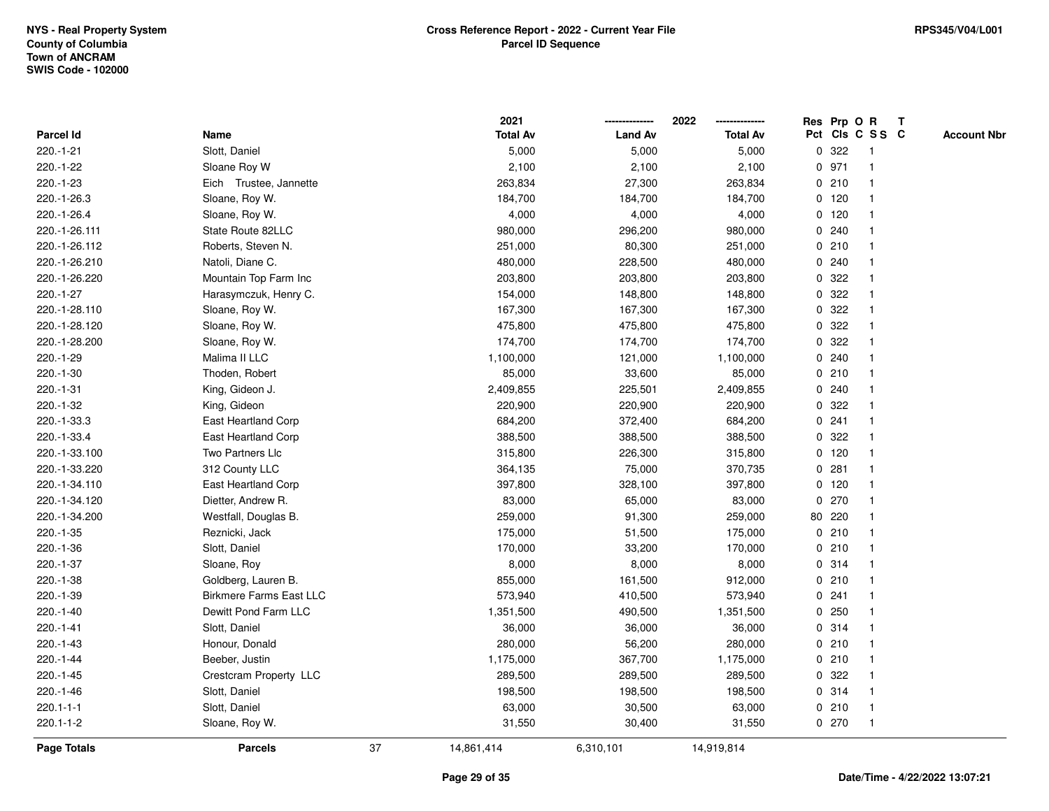|                    |                                |    | 2021            |                | 2022<br>-------------- |              | Res Prp O R     |              | T |                    |
|--------------------|--------------------------------|----|-----------------|----------------|------------------------|--------------|-----------------|--------------|---|--------------------|
| <b>Parcel Id</b>   | Name                           |    | <b>Total Av</b> | <b>Land Av</b> | <b>Total Av</b>        |              | Pct Cls C S S C |              |   | <b>Account Nbr</b> |
| 220.-1-21          | Slott, Daniel                  |    | 5,000           | 5,000          | 5,000                  | $\mathbf 0$  | 322             | -1           |   |                    |
| 220.-1-22          | Sloane Roy W                   |    | 2,100           | 2,100          | 2,100                  |              | 0 971           |              |   |                    |
| 220.-1-23          | Eich Trustee, Jannette         |    | 263,834         | 27,300         | 263,834                |              | 0210            |              |   |                    |
| 220.-1-26.3        | Sloane, Roy W.                 |    | 184,700         | 184,700        | 184,700                |              | $0$ 120         |              |   |                    |
| 220.-1-26.4        | Sloane, Roy W.                 |    | 4,000           | 4,000          | 4,000                  |              | $0$ 120         | $\mathbf 1$  |   |                    |
| 220.-1-26.111      | State Route 82LLC              |    | 980,000         | 296,200        | 980,000                |              | 0.240           | $\mathbf{1}$ |   |                    |
| 220.-1-26.112      | Roberts, Steven N.             |    | 251,000         | 80,300         | 251,000                |              | 0210            |              |   |                    |
| 220.-1-26.210      | Natoli, Diane C.               |    | 480,000         | 228,500        | 480,000                |              | 0.240           |              |   |                    |
| 220.-1-26.220      | Mountain Top Farm Inc          |    | 203,800         | 203,800        | 203,800                | $\mathbf{0}$ | 322             |              |   |                    |
| 220.-1-27          | Harasymczuk, Henry C.          |    | 154,000         | 148,800        | 148,800                |              | 0.322           |              |   |                    |
| 220.-1-28.110      | Sloane, Roy W.                 |    | 167,300         | 167,300        | 167,300                | 0            | 322             |              |   |                    |
| 220.-1-28.120      | Sloane, Roy W.                 |    | 475,800         | 475,800        | 475,800                | $\mathbf{0}$ | 322             | -1           |   |                    |
| 220.-1-28.200      | Sloane, Roy W.                 |    | 174,700         | 174,700        | 174,700                |              | 0 322           |              |   |                    |
| 220.-1-29          | Malima II LLC                  |    | 1,100,000       | 121,000        | 1,100,000              |              | 0.240           |              |   |                    |
| 220.-1-30          | Thoden, Robert                 |    | 85,000          | 33,600         | 85,000                 |              | 0210            |              |   |                    |
| 220.-1-31          | King, Gideon J.                |    | 2,409,855       | 225,501        | 2,409,855              | 0            | 240             |              |   |                    |
| 220.-1-32          | King, Gideon                   |    | 220,900         | 220,900        | 220,900                | 0            | 322             |              |   |                    |
| 220.-1-33.3        | East Heartland Corp            |    | 684,200         | 372,400        | 684,200                | 0            | 241             | $\mathbf 1$  |   |                    |
| 220.-1-33.4        | East Heartland Corp            |    | 388,500         | 388,500        | 388,500                | $\mathbf 0$  | 322             | $\mathbf{1}$ |   |                    |
| 220.-1-33.100      | Two Partners Llc               |    | 315,800         | 226,300        | 315,800                |              | $0$ 120         |              |   |                    |
| 220.-1-33.220      | 312 County LLC                 |    | 364,135         | 75,000         | 370,735                |              | 0.281           |              |   |                    |
| 220.-1-34.110      | East Heartland Corp            |    | 397,800         | 328,100        | 397,800                |              | $0$ 120         |              |   |                    |
| 220.-1-34.120      | Dietter, Andrew R.             |    | 83,000          | 65,000         | 83,000                 |              | $0$ 270         |              |   |                    |
| 220.-1-34.200      | Westfall, Douglas B.           |    | 259,000         | 91,300         | 259,000                | 80           | 220             |              |   |                    |
| 220.-1-35          | Reznicki, Jack                 |    | 175,000         | 51,500         | 175,000                | 0            | 210             | -1           |   |                    |
| 220.-1-36          | Slott, Daniel                  |    | 170,000         | 33,200         | 170,000                |              | 0210            | 1            |   |                    |
| 220.-1-37          | Sloane, Roy                    |    | 8,000           | 8,000          | 8,000                  |              | 0.314           |              |   |                    |
| 220.-1-38          | Goldberg, Lauren B.            |    | 855,000         | 161,500        | 912,000                |              | 0210            |              |   |                    |
| 220.-1-39          | <b>Birkmere Farms East LLC</b> |    | 573,940         | 410,500        | 573,940                | 0            | 241             |              |   |                    |
| 220.-1-40          | Dewitt Pond Farm LLC           |    | 1,351,500       | 490,500        | 1,351,500              | 0            | 250             |              |   |                    |
| $220.-1-41$        | Slott, Daniel                  |    | 36,000          | 36,000         | 36,000                 |              | 0.314           | -1           |   |                    |
| 220.-1-43          | Honour, Donald                 |    | 280,000         | 56,200         | 280,000                |              | 0210            | $\mathbf{1}$ |   |                    |
| 220.-1-44          | Beeber, Justin                 |    | 1,175,000       | 367,700        | 1,175,000              |              | 0210            |              |   |                    |
| 220.-1-45          | Crestcram Property LLC         |    | 289,500         | 289,500        | 289,500                |              | 0.322           |              |   |                    |
| 220.-1-46          | Slott, Daniel                  |    | 198,500         | 198,500        | 198,500                |              | 0.314           |              |   |                    |
| $220.1 - 1 - 1$    | Slott, Daniel                  |    | 63,000          | 30,500         | 63,000                 |              | 0210            | -1           |   |                    |
| 220.1-1-2          | Sloane, Roy W.                 |    | 31,550          | 30,400         | 31,550                 |              | 0270            | -1           |   |                    |
| <b>Page Totals</b> | <b>Parcels</b>                 | 37 | 14,861,414      | 6,310,101      | 14,919,814             |              |                 |              |   |                    |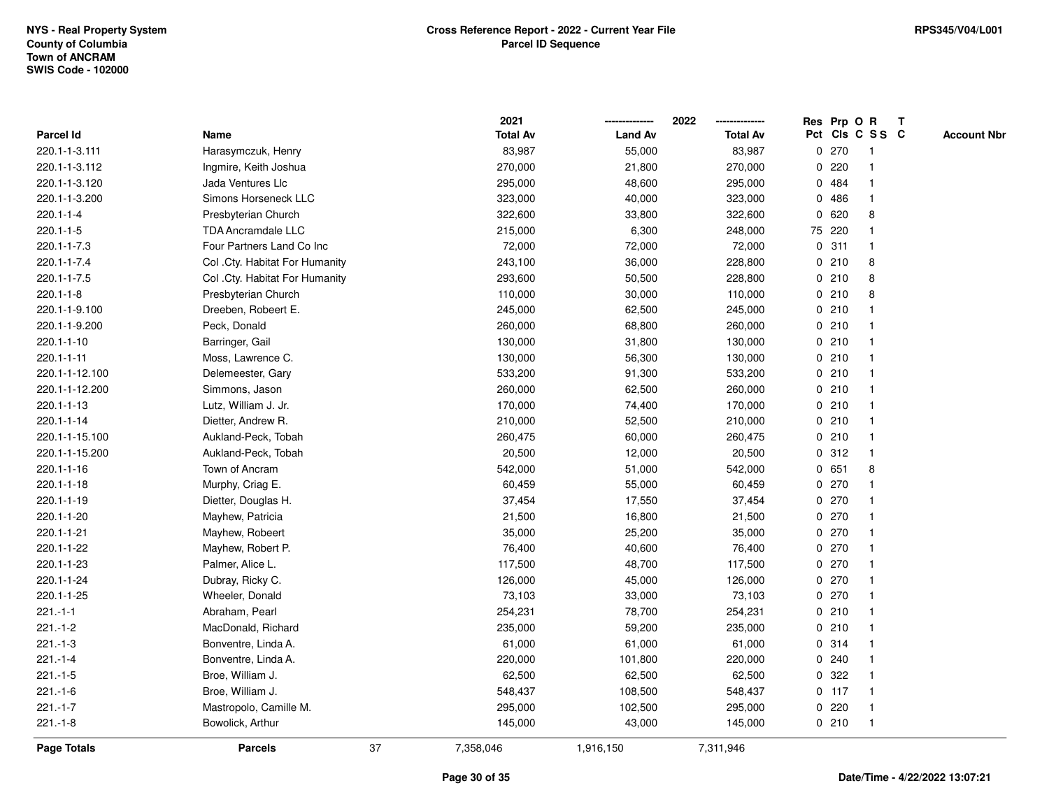|                    |                                |    | 2021            |                | 2022<br>-------------- |   |         | Res Prp O R     | $\mathbf{T}$ |                    |
|--------------------|--------------------------------|----|-----------------|----------------|------------------------|---|---------|-----------------|--------------|--------------------|
| Parcel Id          | Name                           |    | <b>Total Av</b> | <b>Land Av</b> | <b>Total Av</b>        |   |         | Pct Cls C S S C |              | <b>Account Nbr</b> |
| 220.1-1-3.111      | Harasymczuk, Henry             |    | 83,987          | 55,000         | 83,987                 |   | 0270    | -1              |              |                    |
| 220.1-1-3.112      | Ingmire, Keith Joshua          |    | 270,000         | 21,800         | 270,000                | 0 | 220     |                 |              |                    |
| 220.1-1-3.120      | Jada Ventures Llc              |    | 295,000         | 48,600         | 295,000                | 0 | 484     | $\mathbf 1$     |              |                    |
| 220.1-1-3.200      | Simons Horseneck LLC           |    | 323,000         | 40,000         | 323,000                | 0 | 486     | $\mathbf{1}$    |              |                    |
| $220.1 - 1 - 4$    | Presbyterian Church            |    | 322,600         | 33,800         | 322,600                |   | 0620    | 8               |              |                    |
| $220.1 - 1 - 5$    | <b>TDA Ancramdale LLC</b>      |    | 215,000         | 6,300          | 248,000                |   | 75 220  | $\mathbf{1}$    |              |                    |
| 220.1-1-7.3        | Four Partners Land Co Inc      |    | 72,000          | 72,000         | 72,000                 |   | 0.311   | $\mathbf 1$     |              |                    |
| 220.1-1-7.4        | Col .Cty. Habitat For Humanity |    | 243,100         | 36,000         | 228,800                |   | 0210    | 8               |              |                    |
| 220.1-1-7.5        | Col. Cty. Habitat For Humanity |    | 293,600         | 50,500         | 228,800                |   | 0210    | 8               |              |                    |
| $220.1 - 1 - 8$    | Presbyterian Church            |    | 110,000         | 30,000         | 110,000                |   | 0210    | 8               |              |                    |
| 220.1-1-9.100      | Dreeben, Robeert E.            |    | 245,000         | 62,500         | 245,000                |   | 0210    | $\mathbf{1}$    |              |                    |
| 220.1-1-9.200      | Peck, Donald                   |    | 260,000         | 68,800         | 260,000                |   | 0210    | $\mathbf{1}$    |              |                    |
| 220.1-1-10         | Barringer, Gail                |    | 130,000         | 31,800         | 130,000                |   | 0210    | $\mathbf{1}$    |              |                    |
| $220.1 - 1 - 11$   | Moss, Lawrence C.              |    | 130,000         | 56,300         | 130,000                |   | 0210    | 1               |              |                    |
| 220.1-1-12.100     | Delemeester, Gary              |    | 533,200         | 91,300         | 533,200                |   | 0210    |                 |              |                    |
| 220.1-1-12.200     | Simmons, Jason                 |    | 260,000         | 62,500         | 260,000                |   | 0210    | $\mathbf 1$     |              |                    |
| 220.1-1-13         | Lutz, William J. Jr.           |    | 170,000         | 74,400         | 170,000                |   | 0210    | $\mathbf{1}$    |              |                    |
| 220.1-1-14         | Dietter, Andrew R.             |    | 210,000         | 52,500         | 210,000                |   | 0210    | $\mathbf{1}$    |              |                    |
| 220.1-1-15.100     | Aukland-Peck, Tobah            |    | 260,475         | 60,000         | 260,475                |   | 0210    | $\mathbf{1}$    |              |                    |
| 220.1-1-15.200     | Aukland-Peck, Tobah            |    | 20,500          | 12,000         | 20,500                 |   | 0.312   | $\mathbf 1$     |              |                    |
| 220.1-1-16         | Town of Ancram                 |    | 542,000         | 51,000         | 542,000                |   | 0651    | 8               |              |                    |
| 220.1-1-18         | Murphy, Criag E.               |    | 60,459          | 55,000         | 60,459                 |   | 0270    |                 |              |                    |
| 220.1-1-19         | Dietter, Douglas H.            |    | 37,454          | 17,550         | 37,454                 |   | 0270    | $\mathbf 1$     |              |                    |
| 220.1-1-20         | Mayhew, Patricia               |    | 21,500          | 16,800         | 21,500                 |   | 0270    | $\mathbf{1}$    |              |                    |
| 220.1-1-21         | Mayhew, Robeert                |    | 35,000          | 25,200         | 35,000                 |   | 0270    | $\mathbf{1}$    |              |                    |
| 220.1-1-22         | Mayhew, Robert P.              |    | 76,400          | 40,600         | 76,400                 |   | 0270    | $\mathbf 1$     |              |                    |
| 220.1-1-23         | Palmer, Alice L.               |    | 117,500         | 48,700         | 117,500                |   | 0270    | -1              |              |                    |
| 220.1-1-24         | Dubray, Ricky C.               |    | 126,000         | 45,000         | 126,000                |   | 0270    |                 |              |                    |
| 220.1-1-25         | Wheeler, Donald                |    | 73,103          | 33,000         | 73,103                 |   | 0270    | $\mathbf{1}$    |              |                    |
| $221 - 1 - 1$      | Abraham, Pearl                 |    | 254,231         | 78,700         | 254,231                |   | 0210    | $\mathbf{1}$    |              |                    |
| $221 - 1 - 2$      | MacDonald, Richard             |    | 235,000         | 59,200         | 235,000                |   | 0210    | $\mathbf{1}$    |              |                    |
| $221 - 1 - 3$      | Bonventre, Linda A.            |    | 61,000          | 61,000         | 61,000                 |   | 0.314   | $\mathbf{1}$    |              |                    |
| $221 - 1 - 4$      | Bonventre, Linda A.            |    | 220,000         | 101,800        | 220,000                |   | 0.240   | $\mathbf{1}$    |              |                    |
| $221 - 1 - 5$      | Broe, William J.               |    | 62,500          | 62,500         | 62,500                 |   | 0.322   |                 |              |                    |
| $221 - 1 - 6$      | Broe, William J.               |    | 548,437         | 108,500        | 548,437                |   | $0$ 117 | $\mathbf 1$     |              |                    |
| $221 - 1 - 7$      | Mastropolo, Camille M.         |    | 295,000         | 102,500        | 295,000                |   | 0220    | $\mathbf{1}$    |              |                    |
| $221 - 1 - 8$      | Bowolick, Arthur               |    | 145,000         | 43,000         | 145,000                |   | 0210    | $\mathbf{1}$    |              |                    |
| <b>Page Totals</b> | <b>Parcels</b>                 | 37 | 7,358,046       | 1,916,150      | 7,311,946              |   |         |                 |              |                    |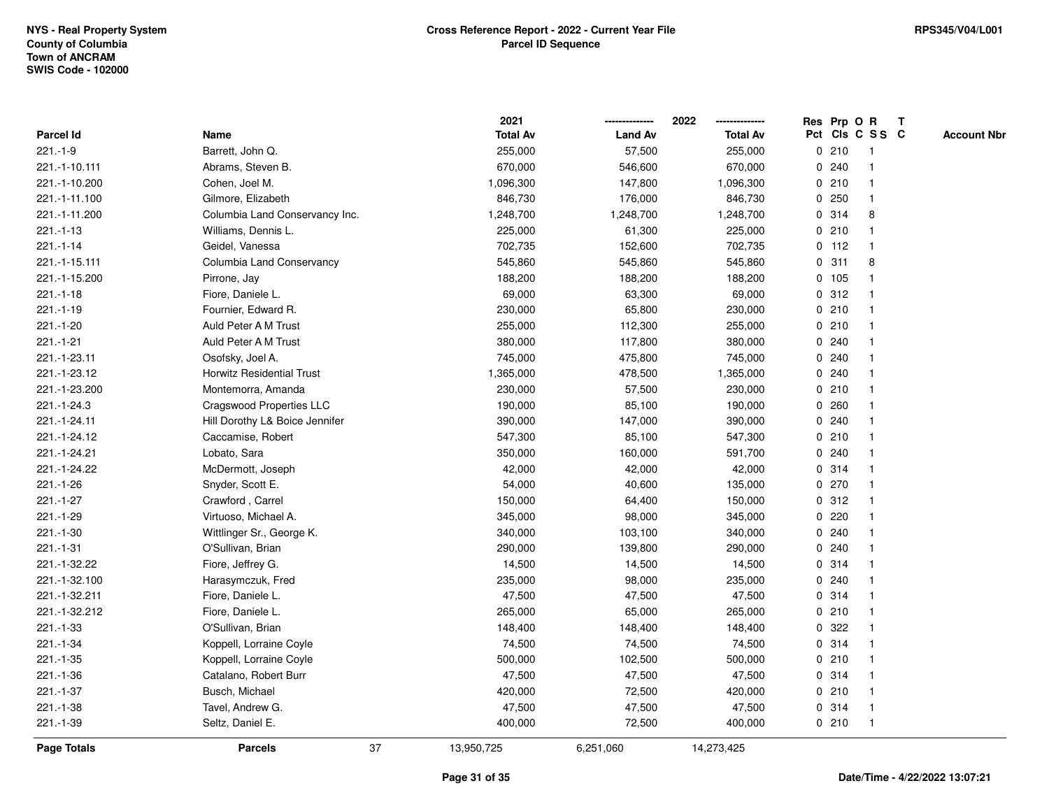|                |                                | 2021             |                | 2022            |   |         | Res Prp O R     | $\mathbf{T}$ |                    |
|----------------|--------------------------------|------------------|----------------|-----------------|---|---------|-----------------|--------------|--------------------|
| Parcel Id      | Name                           | <b>Total Av</b>  | <b>Land Av</b> | <b>Total Av</b> |   |         | Pct Cls C S S C |              | <b>Account Nbr</b> |
| $221.-1-9$     | Barrett, John Q.               | 255,000          | 57,500         | 255,000         |   | 0210    | -1              |              |                    |
| 221.-1-10.111  | Abrams, Steven B.              | 670,000          | 546,600        | 670,000         |   | 0.240   |                 |              |                    |
| 221.-1-10.200  | Cohen, Joel M.                 | 1,096,300        | 147,800        | 1,096,300       |   | 0210    | -1              |              |                    |
| 221.-1-11.100  | Gilmore, Elizabeth             | 846,730          | 176,000        | 846,730         | 0 | 250     | $\mathbf{1}$    |              |                    |
| 221.-1-11.200  | Columbia Land Conservancy Inc. | 1,248,700        | 1,248,700      | 1,248,700       |   | 0.314   | 8               |              |                    |
| $221.-1-13$    | Williams, Dennis L.            | 225,000          | 61,300         | 225,000         |   | 0210    | -1              |              |                    |
| 221.-1-14      | Geidel, Vanessa                | 702,735          | 152,600        | 702,735         |   | $0$ 112 | $\mathbf 1$     |              |                    |
| 221.-1-15.111  | Columbia Land Conservancy      | 545,860          | 545,860        | 545,860         |   | 0.311   | 8               |              |                    |
| 221.-1-15.200  | Pirrone, Jay                   | 188,200          | 188,200        | 188,200         |   | 0 105   | -1              |              |                    |
| $221.-1-18$    | Fiore, Daniele L.              | 69,000           | 63,300         | 69,000          |   | 0.312   | $\mathbf{1}$    |              |                    |
| $221.-1-19$    | Fournier, Edward R.            | 230,000          | 65,800         | 230,000         |   | 0210    | $\mathbf{1}$    |              |                    |
| 221.-1-20      | Auld Peter A M Trust           | 255,000          | 112,300        | 255,000         |   | 0210    | $\mathbf{1}$    |              |                    |
| $221 - 1 - 21$ | Auld Peter A M Trust           | 380,000          | 117,800        | 380,000         |   | 0.240   | $\mathbf 1$     |              |                    |
| 221.-1-23.11   | Osofsky, Joel A.               | 745,000          | 475,800        | 745,000         |   | 0.240   |                 |              |                    |
| 221.-1-23.12   | Horwitz Residential Trust      | 1,365,000        | 478,500        | 1,365,000       |   | 0.240   |                 |              |                    |
| 221.-1-23.200  | Montemorra, Amanda             | 230,000          | 57,500         | 230,000         |   | 0210    | $\mathbf 1$     |              |                    |
| 221.-1-24.3    | Cragswood Properties LLC       | 190,000          | 85,100         | 190,000         | 0 | 260     | $\mathbf{1}$    |              |                    |
| 221.-1-24.11   | Hill Dorothy L& Boice Jennifer | 390,000          | 147,000        | 390,000         | 0 | 240     | $\mathbf 1$     |              |                    |
| 221.-1-24.12   | Caccamise, Robert              | 547,300          | 85,100         | 547,300         |   | 0210    | $\mathbf{1}$    |              |                    |
| 221.-1-24.21   | Lobato, Sara                   | 350,000          | 160,000        | 591,700         |   | 0.240   |                 |              |                    |
| 221.-1-24.22   | McDermott, Joseph              | 42,000           | 42,000         | 42,000          |   | 0.314   |                 |              |                    |
| $221.-1-26$    | Snyder, Scott E.               | 54,000           | 40,600         | 135,000         |   | 0270    |                 |              |                    |
| $221 - 1 - 27$ | Crawford, Carrel               | 150,000          | 64,400         | 150,000         |   | 0.312   | $\mathbf 1$     |              |                    |
| 221.-1-29      | Virtuoso, Michael A.           | 345,000          | 98,000         | 345,000         | 0 | 220     | $\mathbf{1}$    |              |                    |
| 221.-1-30      | Wittlinger Sr., George K.      | 340,000          | 103,100        | 340,000         |   | 0.240   | $\mathbf 1$     |              |                    |
| $221.-1-31$    | O'Sullivan, Brian              | 290,000          | 139,800        | 290,000         |   | 0.240   | $\mathbf 1$     |              |                    |
| 221.-1-32.22   | Fiore, Jeffrey G.              | 14,500           | 14,500         | 14,500          |   | 0.314   |                 |              |                    |
| 221.-1-32.100  | Harasymczuk, Fred              | 235,000          | 98,000         | 235,000         |   | 0.240   |                 |              |                    |
| 221.-1-32.211  | Fiore, Daniele L.              | 47,500           | 47,500         | 47,500          |   | 0.314   | $\mathbf{1}$    |              |                    |
| 221.-1-32.212  | Fiore, Daniele L.              | 265,000          | 65,000         | 265,000         |   | 0210    | $\mathbf 1$     |              |                    |
| 221.-1-33      | O'Sullivan, Brian              | 148,400          | 148,400        | 148,400         | 0 | 322     | $\mathbf{1}$    |              |                    |
| 221.-1-34      | Koppell, Lorraine Coyle        | 74,500           | 74,500         | 74,500          |   | 0.314   | 1               |              |                    |
| $221 - 1 - 35$ | Koppell, Lorraine Coyle        | 500,000          | 102,500        | 500,000         |   | 0210    | $\mathbf 1$     |              |                    |
| 221.-1-36      | Catalano, Robert Burr          | 47,500           | 47,500         | 47,500          |   | 0.314   |                 |              |                    |
| 221.-1-37      | Busch, Michael                 | 420,000          | 72,500         | 420,000         |   | 0210    | -1              |              |                    |
| 221.-1-38      | Tavel, Andrew G.               | 47,500           | 47,500         | 47,500          |   | 0.314   | $\mathbf{1}$    |              |                    |
| 221.-1-39      | Seltz, Daniel E.               | 400,000          | 72,500         | 400,000         |   | 0210    | $\mathbf{1}$    |              |                    |
| Page Totals    | <b>Parcels</b>                 | 37<br>13,950,725 | 6,251,060      | 14,273,425      |   |         |                 |              |                    |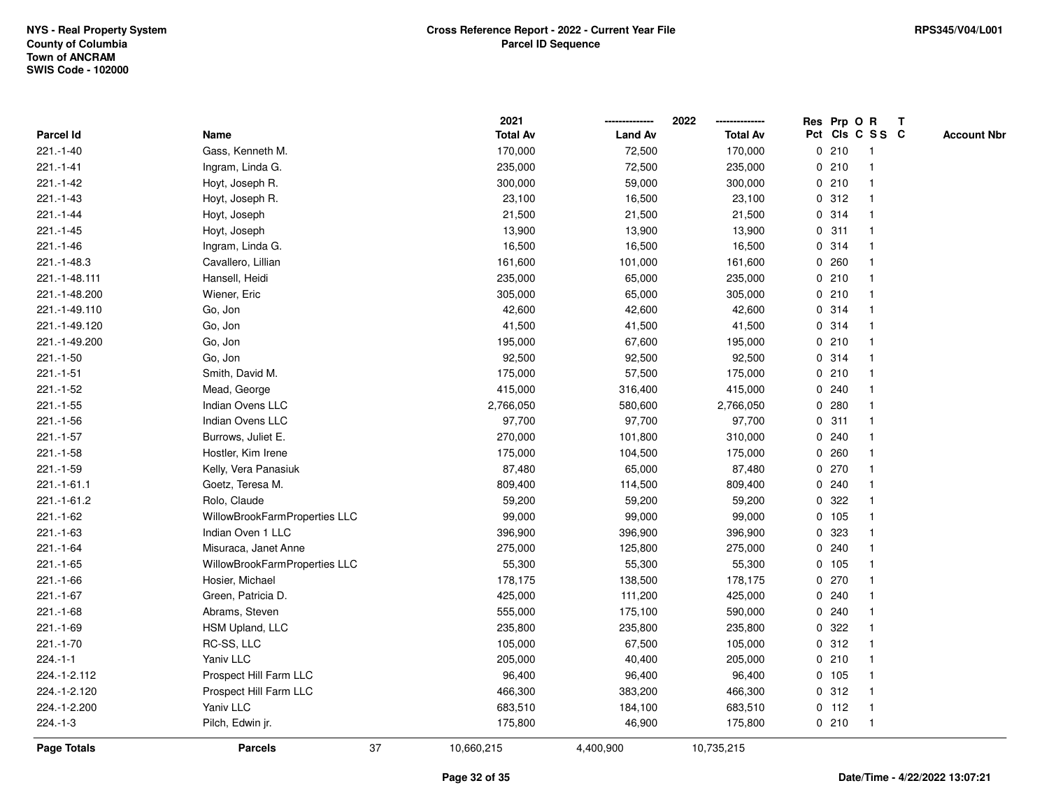|                    |                               |    | 2021            |                | 2022<br>--------------- |             | Res Prp O R     |              | T |                    |
|--------------------|-------------------------------|----|-----------------|----------------|-------------------------|-------------|-----------------|--------------|---|--------------------|
| <b>Parcel Id</b>   | Name                          |    | <b>Total Av</b> | <b>Land Av</b> | <b>Total Av</b>         |             | Pct Cls C S S C |              |   | <b>Account Nbr</b> |
| 221.-1-40          | Gass, Kenneth M.              |    | 170,000         | 72,500         | 170,000                 | 0           | 210             | -1           |   |                    |
| $221 - 1 - 41$     | Ingram, Linda G.              |    | 235,000         | 72,500         | 235,000                 |             | 0210            |              |   |                    |
| 221.-1-42          | Hoyt, Joseph R.               |    | 300,000         | 59,000         | 300,000                 |             | 0210            |              |   |                    |
| 221.-1-43          | Hoyt, Joseph R.               |    | 23,100          | 16,500         | 23,100                  | 0           | 312             |              |   |                    |
| $221 - 1 - 44$     | Hoyt, Joseph                  |    | 21,500          | 21,500         | 21,500                  |             | 0 314           | $\mathbf 1$  |   |                    |
| $221 - 1 - 45$     | Hoyt, Joseph                  |    | 13,900          | 13,900         | 13,900                  | 0           | 311             | $\mathbf{1}$ |   |                    |
| 221.-1-46          | Ingram, Linda G.              |    | 16,500          | 16,500         | 16,500                  |             | 0 314           |              |   |                    |
| 221.-1-48.3        | Cavallero, Lillian            |    | 161,600         | 101,000        | 161,600                 |             | 0.260           |              |   |                    |
| 221.-1-48.111      | Hansell, Heidi                |    | 235,000         | 65,000         | 235,000                 |             | 0210            |              |   |                    |
| 221.-1-48.200      | Wiener, Eric                  |    | 305,000         | 65,000         | 305,000                 |             | 0210            |              |   |                    |
| 221.-1-49.110      | Go, Jon                       |    | 42,600          | 42,600         | 42,600                  | 0           | 314             |              |   |                    |
| 221.-1-49.120      | Go, Jon                       |    | 41,500          | 41,500         | 41,500                  | 0           | 314             | -1           |   |                    |
| 221.-1-49.200      | Go, Jon                       |    | 195,000         | 67,600         | 195,000                 |             | 0210            | 1            |   |                    |
| $221.-1-50$        | Go, Jon                       |    | 92,500          | 92,500         | 92,500                  |             | 0.314           |              |   |                    |
| $221.-1-51$        | Smith, David M.               |    | 175,000         | 57,500         | 175,000                 |             | 0210            |              |   |                    |
| 221.-1-52          | Mead, George                  |    | 415,000         | 316,400        | 415,000                 |             | 0.240           |              |   |                    |
| $221.-1-55$        | Indian Ovens LLC              |    | 2,766,050       | 580,600        | 2,766,050               | 0           | 280             |              |   |                    |
| $221 - 1 - 56$     | Indian Ovens LLC              |    | 97,700          | 97,700         | 97,700                  | 0           | 311             |              |   |                    |
| $221 - 1 - 57$     | Burrows, Juliet E.            |    | 270,000         | 101,800        | 310,000                 | $\mathbf 0$ | 240             |              |   |                    |
| $221.-1-58$        | Hostler, Kim Irene            |    | 175,000         | 104,500        | 175,000                 |             | 0.260           |              |   |                    |
| 221.-1-59          | Kelly, Vera Panasiuk          |    | 87,480          | 65,000         | 87,480                  |             | 0270            |              |   |                    |
| $221.-1-61.1$      | Goetz, Teresa M.              |    | 809,400         | 114,500        | 809,400                 |             | 0.240           |              |   |                    |
| 221.-1-61.2        | Rolo, Claude                  |    | 59,200          | 59,200         | 59,200                  |             | 0.322           |              |   |                    |
| $221.-1-62$        | WillowBrookFarmProperties LLC |    | 99,000          | 99,000         | 99,000                  |             | 0 105           |              |   |                    |
| $221.-1-63$        | Indian Oven 1 LLC             |    | 396,900         | 396,900        | 396,900                 | 0           | 323             | $\mathbf 1$  |   |                    |
| $221 - 1 - 64$     | Misuraca, Janet Anne          |    | 275,000         | 125,800        | 275,000                 |             | 0.240           | $\mathbf{1}$ |   |                    |
| $221.-1-65$        | WillowBrookFarmProperties LLC |    | 55,300          | 55,300         | 55,300                  |             | $0$ 105         |              |   |                    |
| $221.-1-66$        | Hosier, Michael               |    | 178,175         | 138,500        | 178,175                 |             | $0$ 270         |              |   |                    |
| 221.-1-67          | Green, Patricia D.            |    | 425,000         | 111,200        | 425,000                 |             | 0.240           |              |   |                    |
| $221.-1-68$        | Abrams, Steven                |    | 555,000         | 175,100        | 590,000                 | 0           | 240             |              |   |                    |
| 221.-1-69          | HSM Upland, LLC               |    | 235,800         | 235,800        | 235,800                 | 0           | 322             |              |   |                    |
| 221.-1-70          | RC-SS, LLC                    |    | 105,000         | 67,500         | 105,000                 |             | 0.312           | $\mathbf{1}$ |   |                    |
| $224 - 1 - 1$      | Yaniv LLC                     |    | 205,000         | 40,400         | 205,000                 |             | 0210            |              |   |                    |
| 224.-1-2.112       | Prospect Hill Farm LLC        |    | 96,400          | 96,400         | 96,400                  |             | 0, 105          |              |   |                    |
| 224.-1-2.120       | Prospect Hill Farm LLC        |    | 466,300         | 383,200        | 466,300                 |             | 0.312           |              |   |                    |
| 224.-1-2.200       | Yaniv LLC                     |    | 683,510         | 184,100        | 683,510                 |             | $0$ 112         | -1           |   |                    |
| 224.-1-3           | Pilch, Edwin jr.              |    | 175,800         | 46,900         | 175,800                 |             | 0210            | -1           |   |                    |
| <b>Page Totals</b> | <b>Parcels</b>                | 37 | 10,660,215      | 4,400,900      | 10,735,215              |             |                 |              |   |                    |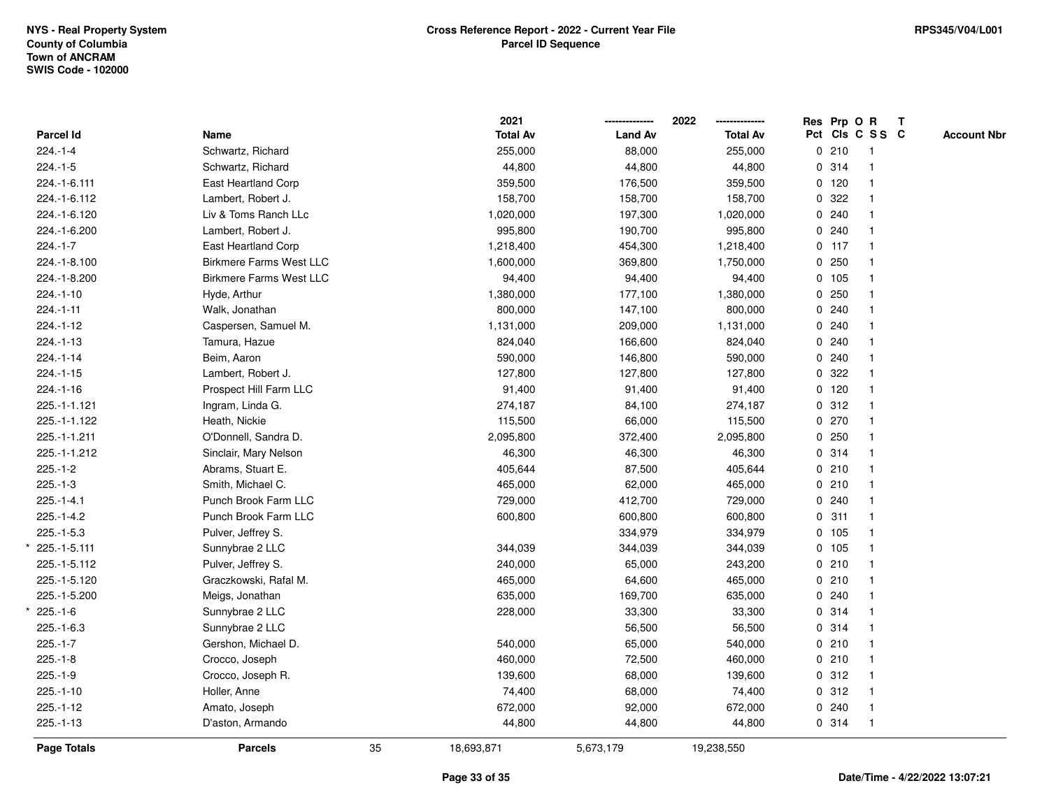\*

\*

| Pct Cls C S S C<br><b>Total Av</b><br><b>Land Av</b><br>Parcel Id<br>Name<br><b>Total Av</b><br><b>Account Nbr</b><br>Schwartz, Richard<br>0210<br>$224.-1-4$<br>255,000<br>88,000<br>255,000<br>$\overline{1}$<br>$224.-1-5$<br>0 314<br>Schwartz, Richard<br>44,800<br>44,800<br>44,800<br>$\mathbf{1}$<br>359,500<br>$0$ 120<br>224.-1-6.111<br>East Heartland Corp<br>176,500<br>359,500<br>$\mathbf 1$<br>158,700<br>158,700<br>0.322<br>224.-1-6.112<br>Lambert, Robert J.<br>158,700<br>0.240<br>224.-1-6.120<br>Liv & Toms Ranch LLc<br>1,020,000<br>197,300<br>1,020,000<br>0.240<br>Lambert, Robert J.<br>995,800<br>190,700<br>995,800<br>224.-1-6.200<br>$0$ 117<br>$224.-1-7$<br>East Heartland Corp<br>1,218,400<br>454,300<br>1,218,400<br>$\overline{1}$<br><b>Birkmere Farms West LLC</b><br>369,800<br>0.250<br>224.-1-8.100<br>1,600,000<br>1,750,000<br>$\overline{1}$<br>0 105<br>224.-1-8.200<br><b>Birkmere Farms West LLC</b><br>94,400<br>94,400<br>94,400<br>$\mathbf{1}$<br>0.250<br>$224.-1-10$<br>Hyde, Arthur<br>1,380,000<br>177,100<br>1,380,000<br>0.240<br>$224.-1-11$<br>Walk, Jonathan<br>800,000<br>147,100<br>800,000<br>0.240<br>$224.-1-12$<br>Caspersen, Samuel M.<br>1,131,000<br>209,000<br>1,131,000<br>$224.-1-13$<br>0.240<br>Tamura, Hazue<br>824,040<br>166,600<br>824,040<br>$224.-1-14$<br>0.240<br>Beim, Aaron<br>590,000<br>146,800<br>590,000<br>322<br>$224.-1-15$<br>Lambert, Robert J.<br>127,800<br>127,800<br>127,800<br>0<br>$\mathbf{1}$<br>0 120<br>$224.-1-16$<br>Prospect Hill Farm LLC<br>91,400<br>91,400<br>91,400<br>$\mathbf{1}$<br>0.312<br>225.-1-1.121<br>Ingram, Linda G.<br>274,187<br>84,100<br>274,187<br>0270<br>225.-1-1.122<br>Heath, Nickie<br>115,500<br>66,000<br>115,500<br>0250<br>O'Donnell, Sandra D.<br>225.-1-1.211<br>2,095,800<br>372,400<br>2,095,800<br>225.-1-1.212<br>Sinclair, Mary Nelson<br>46,300<br>46,300<br>46,300<br>0.314<br>$\mathbf{1}$<br>$225.-1-2$<br>Abrams, Stuart E.<br>87,500<br>0210<br>405,644<br>405,644<br>$\overline{1}$<br>$225.-1-3$<br>Smith, Michael C.<br>0210<br>465,000<br>62,000<br>465,000<br>$\overline{1}$<br>Punch Brook Farm LLC<br>412,700<br>0.240<br>$225.-1-4.1$<br>729,000<br>729,000<br>$\mathbf{1}$<br>Punch Brook Farm LLC<br>0.311<br>$225.-1-4.2$<br>600,800<br>600,800<br>600,800<br>$225.-1-5.3$<br>Pulver, Jeffrey S.<br>334,979<br>334,979<br>0, 105<br>0 105<br>225.-1-5.111<br>Sunnybrae 2 LLC<br>344,039<br>344,039<br>344,039<br>0210<br>225.-1-5.112<br>Pulver, Jeffrey S.<br>240,000<br>65,000<br>243,200<br>1<br>0210<br>225.-1-5.120<br>Graczkowski, Rafal M.<br>465,000<br>64,600<br>465,000<br>$\overline{1}$<br>0.240<br>225.-1-5.200<br>Meigs, Jonathan<br>635,000<br>169,700<br>635,000<br>$\mathbf{1}$<br>0.314<br>$225.-1-6$<br>Sunnybrae 2 LLC<br>228,000<br>33,300<br>33,300<br>0.314<br>$225.-1-6.3$<br>Sunnybrae 2 LLC<br>56,500<br>56,500<br>0210<br>$225.-1-7$<br>Gershon, Michael D.<br>540,000<br>65,000<br>540,000<br>0210<br>$225.-1-8$<br>Crocco, Joseph<br>460,000<br>72,500<br>460,000<br>$\mathbf{1}$<br>0.312<br>$225.-1-9$<br>Crocco, Joseph R.<br>139,600<br>68,000<br>139,600<br>$\mathbf{1}$<br>$225.-1-10$<br>0.312<br>Holler, Anne<br>74,400<br>68,000<br>74,400<br>$\overline{1}$<br>0.240<br>$225.-1-12$<br>Amato, Joseph<br>672,000<br>92,000<br>672,000<br>$\overline{1}$<br>$225.-1-13$<br>D'aston, Armando<br>44,800<br>44,800<br>0.314<br>$\overline{1}$<br>44,800<br>35<br><b>Page Totals</b><br><b>Parcels</b><br>18,693,871<br>5,673,179<br>19,238,550 |  | 2021 | 2022 |  | Res Prp O R | $\mathbf{T}$ |  |
|-----------------------------------------------------------------------------------------------------------------------------------------------------------------------------------------------------------------------------------------------------------------------------------------------------------------------------------------------------------------------------------------------------------------------------------------------------------------------------------------------------------------------------------------------------------------------------------------------------------------------------------------------------------------------------------------------------------------------------------------------------------------------------------------------------------------------------------------------------------------------------------------------------------------------------------------------------------------------------------------------------------------------------------------------------------------------------------------------------------------------------------------------------------------------------------------------------------------------------------------------------------------------------------------------------------------------------------------------------------------------------------------------------------------------------------------------------------------------------------------------------------------------------------------------------------------------------------------------------------------------------------------------------------------------------------------------------------------------------------------------------------------------------------------------------------------------------------------------------------------------------------------------------------------------------------------------------------------------------------------------------------------------------------------------------------------------------------------------------------------------------------------------------------------------------------------------------------------------------------------------------------------------------------------------------------------------------------------------------------------------------------------------------------------------------------------------------------------------------------------------------------------------------------------------------------------------------------------------------------------------------------------------------------------------------------------------------------------------------------------------------------------------------------------------------------------------------------------------------------------------------------------------------------------------------------------------------------------------------------------------------------------------------------------------------------------------------------------------------------------------------------------------------------------------------------------------------------------------------------------------------------------------------------------------------------------------------------------------------------------------------------------------------------------------------------------------------------------------------------------------------------------------------------------------------|--|------|------|--|-------------|--------------|--|
|                                                                                                                                                                                                                                                                                                                                                                                                                                                                                                                                                                                                                                                                                                                                                                                                                                                                                                                                                                                                                                                                                                                                                                                                                                                                                                                                                                                                                                                                                                                                                                                                                                                                                                                                                                                                                                                                                                                                                                                                                                                                                                                                                                                                                                                                                                                                                                                                                                                                                                                                                                                                                                                                                                                                                                                                                                                                                                                                                                                                                                                                                                                                                                                                                                                                                                                                                                                                                                                                                                                                                     |  |      |      |  |             |              |  |
|                                                                                                                                                                                                                                                                                                                                                                                                                                                                                                                                                                                                                                                                                                                                                                                                                                                                                                                                                                                                                                                                                                                                                                                                                                                                                                                                                                                                                                                                                                                                                                                                                                                                                                                                                                                                                                                                                                                                                                                                                                                                                                                                                                                                                                                                                                                                                                                                                                                                                                                                                                                                                                                                                                                                                                                                                                                                                                                                                                                                                                                                                                                                                                                                                                                                                                                                                                                                                                                                                                                                                     |  |      |      |  |             |              |  |
|                                                                                                                                                                                                                                                                                                                                                                                                                                                                                                                                                                                                                                                                                                                                                                                                                                                                                                                                                                                                                                                                                                                                                                                                                                                                                                                                                                                                                                                                                                                                                                                                                                                                                                                                                                                                                                                                                                                                                                                                                                                                                                                                                                                                                                                                                                                                                                                                                                                                                                                                                                                                                                                                                                                                                                                                                                                                                                                                                                                                                                                                                                                                                                                                                                                                                                                                                                                                                                                                                                                                                     |  |      |      |  |             |              |  |
|                                                                                                                                                                                                                                                                                                                                                                                                                                                                                                                                                                                                                                                                                                                                                                                                                                                                                                                                                                                                                                                                                                                                                                                                                                                                                                                                                                                                                                                                                                                                                                                                                                                                                                                                                                                                                                                                                                                                                                                                                                                                                                                                                                                                                                                                                                                                                                                                                                                                                                                                                                                                                                                                                                                                                                                                                                                                                                                                                                                                                                                                                                                                                                                                                                                                                                                                                                                                                                                                                                                                                     |  |      |      |  |             |              |  |
|                                                                                                                                                                                                                                                                                                                                                                                                                                                                                                                                                                                                                                                                                                                                                                                                                                                                                                                                                                                                                                                                                                                                                                                                                                                                                                                                                                                                                                                                                                                                                                                                                                                                                                                                                                                                                                                                                                                                                                                                                                                                                                                                                                                                                                                                                                                                                                                                                                                                                                                                                                                                                                                                                                                                                                                                                                                                                                                                                                                                                                                                                                                                                                                                                                                                                                                                                                                                                                                                                                                                                     |  |      |      |  |             |              |  |
|                                                                                                                                                                                                                                                                                                                                                                                                                                                                                                                                                                                                                                                                                                                                                                                                                                                                                                                                                                                                                                                                                                                                                                                                                                                                                                                                                                                                                                                                                                                                                                                                                                                                                                                                                                                                                                                                                                                                                                                                                                                                                                                                                                                                                                                                                                                                                                                                                                                                                                                                                                                                                                                                                                                                                                                                                                                                                                                                                                                                                                                                                                                                                                                                                                                                                                                                                                                                                                                                                                                                                     |  |      |      |  |             |              |  |
|                                                                                                                                                                                                                                                                                                                                                                                                                                                                                                                                                                                                                                                                                                                                                                                                                                                                                                                                                                                                                                                                                                                                                                                                                                                                                                                                                                                                                                                                                                                                                                                                                                                                                                                                                                                                                                                                                                                                                                                                                                                                                                                                                                                                                                                                                                                                                                                                                                                                                                                                                                                                                                                                                                                                                                                                                                                                                                                                                                                                                                                                                                                                                                                                                                                                                                                                                                                                                                                                                                                                                     |  |      |      |  |             |              |  |
|                                                                                                                                                                                                                                                                                                                                                                                                                                                                                                                                                                                                                                                                                                                                                                                                                                                                                                                                                                                                                                                                                                                                                                                                                                                                                                                                                                                                                                                                                                                                                                                                                                                                                                                                                                                                                                                                                                                                                                                                                                                                                                                                                                                                                                                                                                                                                                                                                                                                                                                                                                                                                                                                                                                                                                                                                                                                                                                                                                                                                                                                                                                                                                                                                                                                                                                                                                                                                                                                                                                                                     |  |      |      |  |             |              |  |
|                                                                                                                                                                                                                                                                                                                                                                                                                                                                                                                                                                                                                                                                                                                                                                                                                                                                                                                                                                                                                                                                                                                                                                                                                                                                                                                                                                                                                                                                                                                                                                                                                                                                                                                                                                                                                                                                                                                                                                                                                                                                                                                                                                                                                                                                                                                                                                                                                                                                                                                                                                                                                                                                                                                                                                                                                                                                                                                                                                                                                                                                                                                                                                                                                                                                                                                                                                                                                                                                                                                                                     |  |      |      |  |             |              |  |
|                                                                                                                                                                                                                                                                                                                                                                                                                                                                                                                                                                                                                                                                                                                                                                                                                                                                                                                                                                                                                                                                                                                                                                                                                                                                                                                                                                                                                                                                                                                                                                                                                                                                                                                                                                                                                                                                                                                                                                                                                                                                                                                                                                                                                                                                                                                                                                                                                                                                                                                                                                                                                                                                                                                                                                                                                                                                                                                                                                                                                                                                                                                                                                                                                                                                                                                                                                                                                                                                                                                                                     |  |      |      |  |             |              |  |
|                                                                                                                                                                                                                                                                                                                                                                                                                                                                                                                                                                                                                                                                                                                                                                                                                                                                                                                                                                                                                                                                                                                                                                                                                                                                                                                                                                                                                                                                                                                                                                                                                                                                                                                                                                                                                                                                                                                                                                                                                                                                                                                                                                                                                                                                                                                                                                                                                                                                                                                                                                                                                                                                                                                                                                                                                                                                                                                                                                                                                                                                                                                                                                                                                                                                                                                                                                                                                                                                                                                                                     |  |      |      |  |             |              |  |
|                                                                                                                                                                                                                                                                                                                                                                                                                                                                                                                                                                                                                                                                                                                                                                                                                                                                                                                                                                                                                                                                                                                                                                                                                                                                                                                                                                                                                                                                                                                                                                                                                                                                                                                                                                                                                                                                                                                                                                                                                                                                                                                                                                                                                                                                                                                                                                                                                                                                                                                                                                                                                                                                                                                                                                                                                                                                                                                                                                                                                                                                                                                                                                                                                                                                                                                                                                                                                                                                                                                                                     |  |      |      |  |             |              |  |
|                                                                                                                                                                                                                                                                                                                                                                                                                                                                                                                                                                                                                                                                                                                                                                                                                                                                                                                                                                                                                                                                                                                                                                                                                                                                                                                                                                                                                                                                                                                                                                                                                                                                                                                                                                                                                                                                                                                                                                                                                                                                                                                                                                                                                                                                                                                                                                                                                                                                                                                                                                                                                                                                                                                                                                                                                                                                                                                                                                                                                                                                                                                                                                                                                                                                                                                                                                                                                                                                                                                                                     |  |      |      |  |             |              |  |
|                                                                                                                                                                                                                                                                                                                                                                                                                                                                                                                                                                                                                                                                                                                                                                                                                                                                                                                                                                                                                                                                                                                                                                                                                                                                                                                                                                                                                                                                                                                                                                                                                                                                                                                                                                                                                                                                                                                                                                                                                                                                                                                                                                                                                                                                                                                                                                                                                                                                                                                                                                                                                                                                                                                                                                                                                                                                                                                                                                                                                                                                                                                                                                                                                                                                                                                                                                                                                                                                                                                                                     |  |      |      |  |             |              |  |
|                                                                                                                                                                                                                                                                                                                                                                                                                                                                                                                                                                                                                                                                                                                                                                                                                                                                                                                                                                                                                                                                                                                                                                                                                                                                                                                                                                                                                                                                                                                                                                                                                                                                                                                                                                                                                                                                                                                                                                                                                                                                                                                                                                                                                                                                                                                                                                                                                                                                                                                                                                                                                                                                                                                                                                                                                                                                                                                                                                                                                                                                                                                                                                                                                                                                                                                                                                                                                                                                                                                                                     |  |      |      |  |             |              |  |
|                                                                                                                                                                                                                                                                                                                                                                                                                                                                                                                                                                                                                                                                                                                                                                                                                                                                                                                                                                                                                                                                                                                                                                                                                                                                                                                                                                                                                                                                                                                                                                                                                                                                                                                                                                                                                                                                                                                                                                                                                                                                                                                                                                                                                                                                                                                                                                                                                                                                                                                                                                                                                                                                                                                                                                                                                                                                                                                                                                                                                                                                                                                                                                                                                                                                                                                                                                                                                                                                                                                                                     |  |      |      |  |             |              |  |
|                                                                                                                                                                                                                                                                                                                                                                                                                                                                                                                                                                                                                                                                                                                                                                                                                                                                                                                                                                                                                                                                                                                                                                                                                                                                                                                                                                                                                                                                                                                                                                                                                                                                                                                                                                                                                                                                                                                                                                                                                                                                                                                                                                                                                                                                                                                                                                                                                                                                                                                                                                                                                                                                                                                                                                                                                                                                                                                                                                                                                                                                                                                                                                                                                                                                                                                                                                                                                                                                                                                                                     |  |      |      |  |             |              |  |
|                                                                                                                                                                                                                                                                                                                                                                                                                                                                                                                                                                                                                                                                                                                                                                                                                                                                                                                                                                                                                                                                                                                                                                                                                                                                                                                                                                                                                                                                                                                                                                                                                                                                                                                                                                                                                                                                                                                                                                                                                                                                                                                                                                                                                                                                                                                                                                                                                                                                                                                                                                                                                                                                                                                                                                                                                                                                                                                                                                                                                                                                                                                                                                                                                                                                                                                                                                                                                                                                                                                                                     |  |      |      |  |             |              |  |
|                                                                                                                                                                                                                                                                                                                                                                                                                                                                                                                                                                                                                                                                                                                                                                                                                                                                                                                                                                                                                                                                                                                                                                                                                                                                                                                                                                                                                                                                                                                                                                                                                                                                                                                                                                                                                                                                                                                                                                                                                                                                                                                                                                                                                                                                                                                                                                                                                                                                                                                                                                                                                                                                                                                                                                                                                                                                                                                                                                                                                                                                                                                                                                                                                                                                                                                                                                                                                                                                                                                                                     |  |      |      |  |             |              |  |
|                                                                                                                                                                                                                                                                                                                                                                                                                                                                                                                                                                                                                                                                                                                                                                                                                                                                                                                                                                                                                                                                                                                                                                                                                                                                                                                                                                                                                                                                                                                                                                                                                                                                                                                                                                                                                                                                                                                                                                                                                                                                                                                                                                                                                                                                                                                                                                                                                                                                                                                                                                                                                                                                                                                                                                                                                                                                                                                                                                                                                                                                                                                                                                                                                                                                                                                                                                                                                                                                                                                                                     |  |      |      |  |             |              |  |
|                                                                                                                                                                                                                                                                                                                                                                                                                                                                                                                                                                                                                                                                                                                                                                                                                                                                                                                                                                                                                                                                                                                                                                                                                                                                                                                                                                                                                                                                                                                                                                                                                                                                                                                                                                                                                                                                                                                                                                                                                                                                                                                                                                                                                                                                                                                                                                                                                                                                                                                                                                                                                                                                                                                                                                                                                                                                                                                                                                                                                                                                                                                                                                                                                                                                                                                                                                                                                                                                                                                                                     |  |      |      |  |             |              |  |
|                                                                                                                                                                                                                                                                                                                                                                                                                                                                                                                                                                                                                                                                                                                                                                                                                                                                                                                                                                                                                                                                                                                                                                                                                                                                                                                                                                                                                                                                                                                                                                                                                                                                                                                                                                                                                                                                                                                                                                                                                                                                                                                                                                                                                                                                                                                                                                                                                                                                                                                                                                                                                                                                                                                                                                                                                                                                                                                                                                                                                                                                                                                                                                                                                                                                                                                                                                                                                                                                                                                                                     |  |      |      |  |             |              |  |
|                                                                                                                                                                                                                                                                                                                                                                                                                                                                                                                                                                                                                                                                                                                                                                                                                                                                                                                                                                                                                                                                                                                                                                                                                                                                                                                                                                                                                                                                                                                                                                                                                                                                                                                                                                                                                                                                                                                                                                                                                                                                                                                                                                                                                                                                                                                                                                                                                                                                                                                                                                                                                                                                                                                                                                                                                                                                                                                                                                                                                                                                                                                                                                                                                                                                                                                                                                                                                                                                                                                                                     |  |      |      |  |             |              |  |
|                                                                                                                                                                                                                                                                                                                                                                                                                                                                                                                                                                                                                                                                                                                                                                                                                                                                                                                                                                                                                                                                                                                                                                                                                                                                                                                                                                                                                                                                                                                                                                                                                                                                                                                                                                                                                                                                                                                                                                                                                                                                                                                                                                                                                                                                                                                                                                                                                                                                                                                                                                                                                                                                                                                                                                                                                                                                                                                                                                                                                                                                                                                                                                                                                                                                                                                                                                                                                                                                                                                                                     |  |      |      |  |             |              |  |
|                                                                                                                                                                                                                                                                                                                                                                                                                                                                                                                                                                                                                                                                                                                                                                                                                                                                                                                                                                                                                                                                                                                                                                                                                                                                                                                                                                                                                                                                                                                                                                                                                                                                                                                                                                                                                                                                                                                                                                                                                                                                                                                                                                                                                                                                                                                                                                                                                                                                                                                                                                                                                                                                                                                                                                                                                                                                                                                                                                                                                                                                                                                                                                                                                                                                                                                                                                                                                                                                                                                                                     |  |      |      |  |             |              |  |
|                                                                                                                                                                                                                                                                                                                                                                                                                                                                                                                                                                                                                                                                                                                                                                                                                                                                                                                                                                                                                                                                                                                                                                                                                                                                                                                                                                                                                                                                                                                                                                                                                                                                                                                                                                                                                                                                                                                                                                                                                                                                                                                                                                                                                                                                                                                                                                                                                                                                                                                                                                                                                                                                                                                                                                                                                                                                                                                                                                                                                                                                                                                                                                                                                                                                                                                                                                                                                                                                                                                                                     |  |      |      |  |             |              |  |
|                                                                                                                                                                                                                                                                                                                                                                                                                                                                                                                                                                                                                                                                                                                                                                                                                                                                                                                                                                                                                                                                                                                                                                                                                                                                                                                                                                                                                                                                                                                                                                                                                                                                                                                                                                                                                                                                                                                                                                                                                                                                                                                                                                                                                                                                                                                                                                                                                                                                                                                                                                                                                                                                                                                                                                                                                                                                                                                                                                                                                                                                                                                                                                                                                                                                                                                                                                                                                                                                                                                                                     |  |      |      |  |             |              |  |
|                                                                                                                                                                                                                                                                                                                                                                                                                                                                                                                                                                                                                                                                                                                                                                                                                                                                                                                                                                                                                                                                                                                                                                                                                                                                                                                                                                                                                                                                                                                                                                                                                                                                                                                                                                                                                                                                                                                                                                                                                                                                                                                                                                                                                                                                                                                                                                                                                                                                                                                                                                                                                                                                                                                                                                                                                                                                                                                                                                                                                                                                                                                                                                                                                                                                                                                                                                                                                                                                                                                                                     |  |      |      |  |             |              |  |
|                                                                                                                                                                                                                                                                                                                                                                                                                                                                                                                                                                                                                                                                                                                                                                                                                                                                                                                                                                                                                                                                                                                                                                                                                                                                                                                                                                                                                                                                                                                                                                                                                                                                                                                                                                                                                                                                                                                                                                                                                                                                                                                                                                                                                                                                                                                                                                                                                                                                                                                                                                                                                                                                                                                                                                                                                                                                                                                                                                                                                                                                                                                                                                                                                                                                                                                                                                                                                                                                                                                                                     |  |      |      |  |             |              |  |
|                                                                                                                                                                                                                                                                                                                                                                                                                                                                                                                                                                                                                                                                                                                                                                                                                                                                                                                                                                                                                                                                                                                                                                                                                                                                                                                                                                                                                                                                                                                                                                                                                                                                                                                                                                                                                                                                                                                                                                                                                                                                                                                                                                                                                                                                                                                                                                                                                                                                                                                                                                                                                                                                                                                                                                                                                                                                                                                                                                                                                                                                                                                                                                                                                                                                                                                                                                                                                                                                                                                                                     |  |      |      |  |             |              |  |
|                                                                                                                                                                                                                                                                                                                                                                                                                                                                                                                                                                                                                                                                                                                                                                                                                                                                                                                                                                                                                                                                                                                                                                                                                                                                                                                                                                                                                                                                                                                                                                                                                                                                                                                                                                                                                                                                                                                                                                                                                                                                                                                                                                                                                                                                                                                                                                                                                                                                                                                                                                                                                                                                                                                                                                                                                                                                                                                                                                                                                                                                                                                                                                                                                                                                                                                                                                                                                                                                                                                                                     |  |      |      |  |             |              |  |
|                                                                                                                                                                                                                                                                                                                                                                                                                                                                                                                                                                                                                                                                                                                                                                                                                                                                                                                                                                                                                                                                                                                                                                                                                                                                                                                                                                                                                                                                                                                                                                                                                                                                                                                                                                                                                                                                                                                                                                                                                                                                                                                                                                                                                                                                                                                                                                                                                                                                                                                                                                                                                                                                                                                                                                                                                                                                                                                                                                                                                                                                                                                                                                                                                                                                                                                                                                                                                                                                                                                                                     |  |      |      |  |             |              |  |
|                                                                                                                                                                                                                                                                                                                                                                                                                                                                                                                                                                                                                                                                                                                                                                                                                                                                                                                                                                                                                                                                                                                                                                                                                                                                                                                                                                                                                                                                                                                                                                                                                                                                                                                                                                                                                                                                                                                                                                                                                                                                                                                                                                                                                                                                                                                                                                                                                                                                                                                                                                                                                                                                                                                                                                                                                                                                                                                                                                                                                                                                                                                                                                                                                                                                                                                                                                                                                                                                                                                                                     |  |      |      |  |             |              |  |
|                                                                                                                                                                                                                                                                                                                                                                                                                                                                                                                                                                                                                                                                                                                                                                                                                                                                                                                                                                                                                                                                                                                                                                                                                                                                                                                                                                                                                                                                                                                                                                                                                                                                                                                                                                                                                                                                                                                                                                                                                                                                                                                                                                                                                                                                                                                                                                                                                                                                                                                                                                                                                                                                                                                                                                                                                                                                                                                                                                                                                                                                                                                                                                                                                                                                                                                                                                                                                                                                                                                                                     |  |      |      |  |             |              |  |
|                                                                                                                                                                                                                                                                                                                                                                                                                                                                                                                                                                                                                                                                                                                                                                                                                                                                                                                                                                                                                                                                                                                                                                                                                                                                                                                                                                                                                                                                                                                                                                                                                                                                                                                                                                                                                                                                                                                                                                                                                                                                                                                                                                                                                                                                                                                                                                                                                                                                                                                                                                                                                                                                                                                                                                                                                                                                                                                                                                                                                                                                                                                                                                                                                                                                                                                                                                                                                                                                                                                                                     |  |      |      |  |             |              |  |
|                                                                                                                                                                                                                                                                                                                                                                                                                                                                                                                                                                                                                                                                                                                                                                                                                                                                                                                                                                                                                                                                                                                                                                                                                                                                                                                                                                                                                                                                                                                                                                                                                                                                                                                                                                                                                                                                                                                                                                                                                                                                                                                                                                                                                                                                                                                                                                                                                                                                                                                                                                                                                                                                                                                                                                                                                                                                                                                                                                                                                                                                                                                                                                                                                                                                                                                                                                                                                                                                                                                                                     |  |      |      |  |             |              |  |
|                                                                                                                                                                                                                                                                                                                                                                                                                                                                                                                                                                                                                                                                                                                                                                                                                                                                                                                                                                                                                                                                                                                                                                                                                                                                                                                                                                                                                                                                                                                                                                                                                                                                                                                                                                                                                                                                                                                                                                                                                                                                                                                                                                                                                                                                                                                                                                                                                                                                                                                                                                                                                                                                                                                                                                                                                                                                                                                                                                                                                                                                                                                                                                                                                                                                                                                                                                                                                                                                                                                                                     |  |      |      |  |             |              |  |
|                                                                                                                                                                                                                                                                                                                                                                                                                                                                                                                                                                                                                                                                                                                                                                                                                                                                                                                                                                                                                                                                                                                                                                                                                                                                                                                                                                                                                                                                                                                                                                                                                                                                                                                                                                                                                                                                                                                                                                                                                                                                                                                                                                                                                                                                                                                                                                                                                                                                                                                                                                                                                                                                                                                                                                                                                                                                                                                                                                                                                                                                                                                                                                                                                                                                                                                                                                                                                                                                                                                                                     |  |      |      |  |             |              |  |
|                                                                                                                                                                                                                                                                                                                                                                                                                                                                                                                                                                                                                                                                                                                                                                                                                                                                                                                                                                                                                                                                                                                                                                                                                                                                                                                                                                                                                                                                                                                                                                                                                                                                                                                                                                                                                                                                                                                                                                                                                                                                                                                                                                                                                                                                                                                                                                                                                                                                                                                                                                                                                                                                                                                                                                                                                                                                                                                                                                                                                                                                                                                                                                                                                                                                                                                                                                                                                                                                                                                                                     |  |      |      |  |             |              |  |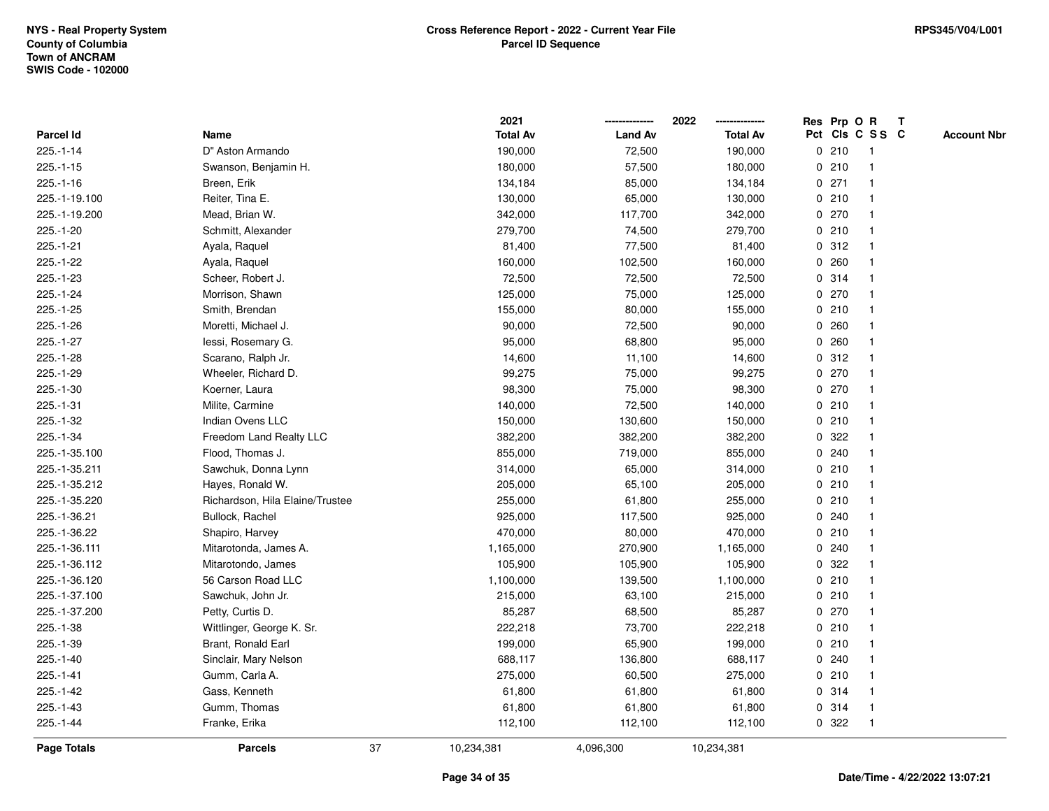|                  |                                 |    | 2021            |                | 2022            |   |       | Res Prp O R     | Т |                    |
|------------------|---------------------------------|----|-----------------|----------------|-----------------|---|-------|-----------------|---|--------------------|
| <b>Parcel Id</b> | Name                            |    | <b>Total Av</b> | <b>Land Av</b> | <b>Total Av</b> |   |       | Pct Cls C S S C |   | <b>Account Nbr</b> |
| $225.-1-14$      | D" Aston Armando                |    | 190,000         | 72,500         | 190,000         |   | 0210  | $\mathbf{1}$    |   |                    |
| $225.-1-15$      | Swanson, Benjamin H.            |    | 180,000         | 57,500         | 180,000         |   | 0210  | -1              |   |                    |
| $225.-1-16$      | Breen, Erik                     |    | 134,184         | 85,000         | 134,184         |   | 0271  |                 |   |                    |
| 225.-1-19.100    | Reiter, Tina E.                 |    | 130,000         | 65,000         | 130,000         |   | 0210  |                 |   |                    |
| 225.-1-19.200    | Mead, Brian W.                  |    | 342,000         | 117,700        | 342,000         |   | 0 270 |                 |   |                    |
| 225.-1-20        | Schmitt, Alexander              |    | 279,700         | 74,500         | 279,700         |   | 0210  |                 |   |                    |
| $225.-1-21$      | Ayala, Raquel                   |    | 81,400          | 77,500         | 81,400          |   | 0.312 |                 |   |                    |
| 225.-1-22        | Ayala, Raquel                   |    | 160,000         | 102,500        | 160,000         | 0 | 260   |                 |   |                    |
| 225.-1-23        | Scheer, Robert J.               |    | 72,500          | 72,500         | 72,500          |   | 0 314 | -1              |   |                    |
| 225.-1-24        | Morrison, Shawn                 |    | 125,000         | 75,000         | 125,000         |   | 0 270 |                 |   |                    |
| $225.-1-25$      | Smith, Brendan                  |    | 155,000         | 80,000         | 155,000         |   | 0210  |                 |   |                    |
| 225.-1-26        | Moretti, Michael J.             |    | 90,000          | 72,500         | 90,000          |   | 0.260 |                 |   |                    |
| 225.-1-27        | lessi, Rosemary G.              |    | 95,000          | 68,800         | 95,000          |   | 0.260 |                 |   |                    |
| 225.-1-28        | Scarano, Ralph Jr.              |    | 14,600          | 11,100         | 14,600          |   | 0.312 |                 |   |                    |
| 225.-1-29        | Wheeler, Richard D.             |    | 99,275          | 75,000         | 99,275          |   | 0270  |                 |   |                    |
| 225.-1-30        | Koerner, Laura                  |    | 98,300          | 75,000         | 98,300          |   | 0270  |                 |   |                    |
| 225.-1-31        | Milite, Carmine                 |    | 140,000         | 72,500         | 140,000         |   | 0210  |                 |   |                    |
| 225.-1-32        | Indian Ovens LLC                |    | 150,000         | 130,600        | 150,000         |   | 0210  |                 |   |                    |
| 225.-1-34        | Freedom Land Realty LLC         |    | 382,200         | 382,200        | 382,200         |   | 0.322 |                 |   |                    |
| 225.-1-35.100    | Flood, Thomas J.                |    | 855,000         | 719,000        | 855,000         |   | 0.240 |                 |   |                    |
| 225.-1-35.211    | Sawchuk, Donna Lynn             |    | 314,000         | 65,000         | 314,000         |   | 0210  |                 |   |                    |
| 225.-1-35.212    | Hayes, Ronald W.                |    | 205,000         | 65,100         | 205,000         |   | 0210  |                 |   |                    |
| 225.-1-35.220    | Richardson, Hila Elaine/Trustee |    | 255,000         | 61,800         | 255,000         |   | 0210  |                 |   |                    |
| 225.-1-36.21     | Bullock, Rachel                 |    | 925,000         | 117,500        | 925,000         |   | 0.240 |                 |   |                    |
| 225.-1-36.22     | Shapiro, Harvey                 |    | 470,000         | 80,000         | 470,000         |   | 0210  |                 |   |                    |
| 225.-1-36.111    | Mitarotonda, James A.           |    | 1,165,000       | 270,900        | 1,165,000       |   | 0.240 |                 |   |                    |
| 225.-1-36.112    | Mitarotondo, James              |    | 105,900         | 105,900        | 105,900         |   | 0.322 |                 |   |                    |
| 225.-1-36.120    | 56 Carson Road LLC              |    | 1,100,000       | 139,500        | 1,100,000       |   | 0210  |                 |   |                    |
| 225.-1-37.100    | Sawchuk, John Jr.               |    | 215,000         | 63,100         | 215,000         |   | 0210  |                 |   |                    |
| 225.-1-37.200    | Petty, Curtis D.                |    | 85,287          | 68,500         | 85,287          | 0 | 270   | -1              |   |                    |
| 225.-1-38        | Wittlinger, George K. Sr.       |    | 222,218         | 73,700         | 222,218         |   | 0210  |                 |   |                    |
| 225.-1-39        | Brant, Ronald Earl              |    | 199,000         | 65,900         | 199,000         |   | 0210  |                 |   |                    |
| 225.-1-40        | Sinclair, Mary Nelson           |    | 688,117         | 136,800        | 688,117         |   | 0.240 |                 |   |                    |
| $225.-1-41$      | Gumm, Carla A.                  |    | 275,000         | 60,500         | 275,000         |   | 0210  |                 |   |                    |
| 225.-1-42        | Gass, Kenneth                   |    | 61,800          | 61,800         | 61,800          |   | 0 314 |                 |   |                    |
| 225.-1-43        | Gumm, Thomas                    |    | 61,800          | 61,800         | 61,800          |   | 0.314 |                 |   |                    |
| 225.-1-44        | Franke, Erika                   |    | 112,100         | 112,100        | 112,100         |   | 0.322 |                 |   |                    |
| Page Totals      | <b>Parcels</b>                  | 37 | 10,234,381      | 4,096,300      | 10,234,381      |   |       |                 |   |                    |